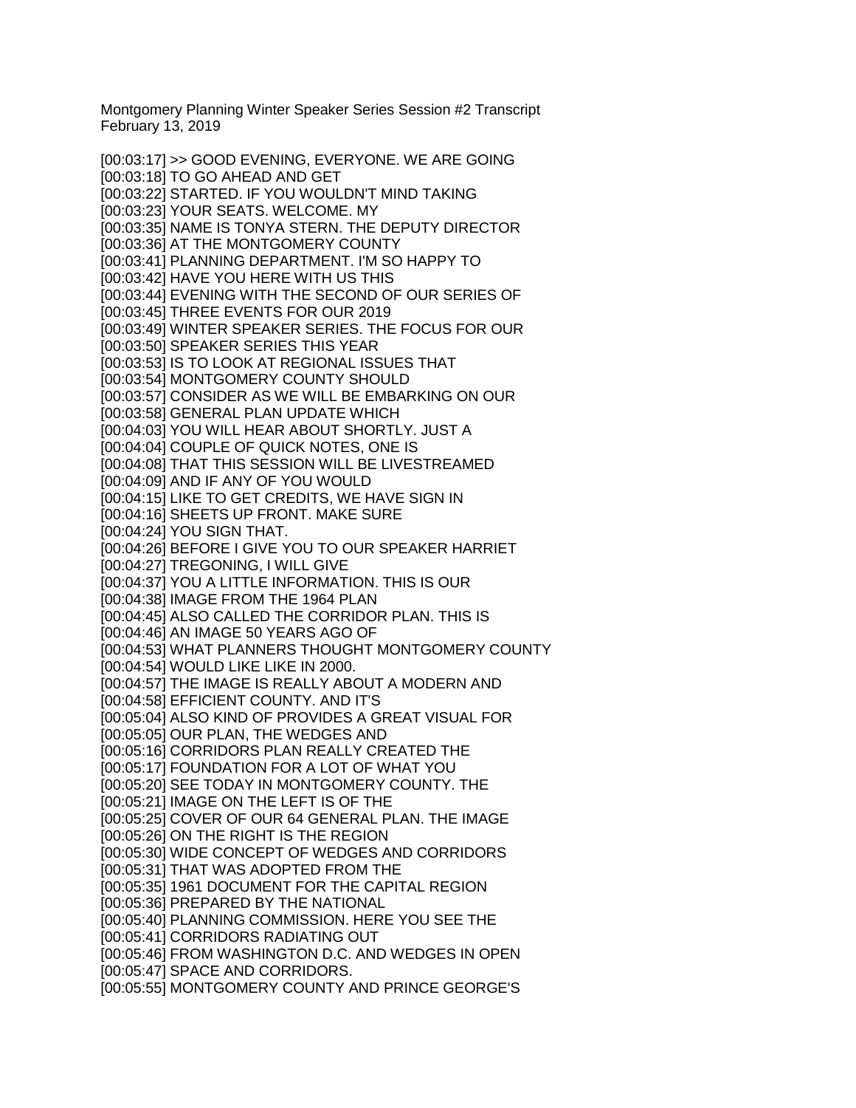Montgomery Planning Winter Speaker Series Session #2 Transcript February 13, 2019

[00:03:17] >> GOOD EVENING, EVERYONE. WE ARE GOING [00:03:18] TO GO AHEAD AND GET [00:03:22] STARTED. IF YOU WOULDN'T MIND TAKING [00:03:23] YOUR SEATS. WELCOME. MY [00:03:35] NAME IS TONYA STERN. THE DEPUTY DIRECTOR [00:03:36] AT THE MONTGOMERY COUNTY [00:03:41] PLANNING DEPARTMENT. I'M SO HAPPY TO [00:03:42] HAVE YOU HERE WITH US THIS [00:03:44] EVENING WITH THE SECOND OF OUR SERIES OF [00:03:45] THREE EVENTS FOR OUR 2019 [00:03:49] WINTER SPEAKER SERIES. THE FOCUS FOR OUR [00:03:50] SPEAKER SERIES THIS YEAR [00:03:53] IS TO LOOK AT REGIONAL ISSUES THAT [00:03:54] MONTGOMERY COUNTY SHOULD [00:03:57] CONSIDER AS WE WILL BE EMBARKING ON OUR [00:03:58] GENERAL PLAN UPDATE WHICH [00:04:03] YOU WILL HEAR ABOUT SHORTLY. JUST A [00:04:04] COUPLE OF QUICK NOTES, ONE IS [00:04:08] THAT THIS SESSION WILL BE LIVESTREAMED [00:04:09] AND IF ANY OF YOU WOULD [00:04:15] LIKE TO GET CREDITS, WE HAVE SIGN IN [00:04:16] SHEETS UP FRONT. MAKE SURE [00:04:24] YOU SIGN THAT. [00:04:26] BEFORE I GIVE YOU TO OUR SPEAKER HARRIET [00:04:27] TREGONING, I WILL GIVE [00:04:37] YOU A LITTLE INFORMATION. THIS IS OUR [00:04:38] IMAGE FROM THE 1964 PLAN [00:04:45] ALSO CALLED THE CORRIDOR PLAN. THIS IS [00:04:46] AN IMAGE 50 YEARS AGO OF [00:04:53] WHAT PLANNERS THOUGHT MONTGOMERY COUNTY [00:04:54] WOULD LIKE LIKE IN 2000. [00:04:57] THE IMAGE IS REALLY ABOUT A MODERN AND [00:04:58] EFFICIENT COUNTY. AND IT'S [00:05:04] ALSO KIND OF PROVIDES A GREAT VISUAL FOR [00:05:05] OUR PLAN, THE WEDGES AND [00:05:16] CORRIDORS PLAN REALLY CREATED THE [00:05:17] FOUNDATION FOR A LOT OF WHAT YOU [00:05:20] SEE TODAY IN MONTGOMERY COUNTY. THE [00:05:21] IMAGE ON THE LEFT IS OF THE [00:05:25] COVER OF OUR 64 GENERAL PLAN. THE IMAGE [00:05:26] ON THE RIGHT IS THE REGION [00:05:30] WIDE CONCEPT OF WEDGES AND CORRIDORS [00:05:31] THAT WAS ADOPTED FROM THE [00:05:35] 1961 DOCUMENT FOR THE CAPITAL REGION [00:05:36] PREPARED BY THE NATIONAL [00:05:40] PLANNING COMMISSION. HERE YOU SEE THE [00:05:41] CORRIDORS RADIATING OUT [00:05:46] FROM WASHINGTON D.C. AND WEDGES IN OPEN [00:05:47] SPACE AND CORRIDORS. [00:05:55] MONTGOMERY COUNTY AND PRINCE GEORGE'S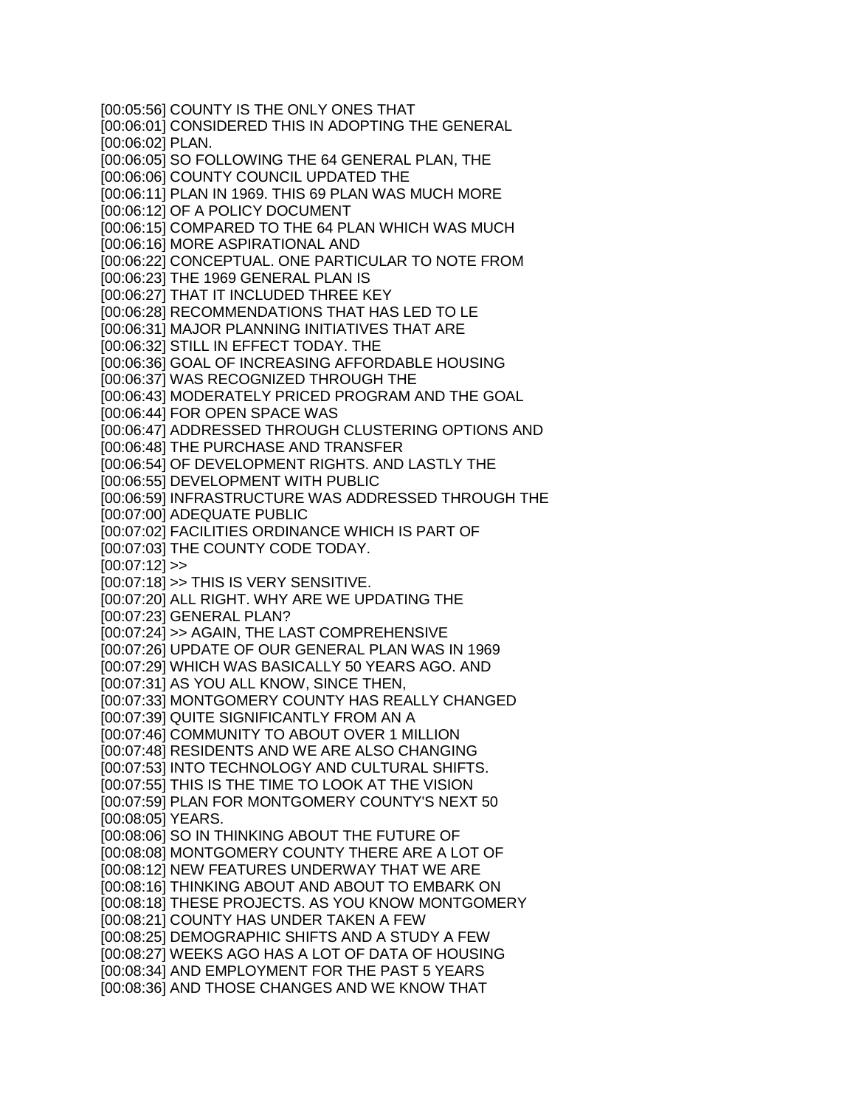[00:05:56] COUNTY IS THE ONLY ONES THAT [00:06:01] CONSIDERED THIS IN ADOPTING THE GENERAL [00:06:02] PLAN. [00:06:05] SO FOLLOWING THE 64 GENERAL PLAN, THE [00:06:06] COUNTY COUNCIL UPDATED THE [00:06:11] PLAN IN 1969. THIS 69 PLAN WAS MUCH MORE [00:06:12] OF A POLICY DOCUMENT [00:06:15] COMPARED TO THE 64 PLAN WHICH WAS MUCH [00:06:16] MORE ASPIRATIONAL AND [00:06:22] CONCEPTUAL. ONE PARTICULAR TO NOTE FROM [00:06:23] THE 1969 GENERAL PLAN IS [00:06:27] THAT IT INCLUDED THREE KEY [00:06:28] RECOMMENDATIONS THAT HAS LED TO LE [00:06:31] MAJOR PLANNING INITIATIVES THAT ARE [00:06:32] STILL IN EFFECT TODAY. THE [00:06:36] GOAL OF INCREASING AFFORDABLE HOUSING [00:06:37] WAS RECOGNIZED THROUGH THE [00:06:43] MODERATELY PRICED PROGRAM AND THE GOAL [00:06:44] FOR OPEN SPACE WAS [00:06:47] ADDRESSED THROUGH CLUSTERING OPTIONS AND [00:06:48] THE PURCHASE AND TRANSFER [00:06:54] OF DEVELOPMENT RIGHTS. AND LASTLY THE [00:06:55] DEVELOPMENT WITH PUBLIC [00:06:59] INFRASTRUCTURE WAS ADDRESSED THROUGH THE [00:07:00] ADEQUATE PUBLIC [00:07:02] FACILITIES ORDINANCE WHICH IS PART OF [00:07:03] THE COUNTY CODE TODAY.  $[00:07:12]$  >> [00:07:18] >> THIS IS VERY SENSITIVE. [00:07:20] ALL RIGHT. WHY ARE WE UPDATING THE [00:07:23] GENERAL PLAN? [00:07:24] >> AGAIN, THE LAST COMPREHENSIVE [00:07:26] UPDATE OF OUR GENERAL PLAN WAS IN 1969 [00:07:29] WHICH WAS BASICALLY 50 YEARS AGO. AND [00:07:31] AS YOU ALL KNOW, SINCE THEN, [00:07:33] MONTGOMERY COUNTY HAS REALLY CHANGED [00:07:39] QUITE SIGNIFICANTLY FROM AN A [00:07:46] COMMUNITY TO ABOUT OVER 1 MILLION [00:07:48] RESIDENTS AND WE ARE ALSO CHANGING [00:07:53] INTO TECHNOLOGY AND CULTURAL SHIFTS. [00:07:55] THIS IS THE TIME TO LOOK AT THE VISION [00:07:59] PLAN FOR MONTGOMERY COUNTY'S NEXT 50 [00:08:05] YEARS. [00:08:06] SO IN THINKING ABOUT THE FUTURE OF [00:08:08] MONTGOMERY COUNTY THERE ARE A LOT OF [00:08:12] NEW FEATURES UNDERWAY THAT WE ARE [00:08:16] THINKING ABOUT AND ABOUT TO EMBARK ON [00:08:18] THESE PROJECTS. AS YOU KNOW MONTGOMERY [00:08:21] COUNTY HAS UNDER TAKEN A FEW [00:08:25] DEMOGRAPHIC SHIFTS AND A STUDY A FEW [00:08:27] WEEKS AGO HAS A LOT OF DATA OF HOUSING [00:08:34] AND EMPLOYMENT FOR THE PAST 5 YEARS [00:08:36] AND THOSE CHANGES AND WE KNOW THAT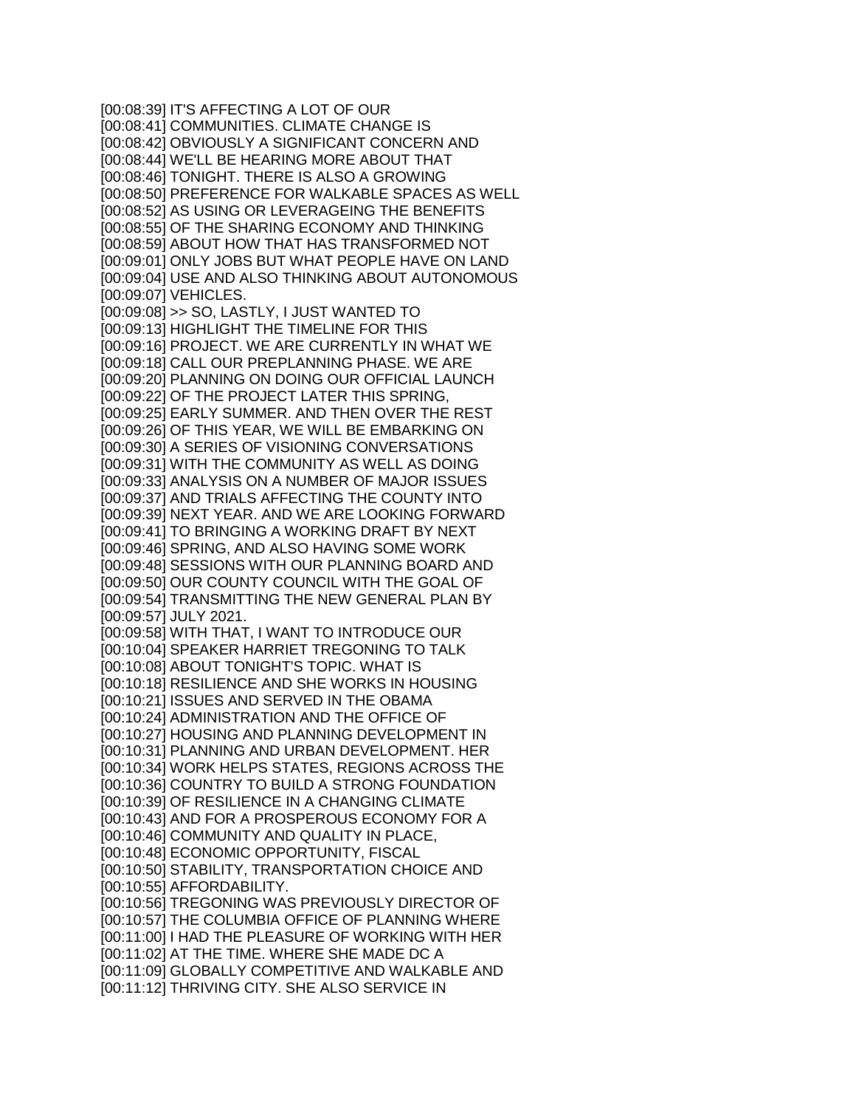[00:08:39] IT'S AFFECTING A LOT OF OUR [00:08:41] COMMUNITIES. CLIMATE CHANGE IS [00:08:42] OBVIOUSLY A SIGNIFICANT CONCERN AND [00:08:44] WE'LL BE HEARING MORE ABOUT THAT [00:08:46] TONIGHT. THERE IS ALSO A GROWING [00:08:50] PREFERENCE FOR WALKABLE SPACES AS WELL [00:08:52] AS USING OR LEVERAGEING THE BENEFITS [00:08:55] OF THE SHARING ECONOMY AND THINKING [00:08:59] ABOUT HOW THAT HAS TRANSFORMED NOT [00:09:01] ONLY JOBS BUT WHAT PEOPLE HAVE ON LAND [00:09:04] USE AND ALSO THINKING ABOUT AUTONOMOUS [00:09:07] VEHICLES. [00:09:08] >> SO, LASTLY, I JUST WANTED TO [00:09:13] HIGHLIGHT THE TIMELINE FOR THIS [00:09:16] PROJECT. WE ARE CURRENTLY IN WHAT WE [00:09:18] CALL OUR PREPLANNING PHASE. WE ARE [00:09:20] PLANNING ON DOING OUR OFFICIAL LAUNCH [00:09:22] OF THE PROJECT LATER THIS SPRING, [00:09:25] EARLY SUMMER. AND THEN OVER THE REST [00:09:26] OF THIS YEAR, WE WILL BE EMBARKING ON [00:09:30] A SERIES OF VISIONING CONVERSATIONS [00:09:31] WITH THE COMMUNITY AS WELL AS DOING [00:09:33] ANALYSIS ON A NUMBER OF MAJOR ISSUES [00:09:37] AND TRIALS AFFECTING THE COUNTY INTO [00:09:39] NEXT YEAR. AND WE ARE LOOKING FORWARD [00:09:41] TO BRINGING A WORKING DRAFT BY NEXT [00:09:46] SPRING, AND ALSO HAVING SOME WORK [00:09:48] SESSIONS WITH OUR PLANNING BOARD AND [00:09:50] OUR COUNTY COUNCIL WITH THE GOAL OF [00:09:54] TRANSMITTING THE NEW GENERAL PLAN BY [00:09:57] JULY 2021. [00:09:58] WITH THAT, I WANT TO INTRODUCE OUR [00:10:04] SPEAKER HARRIET TREGONING TO TALK [00:10:08] ABOUT TONIGHT'S TOPIC. WHAT IS [00:10:18] RESILIENCE AND SHE WORKS IN HOUSING [00:10:21] ISSUES AND SERVED IN THE OBAMA [00:10:24] ADMINISTRATION AND THE OFFICE OF [00:10:27] HOUSING AND PLANNING DEVELOPMENT IN [00:10:31] PLANNING AND URBAN DEVELOPMENT. HER [00:10:34] WORK HELPS STATES, REGIONS ACROSS THE [00:10:36] COUNTRY TO BUILD A STRONG FOUNDATION [00:10:39] OF RESILIENCE IN A CHANGING CLIMATE [00:10:43] AND FOR A PROSPEROUS ECONOMY FOR A [00:10:46] COMMUNITY AND QUALITY IN PLACE, [00:10:48] ECONOMIC OPPORTUNITY, FISCAL [00:10:50] STABILITY, TRANSPORTATION CHOICE AND [00:10:55] AFFORDABILITY. [00:10:56] TREGONING WAS PREVIOUSLY DIRECTOR OF [00:10:57] THE COLUMBIA OFFICE OF PLANNING WHERE [00:11:00] I HAD THE PLEASURE OF WORKING WITH HER [00:11:02] AT THE TIME. WHERE SHE MADE DC A [00:11:09] GLOBALLY COMPETITIVE AND WALKABLE AND [00:11:12] THRIVING CITY. SHE ALSO SERVICE IN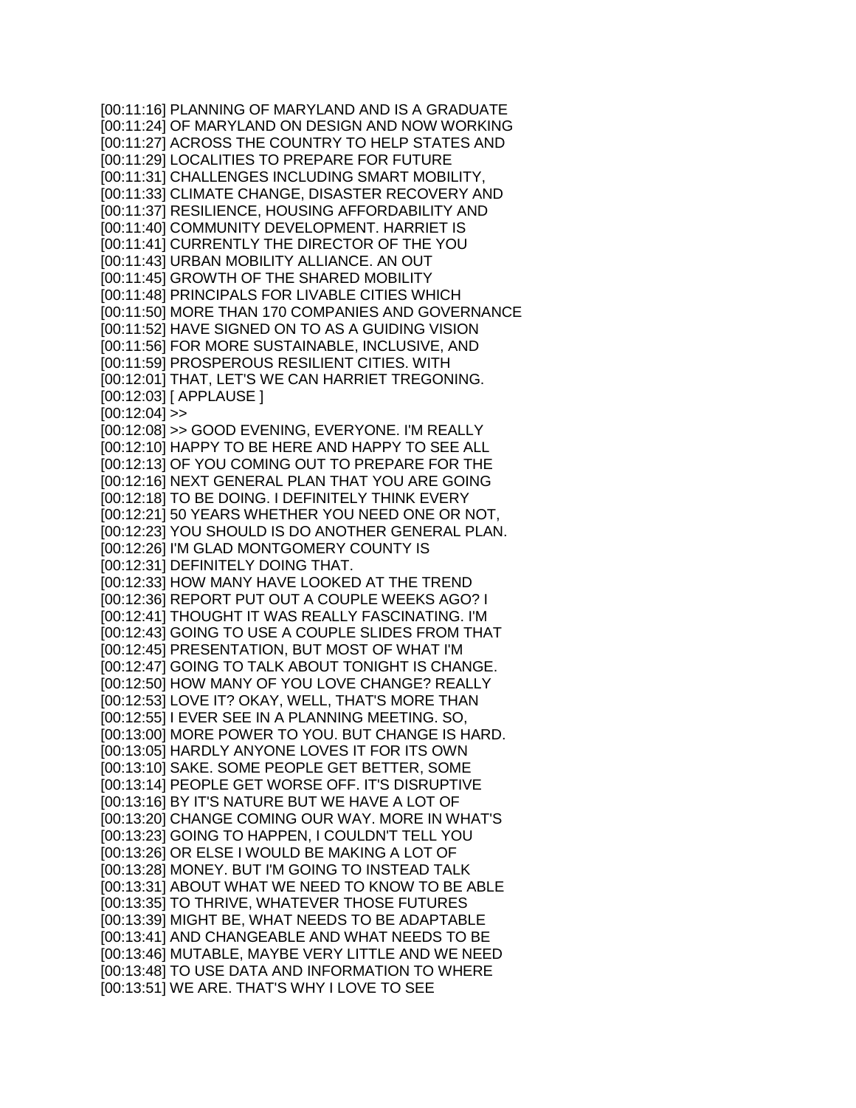[00:11:16] PLANNING OF MARYLAND AND IS A GRADUATE [00:11:24] OF MARYLAND ON DESIGN AND NOW WORKING [00:11:27] ACROSS THE COUNTRY TO HELP STATES AND [00:11:29] LOCALITIES TO PREPARE FOR FUTURE [00:11:31] CHALLENGES INCLUDING SMART MOBILITY, [00:11:33] CLIMATE CHANGE, DISASTER RECOVERY AND [00:11:37] RESILIENCE, HOUSING AFFORDABILITY AND [00:11:40] COMMUNITY DEVELOPMENT. HARRIET IS [00:11:41] CURRENTLY THE DIRECTOR OF THE YOU [00:11:43] URBAN MOBILITY ALLIANCE. AN OUT [00:11:45] GROWTH OF THE SHARED MOBILITY [00:11:48] PRINCIPALS FOR LIVABLE CITIES WHICH [00:11:50] MORE THAN 170 COMPANIES AND GOVERNANCE [00:11:52] HAVE SIGNED ON TO AS A GUIDING VISION [00:11:56] FOR MORE SUSTAINABLE, INCLUSIVE, AND [00:11:59] PROSPEROUS RESILIENT CITIES. WITH [00:12:01] THAT, LET'S WE CAN HARRIET TREGONING. [00:12:03] [ APPLAUSE ]  $[00:12:04]$  >> [00:12:08] >> GOOD EVENING, EVERYONE. I'M REALLY [00:12:10] HAPPY TO BE HERE AND HAPPY TO SEE ALL [00:12:13] OF YOU COMING OUT TO PREPARE FOR THE [00:12:16] NEXT GENERAL PLAN THAT YOU ARE GOING [00:12:18] TO BE DOING. I DEFINITELY THINK EVERY [00:12:21] 50 YEARS WHETHER YOU NEED ONE OR NOT, [00:12:23] YOU SHOULD IS DO ANOTHER GENERAL PLAN. [00:12:26] I'M GLAD MONTGOMERY COUNTY IS [00:12:31] DEFINITELY DOING THAT. [00:12:33] HOW MANY HAVE LOOKED AT THE TREND [00:12:36] REPORT PUT OUT A COUPLE WEEKS AGO? I [00:12:41] THOUGHT IT WAS REALLY FASCINATING. I'M [00:12:43] GOING TO USE A COUPLE SLIDES FROM THAT [00:12:45] PRESENTATION, BUT MOST OF WHAT I'M [00:12:47] GOING TO TALK ABOUT TONIGHT IS CHANGE. [00:12:50] HOW MANY OF YOU LOVE CHANGE? REALLY [00:12:53] LOVE IT? OKAY, WELL, THAT'S MORE THAN [00:12:55] I EVER SEE IN A PLANNING MEETING. SO, [00:13:00] MORE POWER TO YOU. BUT CHANGE IS HARD. [00:13:05] HARDLY ANYONE LOVES IT FOR ITS OWN [00:13:10] SAKE. SOME PEOPLE GET BETTER, SOME [00:13:14] PEOPLE GET WORSE OFF. IT'S DISRUPTIVE [00:13:16] BY IT'S NATURE BUT WE HAVE A LOT OF [00:13:20] CHANGE COMING OUR WAY. MORE IN WHAT'S [00:13:23] GOING TO HAPPEN, I COULDN'T TELL YOU [00:13:26] OR ELSE I WOULD BE MAKING A LOT OF [00:13:28] MONEY. BUT I'M GOING TO INSTEAD TALK [00:13:31] ABOUT WHAT WE NEED TO KNOW TO BE ABLE [00:13:35] TO THRIVE, WHATEVER THOSE FUTURES [00:13:39] MIGHT BE, WHAT NEEDS TO BE ADAPTABLE [00:13:41] AND CHANGEABLE AND WHAT NEEDS TO BE [00:13:46] MUTABLE, MAYBE VERY LITTLE AND WE NEED [00:13:48] TO USE DATA AND INFORMATION TO WHERE [00:13:51] WE ARE. THAT'S WHY I LOVE TO SEE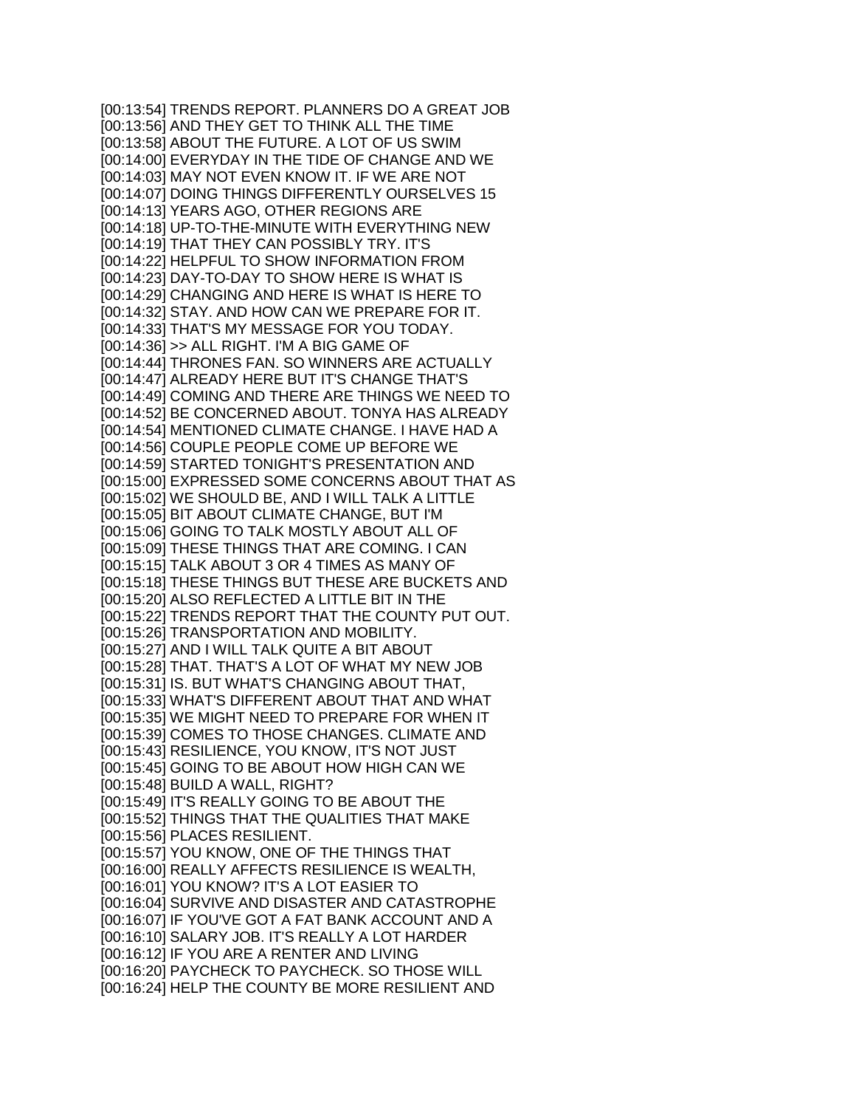[00:13:54] TRENDS REPORT. PLANNERS DO A GREAT JOB [00:13:56] AND THEY GET TO THINK ALL THE TIME [00:13:58] ABOUT THE FUTURE. A LOT OF US SWIM [00:14:00] EVERYDAY IN THE TIDE OF CHANGE AND WE [00:14:03] MAY NOT EVEN KNOW IT. IF WE ARE NOT [00:14:07] DOING THINGS DIFFERENTLY OURSELVES 15 [00:14:13] YEARS AGO, OTHER REGIONS ARE [00:14:18] UP-TO-THE-MINUTE WITH EVERYTHING NEW [00:14:19] THAT THEY CAN POSSIBLY TRY. IT'S [00:14:22] HELPFUL TO SHOW INFORMATION FROM [00:14:23] DAY-TO-DAY TO SHOW HERE IS WHAT IS [00:14:29] CHANGING AND HERE IS WHAT IS HERE TO [00:14:32] STAY. AND HOW CAN WE PREPARE FOR IT. [00:14:33] THAT'S MY MESSAGE FOR YOU TODAY. [00:14:36] >> ALL RIGHT. I'M A BIG GAME OF [00:14:44] THRONES FAN. SO WINNERS ARE ACTUALLY [00:14:47] ALREADY HERE BUT IT'S CHANGE THAT'S [00:14:49] COMING AND THERE ARE THINGS WE NEED TO [00:14:52] BE CONCERNED ABOUT. TONYA HAS ALREADY [00:14:54] MENTIONED CLIMATE CHANGE. I HAVE HAD A [00:14:56] COUPLE PEOPLE COME UP BEFORE WE [00:14:59] STARTED TONIGHT'S PRESENTATION AND [00:15:00] EXPRESSED SOME CONCERNS ABOUT THAT AS [00:15:02] WE SHOULD BE, AND I WILL TALK A LITTLE [00:15:05] BIT ABOUT CLIMATE CHANGE, BUT I'M [00:15:06] GOING TO TALK MOSTLY ABOUT ALL OF [00:15:09] THESE THINGS THAT ARE COMING. I CAN [00:15:15] TALK ABOUT 3 OR 4 TIMES AS MANY OF [00:15:18] THESE THINGS BUT THESE ARE BUCKETS AND [00:15:20] ALSO REFLECTED A LITTLE BIT IN THE [00:15:22] TRENDS REPORT THAT THE COUNTY PUT OUT. [00:15:26] TRANSPORTATION AND MOBILITY. [00:15:27] AND I WILL TALK QUITE A BIT ABOUT [00:15:28] THAT. THAT'S A LOT OF WHAT MY NEW JOB [00:15:31] IS. BUT WHAT'S CHANGING ABOUT THAT, [00:15:33] WHAT'S DIFFERENT ABOUT THAT AND WHAT [00:15:35] WE MIGHT NEED TO PREPARE FOR WHEN IT [00:15:39] COMES TO THOSE CHANGES. CLIMATE AND [00:15:43] RESILIENCE, YOU KNOW, IT'S NOT JUST [00:15:45] GOING TO BE ABOUT HOW HIGH CAN WE [00:15:48] BUILD A WALL, RIGHT? [00:15:49] IT'S REALLY GOING TO BE ABOUT THE [00:15:52] THINGS THAT THE QUALITIES THAT MAKE [00:15:56] PLACES RESILIENT. [00:15:57] YOU KNOW, ONE OF THE THINGS THAT [00:16:00] REALLY AFFECTS RESILIENCE IS WEALTH, [00:16:01] YOU KNOW? IT'S A LOT EASIER TO [00:16:04] SURVIVE AND DISASTER AND CATASTROPHE [00:16:07] IF YOU'VE GOT A FAT BANK ACCOUNT AND A [00:16:10] SALARY JOB. IT'S REALLY A LOT HARDER [00:16:12] IF YOU ARE A RENTER AND LIVING [00:16:20] PAYCHECK TO PAYCHECK. SO THOSE WILL [00:16:24] HELP THE COUNTY BE MORE RESILIENT AND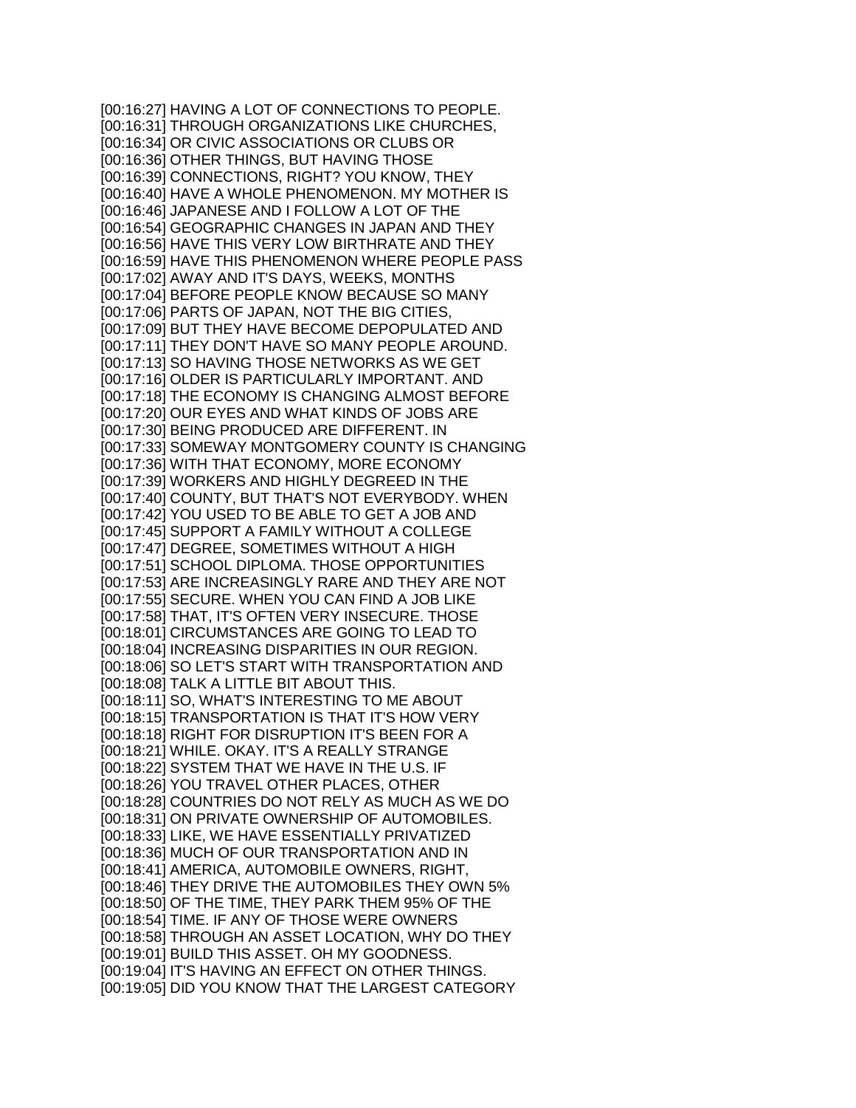[00:16:27] HAVING A LOT OF CONNECTIONS TO PEOPLE. [00:16:31] THROUGH ORGANIZATIONS LIKE CHURCHES, [00:16:34] OR CIVIC ASSOCIATIONS OR CLUBS OR [00:16:36] OTHER THINGS, BUT HAVING THOSE [00:16:39] CONNECTIONS, RIGHT? YOU KNOW, THEY [00:16:40] HAVE A WHOLE PHENOMENON. MY MOTHER IS [00:16:46] JAPANESE AND I FOLLOW A LOT OF THE [00:16:54] GEOGRAPHIC CHANGES IN JAPAN AND THEY [00:16:56] HAVE THIS VERY LOW BIRTHRATE AND THEY [00:16:59] HAVE THIS PHENOMENON WHERE PEOPLE PASS [00:17:02] AWAY AND IT'S DAYS, WEEKS, MONTHS [00:17:04] BEFORE PEOPLE KNOW BECAUSE SO MANY [00:17:06] PARTS OF JAPAN, NOT THE BIG CITIES, [00:17:09] BUT THEY HAVE BECOME DEPOPULATED AND [00:17:11] THEY DON'T HAVE SO MANY PEOPLE AROUND. [00:17:13] SO HAVING THOSE NETWORKS AS WE GET [00:17:16] OLDER IS PARTICULARLY IMPORTANT. AND [00:17:18] THE ECONOMY IS CHANGING ALMOST BEFORE [00:17:20] OUR EYES AND WHAT KINDS OF JOBS ARE [00:17:30] BEING PRODUCED ARE DIFFERENT. IN [00:17:33] SOMEWAY MONTGOMERY COUNTY IS CHANGING [00:17:36] WITH THAT ECONOMY, MORE ECONOMY [00:17:39] WORKERS AND HIGHLY DEGREED IN THE [00:17:40] COUNTY, BUT THAT'S NOT EVERYBODY. WHEN [00:17:42] YOU USED TO BE ABLE TO GET A JOB AND [00:17:45] SUPPORT A FAMILY WITHOUT A COLLEGE [00:17:47] DEGREE, SOMETIMES WITHOUT A HIGH [00:17:51] SCHOOL DIPLOMA. THOSE OPPORTUNITIES [00:17:53] ARE INCREASINGLY RARE AND THEY ARE NOT [00:17:55] SECURE. WHEN YOU CAN FIND A JOB LIKE [00:17:58] THAT, IT'S OFTEN VERY INSECURE. THOSE [00:18:01] CIRCUMSTANCES ARE GOING TO LEAD TO [00:18:04] INCREASING DISPARITIES IN OUR REGION. [00:18:06] SO LET'S START WITH TRANSPORTATION AND [00:18:08] TALK A LITTLE BIT ABOUT THIS. [00:18:11] SO, WHAT'S INTERESTING TO ME ABOUT [00:18:15] TRANSPORTATION IS THAT IT'S HOW VERY [00:18:18] RIGHT FOR DISRUPTION IT'S BEEN FOR A [00:18:21] WHILE. OKAY. IT'S A REALLY STRANGE [00:18:22] SYSTEM THAT WE HAVE IN THE U.S. IF [00:18:26] YOU TRAVEL OTHER PLACES, OTHER [00:18:28] COUNTRIES DO NOT RELY AS MUCH AS WE DO [00:18:31] ON PRIVATE OWNERSHIP OF AUTOMOBILES. [00:18:33] LIKE, WE HAVE ESSENTIALLY PRIVATIZED [00:18:36] MUCH OF OUR TRANSPORTATION AND IN [00:18:41] AMERICA, AUTOMOBILE OWNERS, RIGHT, [00:18:46] THEY DRIVE THE AUTOMOBILES THEY OWN 5% [00:18:50] OF THE TIME, THEY PARK THEM 95% OF THE [00:18:54] TIME. IF ANY OF THOSE WERE OWNERS [00:18:58] THROUGH AN ASSET LOCATION, WHY DO THEY [00:19:01] BUILD THIS ASSET. OH MY GOODNESS. [00:19:04] IT'S HAVING AN EFFECT ON OTHER THINGS. [00:19:05] DID YOU KNOW THAT THE LARGEST CATEGORY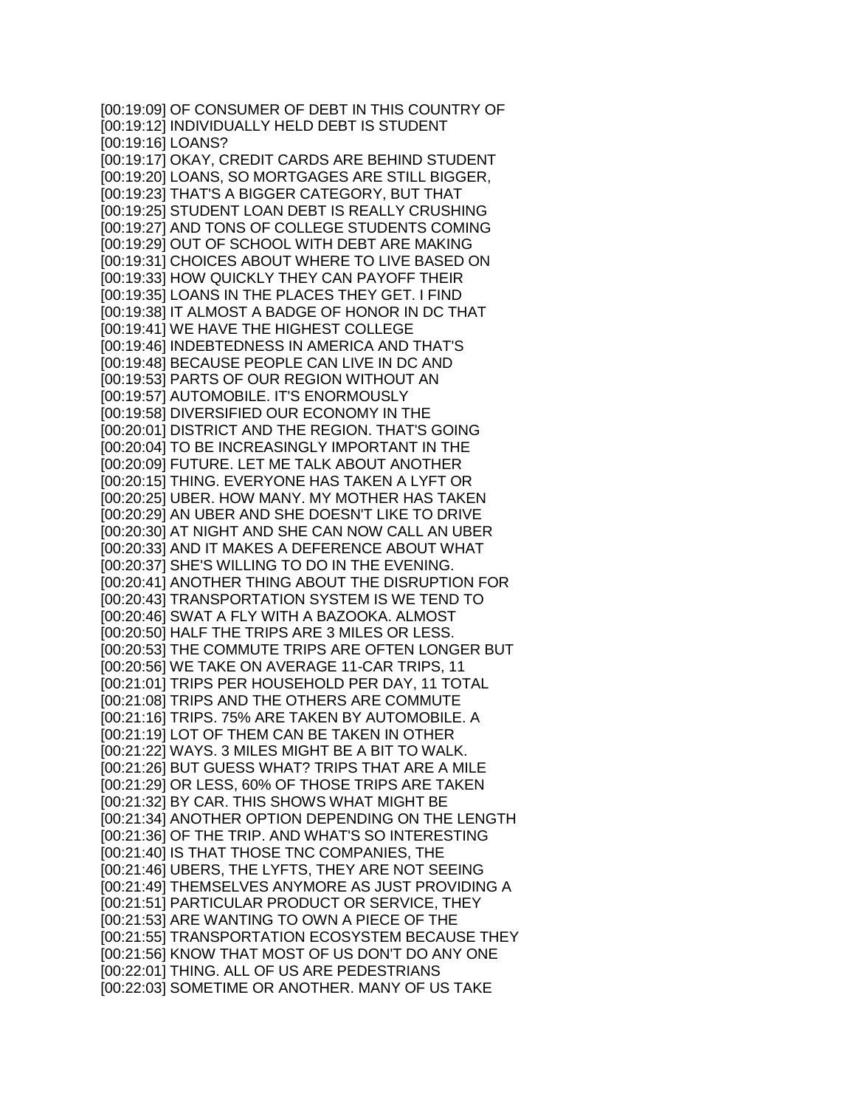[00:19:09] OF CONSUMER OF DEBT IN THIS COUNTRY OF [00:19:12] INDIVIDUALLY HELD DEBT IS STUDENT [00:19:16] LOANS? [00:19:17] OKAY, CREDIT CARDS ARE BEHIND STUDENT [00:19:20] LOANS, SO MORTGAGES ARE STILL BIGGER, [00:19:23] THAT'S A BIGGER CATEGORY, BUT THAT [00:19:25] STUDENT LOAN DEBT IS REALLY CRUSHING [00:19:27] AND TONS OF COLLEGE STUDENTS COMING [00:19:29] OUT OF SCHOOL WITH DEBT ARE MAKING [00:19:31] CHOICES ABOUT WHERE TO LIVE BASED ON [00:19:33] HOW QUICKLY THEY CAN PAYOFF THEIR [00:19:35] LOANS IN THE PLACES THEY GET. I FIND [00:19:38] IT ALMOST A BADGE OF HONOR IN DC THAT [00:19:41] WE HAVE THE HIGHEST COLLEGE [00:19:46] INDEBTEDNESS IN AMERICA AND THAT'S [00:19:48] BECAUSE PEOPLE CAN LIVE IN DC AND [00:19:53] PARTS OF OUR REGION WITHOUT AN [00:19:57] AUTOMOBILE. IT'S ENORMOUSLY [00:19:58] DIVERSIFIED OUR ECONOMY IN THE [00:20:01] DISTRICT AND THE REGION. THAT'S GOING [00:20:04] TO BE INCREASINGLY IMPORTANT IN THE [00:20:09] FUTURE. LET ME TALK ABOUT ANOTHER [00:20:15] THING. EVERYONE HAS TAKEN A LYFT OR [00:20:25] UBER. HOW MANY. MY MOTHER HAS TAKEN [00:20:29] AN UBER AND SHE DOESN'T LIKE TO DRIVE [00:20:30] AT NIGHT AND SHE CAN NOW CALL AN UBER [00:20:33] AND IT MAKES A DEFERENCE ABOUT WHAT [00:20:37] SHE'S WILLING TO DO IN THE EVENING. [00:20:41] ANOTHER THING ABOUT THE DISRUPTION FOR [00:20:43] TRANSPORTATION SYSTEM IS WE TEND TO [00:20:46] SWAT A FLY WITH A BAZOOKA. ALMOST [00:20:50] HALF THE TRIPS ARE 3 MILES OR LESS. [00:20:53] THE COMMUTE TRIPS ARE OFTEN LONGER BUT [00:20:56] WE TAKE ON AVERAGE 11-CAR TRIPS, 11 [00:21:01] TRIPS PER HOUSEHOLD PER DAY, 11 TOTAL [00:21:08] TRIPS AND THE OTHERS ARE COMMUTE [00:21:16] TRIPS. 75% ARE TAKEN BY AUTOMOBILE. A [00:21:19] LOT OF THEM CAN BE TAKEN IN OTHER [00:21:22] WAYS. 3 MILES MIGHT BE A BIT TO WALK. [00:21:26] BUT GUESS WHAT? TRIPS THAT ARE A MILE [00:21:29] OR LESS, 60% OF THOSE TRIPS ARE TAKEN [00:21:32] BY CAR. THIS SHOWS WHAT MIGHT BE [00:21:34] ANOTHER OPTION DEPENDING ON THE LENGTH [00:21:36] OF THE TRIP. AND WHAT'S SO INTERESTING [00:21:40] IS THAT THOSE TNC COMPANIES, THE [00:21:46] UBERS, THE LYFTS, THEY ARE NOT SEEING [00:21:49] THEMSELVES ANYMORE AS JUST PROVIDING A [00:21:51] PARTICULAR PRODUCT OR SERVICE, THEY [00:21:53] ARE WANTING TO OWN A PIECE OF THE [00:21:55] TRANSPORTATION ECOSYSTEM BECAUSE THEY [00:21:56] KNOW THAT MOST OF US DON'T DO ANY ONE [00:22:01] THING. ALL OF US ARE PEDESTRIANS [00:22:03] SOMETIME OR ANOTHER. MANY OF US TAKE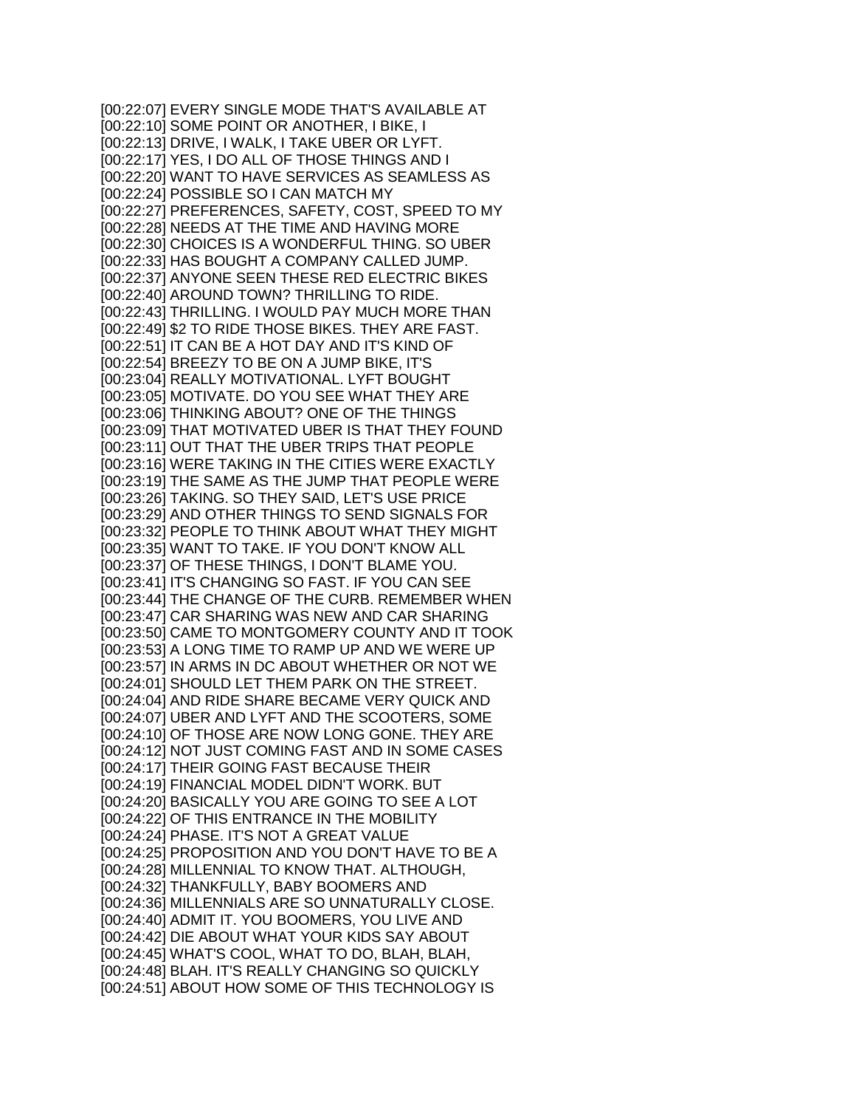[00:22:07] EVERY SINGLE MODE THAT'S AVAILABLE AT [00:22:10] SOME POINT OR ANOTHER, I BIKE, I [00:22:13] DRIVE, I WALK, I TAKE UBER OR LYFT. [00:22:17] YES, I DO ALL OF THOSE THINGS AND I [00:22:20] WANT TO HAVE SERVICES AS SEAMLESS AS [00:22:24] POSSIBLE SO I CAN MATCH MY [00:22:27] PREFERENCES, SAFETY, COST, SPEED TO MY [00:22:28] NEEDS AT THE TIME AND HAVING MORE [00:22:30] CHOICES IS A WONDERFUL THING. SO UBER [00:22:33] HAS BOUGHT A COMPANY CALLED JUMP. [00:22:37] ANYONE SEEN THESE RED ELECTRIC BIKES [00:22:40] AROUND TOWN? THRILLING TO RIDE. [00:22:43] THRILLING. I WOULD PAY MUCH MORE THAN [00:22:49] \$2 TO RIDE THOSE BIKES. THEY ARE FAST. [00:22:51] IT CAN BE A HOT DAY AND IT'S KIND OF [00:22:54] BREEZY TO BE ON A JUMP BIKE, IT'S [00:23:04] REALLY MOTIVATIONAL. LYFT BOUGHT [00:23:05] MOTIVATE. DO YOU SEE WHAT THEY ARE [00:23:06] THINKING ABOUT? ONE OF THE THINGS [00:23:09] THAT MOTIVATED UBER IS THAT THEY FOUND [00:23:11] OUT THAT THE UBER TRIPS THAT PEOPLE [00:23:16] WERE TAKING IN THE CITIES WERE EXACTLY [00:23:19] THE SAME AS THE JUMP THAT PEOPLE WERE [00:23:26] TAKING. SO THEY SAID, LET'S USE PRICE [00:23:29] AND OTHER THINGS TO SEND SIGNALS FOR [00:23:32] PEOPLE TO THINK ABOUT WHAT THEY MIGHT [00:23:35] WANT TO TAKE. IF YOU DON'T KNOW ALL [00:23:37] OF THESE THINGS, I DON'T BLAME YOU. [00:23:41] IT'S CHANGING SO FAST. IF YOU CAN SEE [00:23:44] THE CHANGE OF THE CURB. REMEMBER WHEN [00:23:47] CAR SHARING WAS NEW AND CAR SHARING [00:23:50] CAME TO MONTGOMERY COUNTY AND IT TOOK [00:23:53] A LONG TIME TO RAMP UP AND WE WERE UP [00:23:57] IN ARMS IN DC ABOUT WHETHER OR NOT WE [00:24:01] SHOULD LET THEM PARK ON THE STREET. [00:24:04] AND RIDE SHARE BECAME VERY QUICK AND [00:24:07] UBER AND LYFT AND THE SCOOTERS, SOME [00:24:10] OF THOSE ARE NOW LONG GONE. THEY ARE [00:24:12] NOT JUST COMING FAST AND IN SOME CASES [00:24:17] THEIR GOING FAST BECAUSE THEIR [00:24:19] FINANCIAL MODEL DIDN'T WORK. BUT [00:24:20] BASICALLY YOU ARE GOING TO SEE A LOT [00:24:22] OF THIS ENTRANCE IN THE MOBILITY [00:24:24] PHASE. IT'S NOT A GREAT VALUE [00:24:25] PROPOSITION AND YOU DON'T HAVE TO BE A [00:24:28] MILLENNIAL TO KNOW THAT. ALTHOUGH, [00:24:32] THANKFULLY, BABY BOOMERS AND [00:24:36] MILLENNIALS ARE SO UNNATURALLY CLOSE. [00:24:40] ADMIT IT. YOU BOOMERS, YOU LIVE AND [00:24:42] DIE ABOUT WHAT YOUR KIDS SAY ABOUT [00:24:45] WHAT'S COOL, WHAT TO DO, BLAH, BLAH, [00:24:48] BLAH. IT'S REALLY CHANGING SO QUICKLY [00:24:51] ABOUT HOW SOME OF THIS TECHNOLOGY IS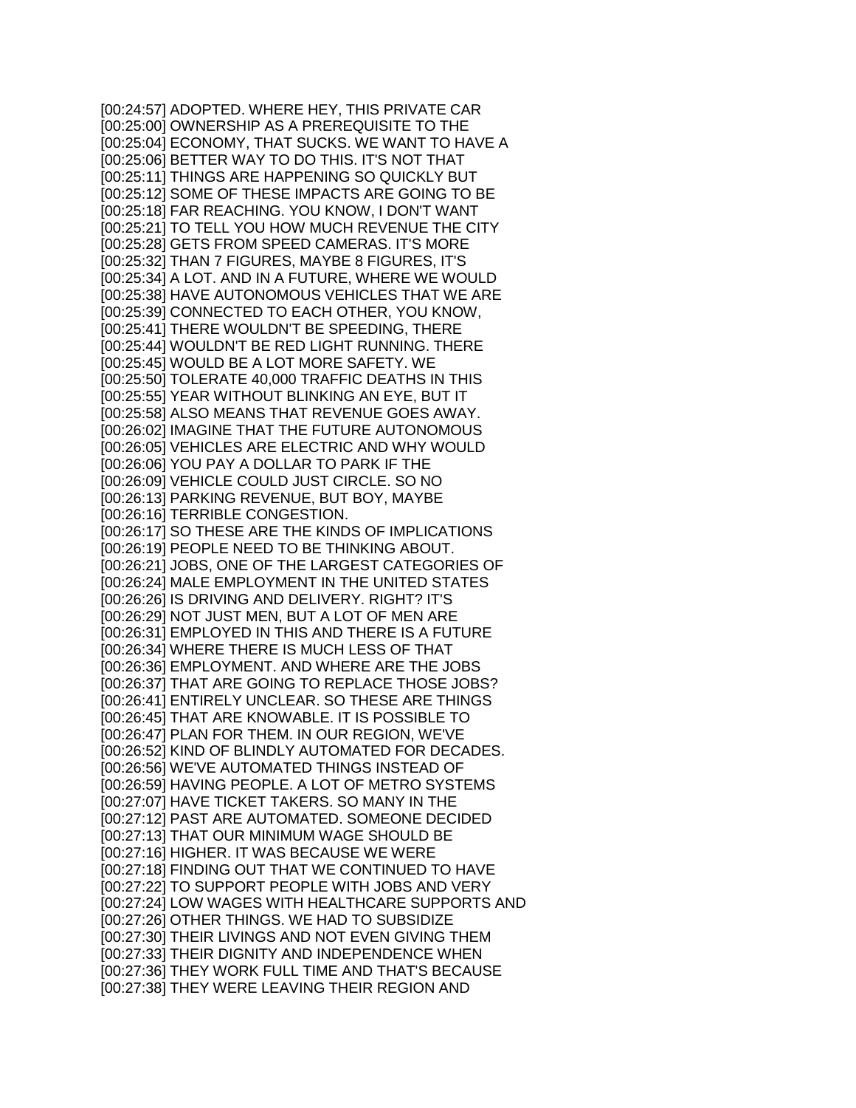[00:24:57] ADOPTED. WHERE HEY, THIS PRIVATE CAR [00:25:00] OWNERSHIP AS A PREREQUISITE TO THE [00:25:04] ECONOMY, THAT SUCKS. WE WANT TO HAVE A [00:25:06] BETTER WAY TO DO THIS. IT'S NOT THAT [00:25:11] THINGS ARE HAPPENING SO QUICKLY BUT [00:25:12] SOME OF THESE IMPACTS ARE GOING TO BE [00:25:18] FAR REACHING. YOU KNOW, I DON'T WANT [00:25:21] TO TELL YOU HOW MUCH REVENUE THE CITY [00:25:28] GETS FROM SPEED CAMERAS. IT'S MORE [00:25:32] THAN 7 FIGURES, MAYBE 8 FIGURES, IT'S [00:25:34] A LOT. AND IN A FUTURE, WHERE WE WOULD [00:25:38] HAVE AUTONOMOUS VEHICLES THAT WE ARE [00:25:39] CONNECTED TO EACH OTHER, YOU KNOW, [00:25:41] THERE WOULDN'T BE SPEEDING, THERE [00:25:44] WOULDN'T BE RED LIGHT RUNNING. THERE [00:25:45] WOULD BE A LOT MORE SAFETY. WE [00:25:50] TOLERATE 40,000 TRAFFIC DEATHS IN THIS [00:25:55] YEAR WITHOUT BLINKING AN EYE, BUT IT [00:25:58] ALSO MEANS THAT REVENUE GOES AWAY. [00:26:02] IMAGINE THAT THE FUTURE AUTONOMOUS [00:26:05] VEHICLES ARE ELECTRIC AND WHY WOULD [00:26:06] YOU PAY A DOLLAR TO PARK IF THE [00:26:09] VEHICLE COULD JUST CIRCLE. SO NO [00:26:13] PARKING REVENUE, BUT BOY, MAYBE [00:26:16] TERRIBLE CONGESTION. [00:26:17] SO THESE ARE THE KINDS OF IMPLICATIONS [00:26:19] PEOPLE NEED TO BE THINKING ABOUT. [00:26:21] JOBS, ONE OF THE LARGEST CATEGORIES OF [00:26:24] MALE EMPLOYMENT IN THE UNITED STATES [00:26:26] IS DRIVING AND DELIVERY. RIGHT? IT'S [00:26:29] NOT JUST MEN, BUT A LOT OF MEN ARE [00:26:31] EMPLOYED IN THIS AND THERE IS A FUTURE [00:26:34] WHERE THERE IS MUCH LESS OF THAT [00:26:36] EMPLOYMENT. AND WHERE ARE THE JOBS [00:26:37] THAT ARE GOING TO REPLACE THOSE JOBS? [00:26:41] ENTIRELY UNCLEAR. SO THESE ARE THINGS [00:26:45] THAT ARE KNOWABLE. IT IS POSSIBLE TO [00:26:47] PLAN FOR THEM. IN OUR REGION, WE'VE [00:26:52] KIND OF BLINDLY AUTOMATED FOR DECADES. [00:26:56] WE'VE AUTOMATED THINGS INSTEAD OF [00:26:59] HAVING PEOPLE. A LOT OF METRO SYSTEMS [00:27:07] HAVE TICKET TAKERS. SO MANY IN THE [00:27:12] PAST ARE AUTOMATED. SOMEONE DECIDED [00:27:13] THAT OUR MINIMUM WAGE SHOULD BE [00:27:16] HIGHER. IT WAS BECAUSE WE WERE [00:27:18] FINDING OUT THAT WE CONTINUED TO HAVE [00:27:22] TO SUPPORT PEOPLE WITH JOBS AND VERY [00:27:24] LOW WAGES WITH HEALTHCARE SUPPORTS AND [00:27:26] OTHER THINGS. WE HAD TO SUBSIDIZE [00:27:30] THEIR LIVINGS AND NOT EVEN GIVING THEM [00:27:33] THEIR DIGNITY AND INDEPENDENCE WHEN [00:27:36] THEY WORK FULL TIME AND THAT'S BECAUSE [00:27:38] THEY WERE LEAVING THEIR REGION AND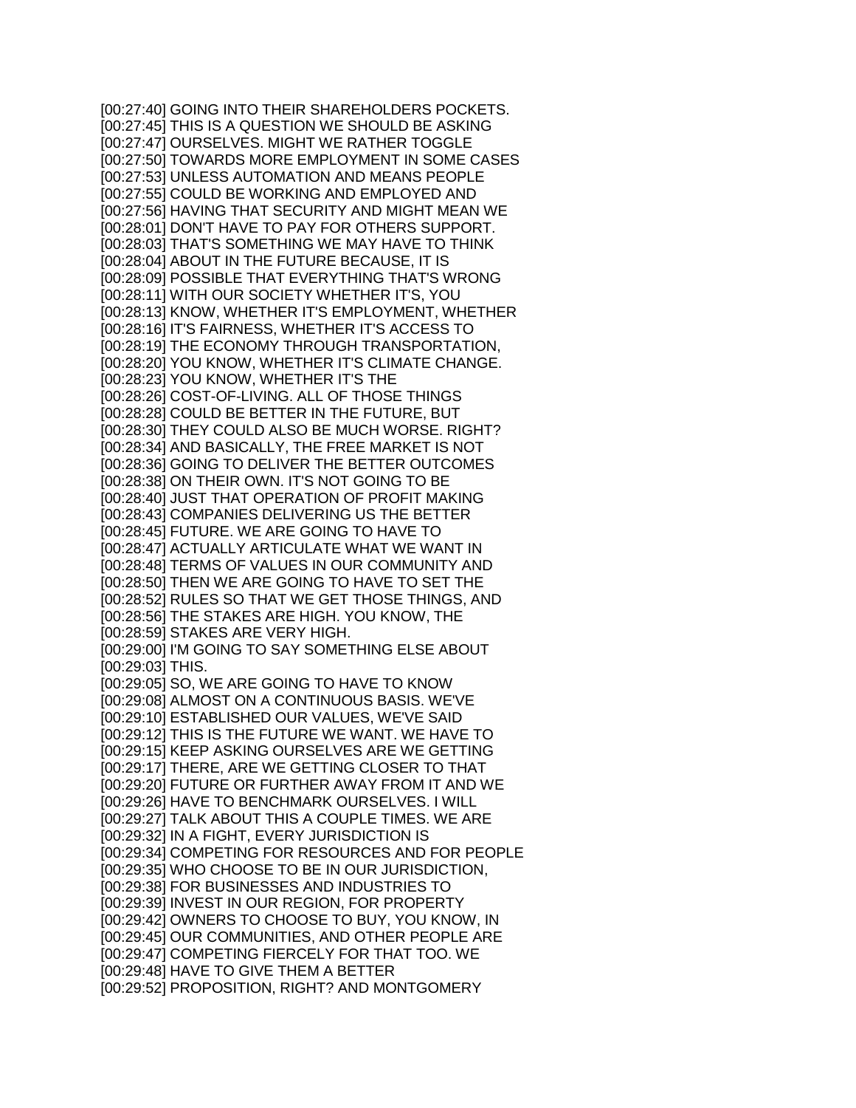[00:27:40] GOING INTO THEIR SHAREHOLDERS POCKETS. [00:27:45] THIS IS A QUESTION WE SHOULD BE ASKING [00:27:47] OURSELVES. MIGHT WE RATHER TOGGLE [00:27:50] TOWARDS MORE EMPLOYMENT IN SOME CASES [00:27:53] UNLESS AUTOMATION AND MEANS PEOPLE [00:27:55] COULD BE WORKING AND EMPLOYED AND [00:27:56] HAVING THAT SECURITY AND MIGHT MEAN WE [00:28:01] DON'T HAVE TO PAY FOR OTHERS SUPPORT. [00:28:03] THAT'S SOMETHING WE MAY HAVE TO THINK [00:28:04] ABOUT IN THE FUTURE BECAUSE, IT IS [00:28:09] POSSIBLE THAT EVERYTHING THAT'S WRONG [00:28:11] WITH OUR SOCIETY WHETHER IT'S, YOU [00:28:13] KNOW, WHETHER IT'S EMPLOYMENT, WHETHER [00:28:16] IT'S FAIRNESS, WHETHER IT'S ACCESS TO [00:28:19] THE ECONOMY THROUGH TRANSPORTATION, [00:28:20] YOU KNOW, WHETHER IT'S CLIMATE CHANGE. [00:28:23] YOU KNOW, WHETHER IT'S THE [00:28:26] COST-OF-LIVING. ALL OF THOSE THINGS [00:28:28] COULD BE BETTER IN THE FUTURE, BUT [00:28:30] THEY COULD ALSO BE MUCH WORSE. RIGHT? [00:28:34] AND BASICALLY, THE FREE MARKET IS NOT [00:28:36] GOING TO DELIVER THE BETTER OUTCOMES [00:28:38] ON THEIR OWN. IT'S NOT GOING TO BE [00:28:40] JUST THAT OPERATION OF PROFIT MAKING [00:28:43] COMPANIES DELIVERING US THE BETTER [00:28:45] FUTURE. WE ARE GOING TO HAVE TO [00:28:47] ACTUALLY ARTICULATE WHAT WE WANT IN [00:28:48] TERMS OF VALUES IN OUR COMMUNITY AND [00:28:50] THEN WE ARE GOING TO HAVE TO SET THE [00:28:52] RULES SO THAT WE GET THOSE THINGS, AND [00:28:56] THE STAKES ARE HIGH. YOU KNOW, THE [00:28:59] STAKES ARE VERY HIGH. [00:29:00] I'M GOING TO SAY SOMETHING ELSE ABOUT [00:29:03] THIS. [00:29:05] SO, WE ARE GOING TO HAVE TO KNOW [00:29:08] ALMOST ON A CONTINUOUS BASIS. WE'VE [00:29:10] ESTABLISHED OUR VALUES, WE'VE SAID [00:29:12] THIS IS THE FUTURE WE WANT. WE HAVE TO [00:29:15] KEEP ASKING OURSELVES ARE WE GETTING [00:29:17] THERE, ARE WE GETTING CLOSER TO THAT [00:29:20] FUTURE OR FURTHER AWAY FROM IT AND WE [00:29:26] HAVE TO BENCHMARK OURSELVES. I WILL [00:29:27] TALK ABOUT THIS A COUPLE TIMES. WE ARE [00:29:32] IN A FIGHT, EVERY JURISDICTION IS [00:29:34] COMPETING FOR RESOURCES AND FOR PEOPLE [00:29:35] WHO CHOOSE TO BE IN OUR JURISDICTION, [00:29:38] FOR BUSINESSES AND INDUSTRIES TO [00:29:39] INVEST IN OUR REGION, FOR PROPERTY [00:29:42] OWNERS TO CHOOSE TO BUY, YOU KNOW, IN [00:29:45] OUR COMMUNITIES, AND OTHER PEOPLE ARE [00:29:47] COMPETING FIERCELY FOR THAT TOO. WE [00:29:48] HAVE TO GIVE THEM A BETTER [00:29:52] PROPOSITION, RIGHT? AND MONTGOMERY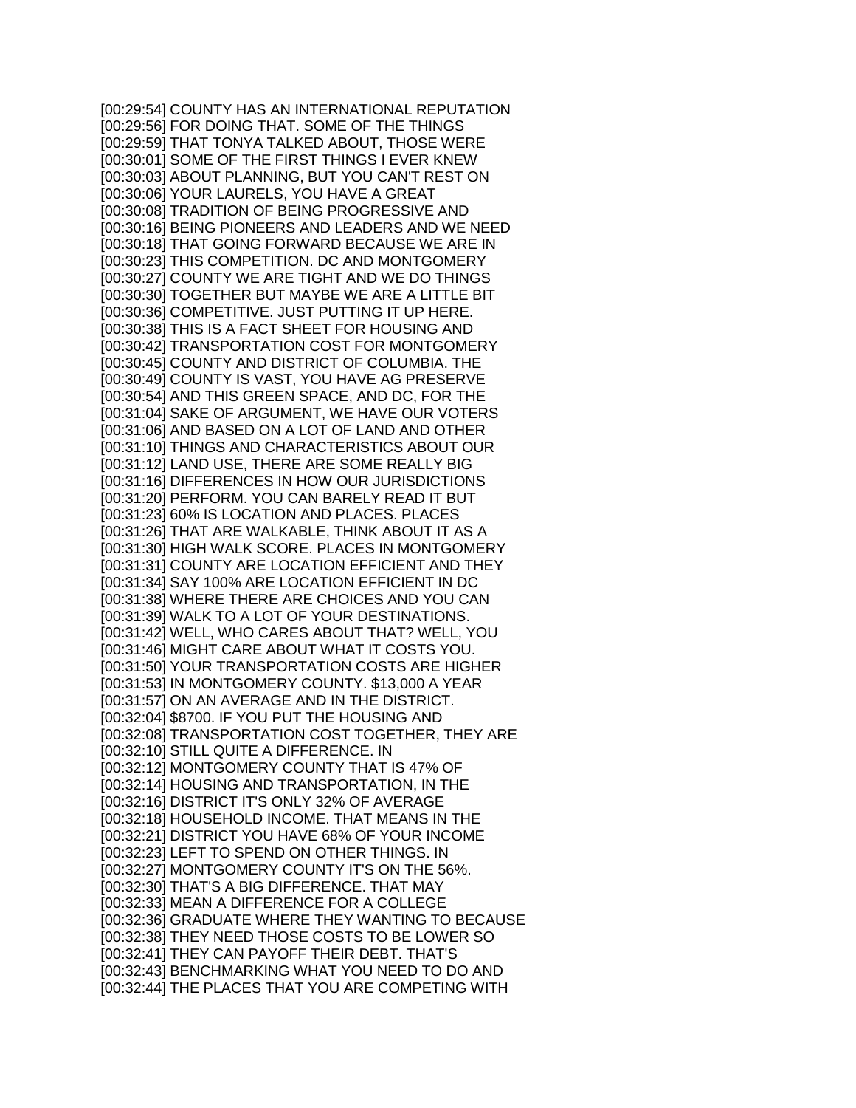[00:29:54] COUNTY HAS AN INTERNATIONAL REPUTATION [00:29:56] FOR DOING THAT. SOME OF THE THINGS [00:29:59] THAT TONYA TALKED ABOUT, THOSE WERE [00:30:01] SOME OF THE FIRST THINGS I EVER KNEW [00:30:03] ABOUT PLANNING, BUT YOU CAN'T REST ON [00:30:06] YOUR LAURELS, YOU HAVE A GREAT [00:30:08] TRADITION OF BEING PROGRESSIVE AND [00:30:16] BEING PIONEERS AND LEADERS AND WE NEED [00:30:18] THAT GOING FORWARD BECAUSE WE ARE IN [00:30:23] THIS COMPETITION. DC AND MONTGOMERY [00:30:27] COUNTY WE ARE TIGHT AND WE DO THINGS [00:30:30] TOGETHER BUT MAYBE WE ARE A LITTLE BIT [00:30:36] COMPETITIVE. JUST PUTTING IT UP HERE. [00:30:38] THIS IS A FACT SHEET FOR HOUSING AND [00:30:42] TRANSPORTATION COST FOR MONTGOMERY [00:30:45] COUNTY AND DISTRICT OF COLUMBIA. THE [00:30:49] COUNTY IS VAST, YOU HAVE AG PRESERVE [00:30:54] AND THIS GREEN SPACE, AND DC, FOR THE [00:31:04] SAKE OF ARGUMENT, WE HAVE OUR VOTERS [00:31:06] AND BASED ON A LOT OF LAND AND OTHER [00:31:10] THINGS AND CHARACTERISTICS ABOUT OUR [00:31:12] LAND USE, THERE ARE SOME REALLY BIG [00:31:16] DIFFERENCES IN HOW OUR JURISDICTIONS [00:31:20] PERFORM. YOU CAN BARELY READ IT BUT [00:31:23] 60% IS LOCATION AND PLACES. PLACES [00:31:26] THAT ARE WALKABLE, THINK ABOUT IT AS A [00:31:30] HIGH WALK SCORE. PLACES IN MONTGOMERY [00:31:31] COUNTY ARE LOCATION EFFICIENT AND THEY [00:31:34] SAY 100% ARE LOCATION EFFICIENT IN DC [00:31:38] WHERE THERE ARE CHOICES AND YOU CAN [00:31:39] WALK TO A LOT OF YOUR DESTINATIONS. [00:31:42] WELL, WHO CARES ABOUT THAT? WELL, YOU [00:31:46] MIGHT CARE ABOUT WHAT IT COSTS YOU. [00:31:50] YOUR TRANSPORTATION COSTS ARE HIGHER [00:31:53] IN MONTGOMERY COUNTY. \$13,000 A YEAR [00:31:57] ON AN AVERAGE AND IN THE DISTRICT. [00:32:04] \$8700. IF YOU PUT THE HOUSING AND [00:32:08] TRANSPORTATION COST TOGETHER, THEY ARE [00:32:10] STILL QUITE A DIFFERENCE. IN [00:32:12] MONTGOMERY COUNTY THAT IS 47% OF [00:32:14] HOUSING AND TRANSPORTATION, IN THE [00:32:16] DISTRICT IT'S ONLY 32% OF AVERAGE [00:32:18] HOUSEHOLD INCOME. THAT MEANS IN THE [00:32:21] DISTRICT YOU HAVE 68% OF YOUR INCOME [00:32:23] LEFT TO SPEND ON OTHER THINGS. IN [00:32:27] MONTGOMERY COUNTY IT'S ON THE 56%. [00:32:30] THAT'S A BIG DIFFERENCE. THAT MAY [00:32:33] MEAN A DIFFERENCE FOR A COLLEGE [00:32:36] GRADUATE WHERE THEY WANTING TO BECAUSE [00:32:38] THEY NEED THOSE COSTS TO BE LOWER SO [00:32:41] THEY CAN PAYOFF THEIR DEBT. THAT'S [00:32:43] BENCHMARKING WHAT YOU NEED TO DO AND [00:32:44] THE PLACES THAT YOU ARE COMPETING WITH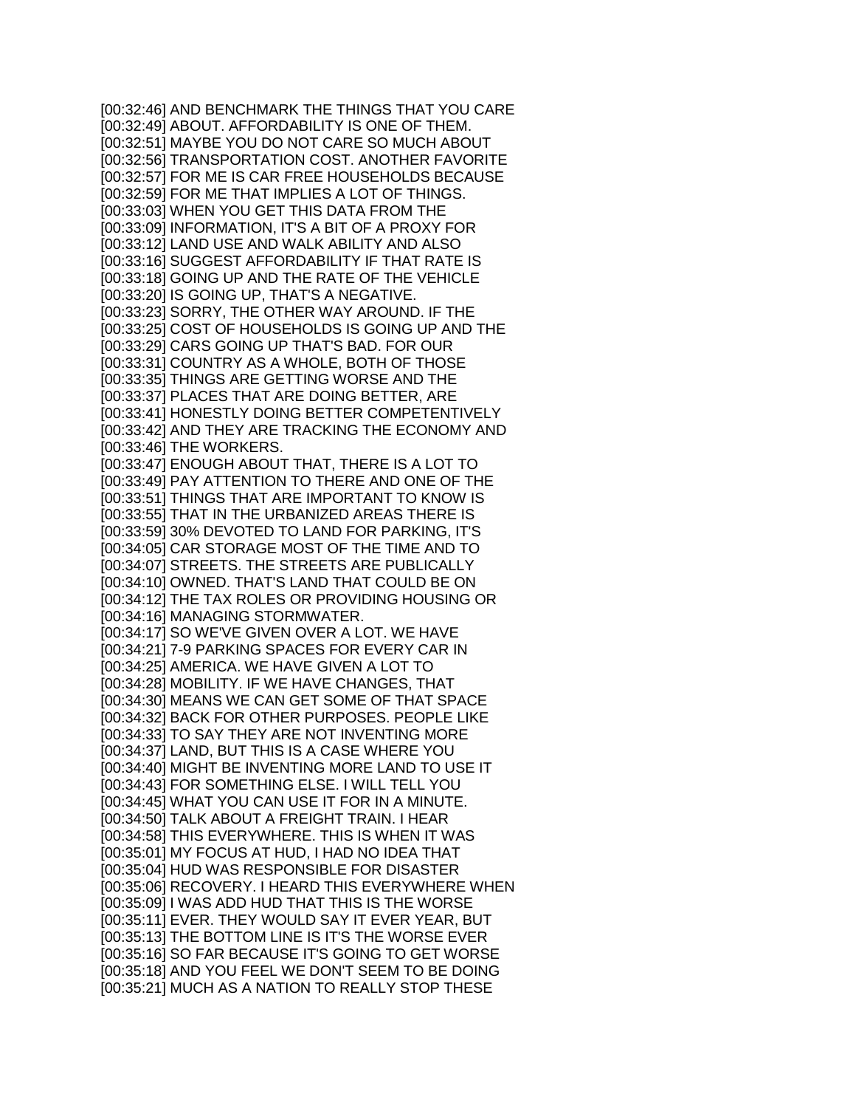[00:32:46] AND BENCHMARK THE THINGS THAT YOU CARE [00:32:49] ABOUT. AFFORDABILITY IS ONE OF THEM. [00:32:51] MAYBE YOU DO NOT CARE SO MUCH ABOUT [00:32:56] TRANSPORTATION COST. ANOTHER FAVORITE [00:32:57] FOR ME IS CAR FREE HOUSEHOLDS BECAUSE [00:32:59] FOR ME THAT IMPLIES A LOT OF THINGS. [00:33:03] WHEN YOU GET THIS DATA FROM THE [00:33:09] INFORMATION, IT'S A BIT OF A PROXY FOR [00:33:12] LAND USE AND WALK ABILITY AND ALSO [00:33:16] SUGGEST AFFORDABILITY IF THAT RATE IS [00:33:18] GOING UP AND THE RATE OF THE VEHICLE [00:33:20] IS GOING UP, THAT'S A NEGATIVE. [00:33:23] SORRY, THE OTHER WAY AROUND. IF THE [00:33:25] COST OF HOUSEHOLDS IS GOING UP AND THE [00:33:29] CARS GOING UP THAT'S BAD. FOR OUR [00:33:31] COUNTRY AS A WHOLE, BOTH OF THOSE [00:33:35] THINGS ARE GETTING WORSE AND THE [00:33:37] PLACES THAT ARE DOING BETTER, ARE [00:33:41] HONESTLY DOING BETTER COMPETENTIVELY [00:33:42] AND THEY ARE TRACKING THE ECONOMY AND [00:33:46] THE WORKERS. [00:33:47] ENOUGH ABOUT THAT, THERE IS A LOT TO [00:33:49] PAY ATTENTION TO THERE AND ONE OF THE [00:33:51] THINGS THAT ARE IMPORTANT TO KNOW IS [00:33:55] THAT IN THE URBANIZED AREAS THERE IS [00:33:59] 30% DEVOTED TO LAND FOR PARKING, IT'S [00:34:05] CAR STORAGE MOST OF THE TIME AND TO [00:34:07] STREETS. THE STREETS ARE PUBLICALLY [00:34:10] OWNED. THAT'S LAND THAT COULD BE ON [00:34:12] THE TAX ROLES OR PROVIDING HOUSING OR [00:34:16] MANAGING STORMWATER. [00:34:17] SO WE'VE GIVEN OVER A LOT. WE HAVE [00:34:21] 7-9 PARKING SPACES FOR EVERY CAR IN [00:34:25] AMERICA. WE HAVE GIVEN A LOT TO [00:34:28] MOBILITY. IF WE HAVE CHANGES, THAT [00:34:30] MEANS WE CAN GET SOME OF THAT SPACE [00:34:32] BACK FOR OTHER PURPOSES. PEOPLE LIKE [00:34:33] TO SAY THEY ARE NOT INVENTING MORE [00:34:37] LAND, BUT THIS IS A CASE WHERE YOU [00:34:40] MIGHT BE INVENTING MORE LAND TO USE IT [00:34:43] FOR SOMETHING ELSE. I WILL TELL YOU [00:34:45] WHAT YOU CAN USE IT FOR IN A MINUTE. [00:34:50] TALK ABOUT A FREIGHT TRAIN. I HEAR [00:34:58] THIS EVERYWHERE. THIS IS WHEN IT WAS [00:35:01] MY FOCUS AT HUD, I HAD NO IDEA THAT [00:35:04] HUD WAS RESPONSIBLE FOR DISASTER [00:35:06] RECOVERY. I HEARD THIS EVERYWHERE WHEN [00:35:09] I WAS ADD HUD THAT THIS IS THE WORSE [00:35:11] EVER. THEY WOULD SAY IT EVER YEAR, BUT [00:35:13] THE BOTTOM LINE IS IT'S THE WORSE EVER [00:35:16] SO FAR BECAUSE IT'S GOING TO GET WORSE [00:35:18] AND YOU FEEL WE DON'T SEEM TO BE DOING [00:35:21] MUCH AS A NATION TO REALLY STOP THESE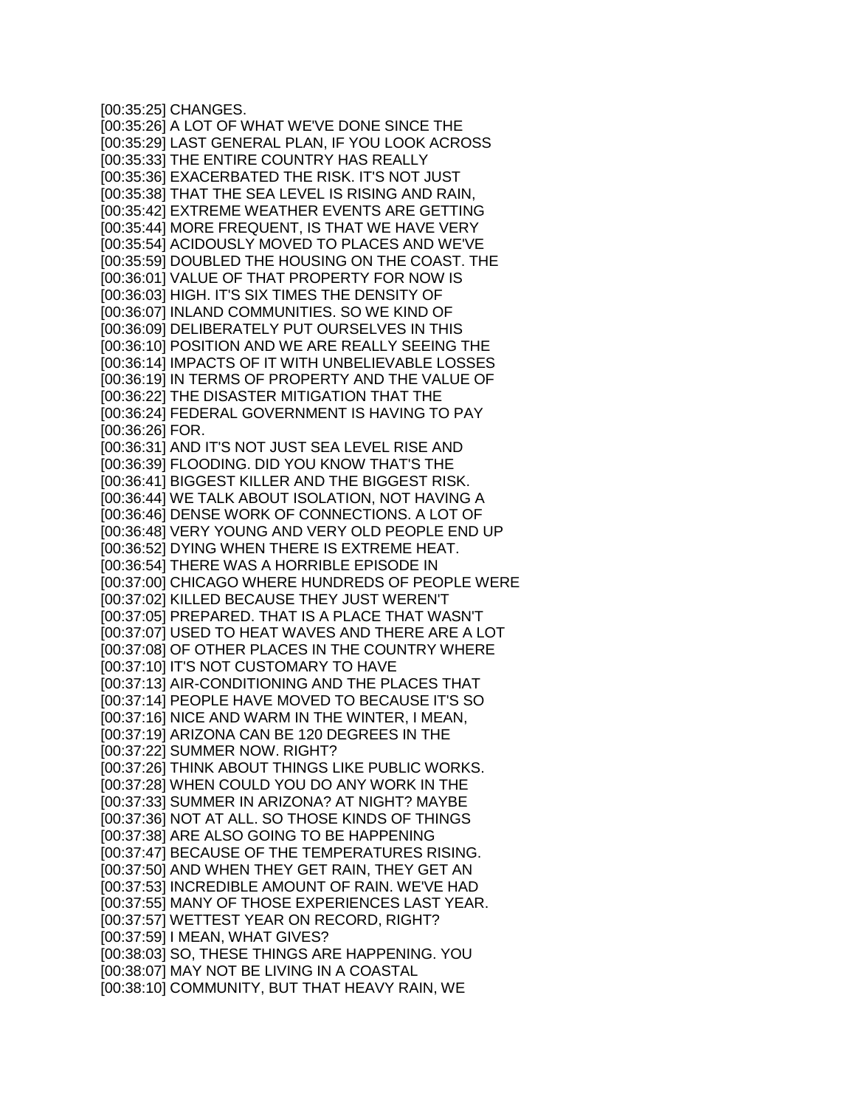[00:35:25] CHANGES. [00:35:26] A LOT OF WHAT WE'VE DONE SINCE THE [00:35:29] LAST GENERAL PLAN, IF YOU LOOK ACROSS [00:35:33] THE ENTIRE COUNTRY HAS REALLY [00:35:36] EXACERBATED THE RISK. IT'S NOT JUST [00:35:38] THAT THE SEA LEVEL IS RISING AND RAIN, [00:35:42] EXTREME WEATHER EVENTS ARE GETTING [00:35:44] MORE FREQUENT, IS THAT WE HAVE VERY [00:35:54] ACIDOUSLY MOVED TO PLACES AND WE'VE [00:35:59] DOUBLED THE HOUSING ON THE COAST. THE [00:36:01] VALUE OF THAT PROPERTY FOR NOW IS [00:36:03] HIGH. IT'S SIX TIMES THE DENSITY OF [00:36:07] INLAND COMMUNITIES. SO WE KIND OF [00:36:09] DELIBERATELY PUT OURSELVES IN THIS [00:36:10] POSITION AND WE ARE REALLY SEEING THE [00:36:14] IMPACTS OF IT WITH UNBELIEVABLE LOSSES [00:36:19] IN TERMS OF PROPERTY AND THE VALUE OF [00:36:22] THE DISASTER MITIGATION THAT THE [00:36:24] FEDERAL GOVERNMENT IS HAVING TO PAY [00:36:26] FOR. [00:36:31] AND IT'S NOT JUST SEA LEVEL RISE AND [00:36:39] FLOODING. DID YOU KNOW THAT'S THE [00:36:41] BIGGEST KILLER AND THE BIGGEST RISK. [00:36:44] WE TALK ABOUT ISOLATION, NOT HAVING A [00:36:46] DENSE WORK OF CONNECTIONS. A LOT OF [00:36:48] VERY YOUNG AND VERY OLD PEOPLE END UP [00:36:52] DYING WHEN THERE IS EXTREME HEAT. [00:36:54] THERE WAS A HORRIBLE EPISODE IN [00:37:00] CHICAGO WHERE HUNDREDS OF PEOPLE WERE [00:37:02] KILLED BECAUSE THEY JUST WEREN'T [00:37:05] PREPARED. THAT IS A PLACE THAT WASN'T [00:37:07] USED TO HEAT WAVES AND THERE ARE A LOT [00:37:08] OF OTHER PLACES IN THE COUNTRY WHERE [00:37:10] IT'S NOT CUSTOMARY TO HAVE [00:37:13] AIR-CONDITIONING AND THE PLACES THAT [00:37:14] PEOPLE HAVE MOVED TO BECAUSE IT'S SO [00:37:16] NICE AND WARM IN THE WINTER, I MEAN, [00:37:19] ARIZONA CAN BE 120 DEGREES IN THE [00:37:22] SUMMER NOW. RIGHT? [00:37:26] THINK ABOUT THINGS LIKE PUBLIC WORKS. [00:37:28] WHEN COULD YOU DO ANY WORK IN THE [00:37:33] SUMMER IN ARIZONA? AT NIGHT? MAYBE [00:37:36] NOT AT ALL. SO THOSE KINDS OF THINGS [00:37:38] ARE ALSO GOING TO BE HAPPENING [00:37:47] BECAUSE OF THE TEMPERATURES RISING. [00:37:50] AND WHEN THEY GET RAIN, THEY GET AN [00:37:53] INCREDIBLE AMOUNT OF RAIN. WE'VE HAD [00:37:55] MANY OF THOSE EXPERIENCES LAST YEAR. [00:37:57] WETTEST YEAR ON RECORD, RIGHT? [00:37:59] I MEAN, WHAT GIVES? [00:38:03] SO, THESE THINGS ARE HAPPENING. YOU [00:38:07] MAY NOT BE LIVING IN A COASTAL [00:38:10] COMMUNITY, BUT THAT HEAVY RAIN, WE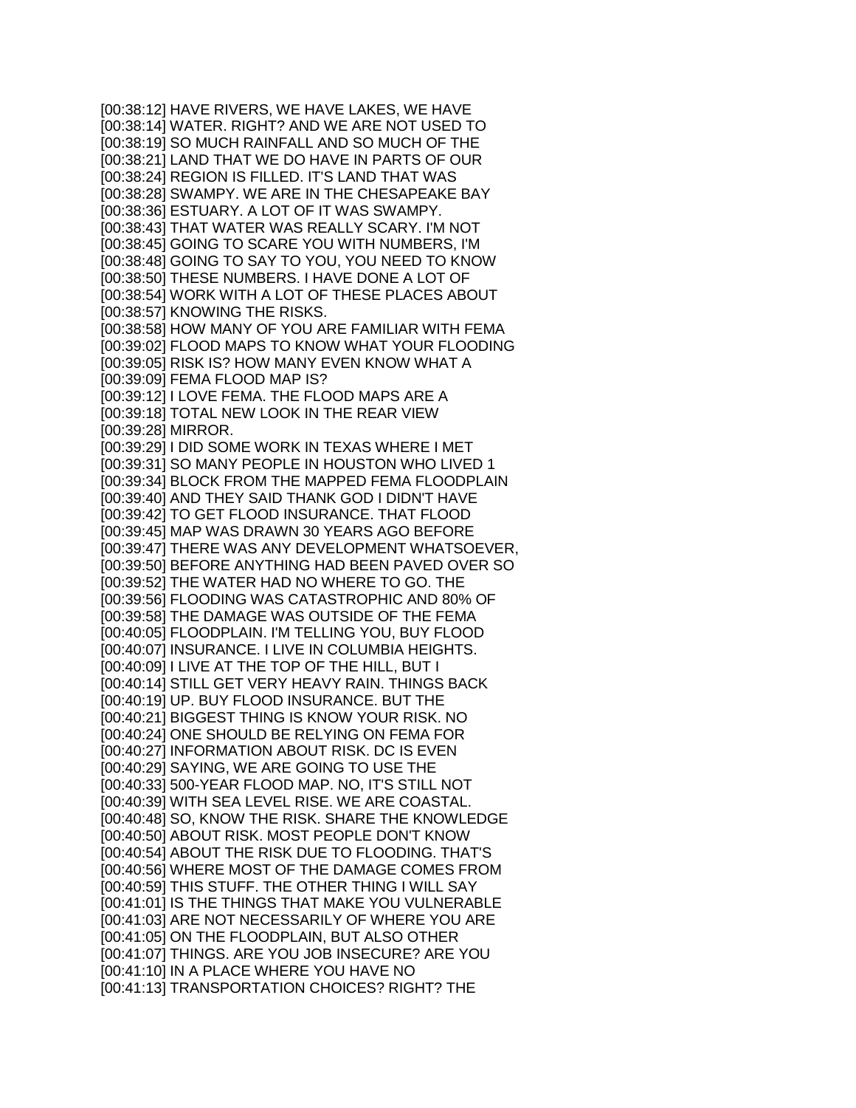[00:38:12] HAVE RIVERS, WE HAVE LAKES, WE HAVE [00:38:14] WATER. RIGHT? AND WE ARE NOT USED TO [00:38:19] SO MUCH RAINFALL AND SO MUCH OF THE [00:38:21] LAND THAT WE DO HAVE IN PARTS OF OUR [00:38:24] REGION IS FILLED. IT'S LAND THAT WAS [00:38:28] SWAMPY. WE ARE IN THE CHESAPEAKE BAY [00:38:36] ESTUARY. A LOT OF IT WAS SWAMPY. [00:38:43] THAT WATER WAS REALLY SCARY. I'M NOT [00:38:45] GOING TO SCARE YOU WITH NUMBERS, I'M [00:38:48] GOING TO SAY TO YOU, YOU NEED TO KNOW [00:38:50] THESE NUMBERS. I HAVE DONE A LOT OF [00:38:54] WORK WITH A LOT OF THESE PLACES ABOUT [00:38:57] KNOWING THE RISKS. [00:38:58] HOW MANY OF YOU ARE FAMILIAR WITH FEMA [00:39:02] FLOOD MAPS TO KNOW WHAT YOUR FLOODING [00:39:05] RISK IS? HOW MANY EVEN KNOW WHAT A [00:39:09] FEMA FLOOD MAP IS? [00:39:12] I LOVE FEMA. THE FLOOD MAPS ARE A [00:39:18] TOTAL NEW LOOK IN THE REAR VIEW [00:39:28] MIRROR. [00:39:29] I DID SOME WORK IN TEXAS WHERE I MET [00:39:31] SO MANY PEOPLE IN HOUSTON WHO LIVED 1 [00:39:34] BLOCK FROM THE MAPPED FEMA FLOODPLAIN [00:39:40] AND THEY SAID THANK GOD I DIDN'T HAVE [00:39:42] TO GET FLOOD INSURANCE. THAT FLOOD [00:39:45] MAP WAS DRAWN 30 YEARS AGO BEFORE [00:39:47] THERE WAS ANY DEVELOPMENT WHATSOEVER, [00:39:50] BEFORE ANYTHING HAD BEEN PAVED OVER SO [00:39:52] THE WATER HAD NO WHERE TO GO. THE [00:39:56] FLOODING WAS CATASTROPHIC AND 80% OF [00:39:58] THE DAMAGE WAS OUTSIDE OF THE FEMA [00:40:05] FLOODPLAIN. I'M TELLING YOU, BUY FLOOD [00:40:07] INSURANCE. I LIVE IN COLUMBIA HEIGHTS. [00:40:09] I LIVE AT THE TOP OF THE HILL, BUT I [00:40:14] STILL GET VERY HEAVY RAIN. THINGS BACK [00:40:19] UP. BUY FLOOD INSURANCE. BUT THE [00:40:21] BIGGEST THING IS KNOW YOUR RISK. NO [00:40:24] ONE SHOULD BE RELYING ON FEMA FOR [00:40:27] INFORMATION ABOUT RISK. DC IS EVEN [00:40:29] SAYING, WE ARE GOING TO USE THE [00:40:33] 500-YEAR FLOOD MAP. NO, IT'S STILL NOT [00:40:39] WITH SEA LEVEL RISE. WE ARE COASTAL. [00:40:48] SO, KNOW THE RISK. SHARE THE KNOWLEDGE [00:40:50] ABOUT RISK. MOST PEOPLE DON'T KNOW [00:40:54] ABOUT THE RISK DUE TO FLOODING. THAT'S [00:40:56] WHERE MOST OF THE DAMAGE COMES FROM [00:40:59] THIS STUFF. THE OTHER THING I WILL SAY [00:41:01] IS THE THINGS THAT MAKE YOU VULNERABLE [00:41:03] ARE NOT NECESSARILY OF WHERE YOU ARE [00:41:05] ON THE FLOODPLAIN, BUT ALSO OTHER [00:41:07] THINGS. ARE YOU JOB INSECURE? ARE YOU [00:41:10] IN A PLACE WHERE YOU HAVE NO [00:41:13] TRANSPORTATION CHOICES? RIGHT? THE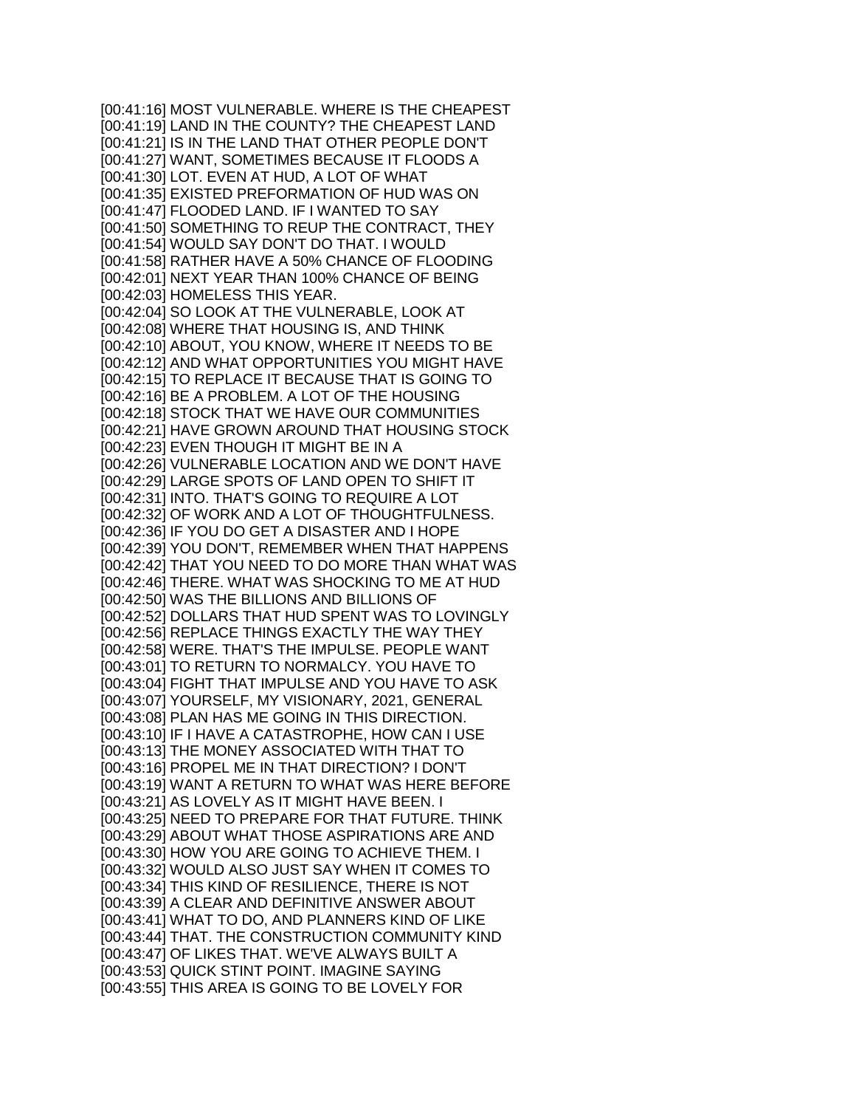[00:41:16] MOST VULNERABLE. WHERE IS THE CHEAPEST [00:41:19] LAND IN THE COUNTY? THE CHEAPEST LAND [00:41:21] IS IN THE LAND THAT OTHER PEOPLE DON'T [00:41:27] WANT, SOMETIMES BECAUSE IT FLOODS A [00:41:30] LOT. EVEN AT HUD, A LOT OF WHAT [00:41:35] EXISTED PREFORMATION OF HUD WAS ON [00:41:47] FLOODED LAND. IF I WANTED TO SAY [00:41:50] SOMETHING TO REUP THE CONTRACT, THEY [00:41:54] WOULD SAY DON'T DO THAT. I WOULD [00:41:58] RATHER HAVE A 50% CHANCE OF FLOODING [00:42:01] NEXT YEAR THAN 100% CHANCE OF BEING [00:42:03] HOMELESS THIS YEAR. [00:42:04] SO LOOK AT THE VULNERABLE, LOOK AT [00:42:08] WHERE THAT HOUSING IS, AND THINK [00:42:10] ABOUT, YOU KNOW, WHERE IT NEEDS TO BE [00:42:12] AND WHAT OPPORTUNITIES YOU MIGHT HAVE [00:42:15] TO REPLACE IT BECAUSE THAT IS GOING TO [00:42:16] BE A PROBLEM. A LOT OF THE HOUSING [00:42:18] STOCK THAT WE HAVE OUR COMMUNITIES [00:42:21] HAVE GROWN AROUND THAT HOUSING STOCK [00:42:23] EVEN THOUGH IT MIGHT BE IN A [00:42:26] VULNERABLE LOCATION AND WE DON'T HAVE [00:42:29] LARGE SPOTS OF LAND OPEN TO SHIFT IT [00:42:31] INTO. THAT'S GOING TO REQUIRE A LOT [00:42:32] OF WORK AND A LOT OF THOUGHTFULNESS. [00:42:36] IF YOU DO GET A DISASTER AND I HOPE [00:42:39] YOU DON'T, REMEMBER WHEN THAT HAPPENS [00:42:42] THAT YOU NEED TO DO MORE THAN WHAT WAS [00:42:46] THERE. WHAT WAS SHOCKING TO ME AT HUD [00:42:50] WAS THE BILLIONS AND BILLIONS OF [00:42:52] DOLLARS THAT HUD SPENT WAS TO LOVINGLY [00:42:56] REPLACE THINGS EXACTLY THE WAY THEY [00:42:58] WERE. THAT'S THE IMPULSE. PEOPLE WANT [00:43:01] TO RETURN TO NORMALCY. YOU HAVE TO [00:43:04] FIGHT THAT IMPULSE AND YOU HAVE TO ASK [00:43:07] YOURSELF, MY VISIONARY, 2021, GENERAL [00:43:08] PLAN HAS ME GOING IN THIS DIRECTION. [00:43:10] IF I HAVE A CATASTROPHE, HOW CAN I USE [00:43:13] THE MONEY ASSOCIATED WITH THAT TO [00:43:16] PROPEL ME IN THAT DIRECTION? I DON'T [00:43:19] WANT A RETURN TO WHAT WAS HERE BEFORE [00:43:21] AS LOVELY AS IT MIGHT HAVE BEEN. I [00:43:25] NEED TO PREPARE FOR THAT FUTURE. THINK [00:43:29] ABOUT WHAT THOSE ASPIRATIONS ARE AND [00:43:30] HOW YOU ARE GOING TO ACHIEVE THEM. I [00:43:32] WOULD ALSO JUST SAY WHEN IT COMES TO [00:43:34] THIS KIND OF RESILIENCE, THERE IS NOT [00:43:39] A CLEAR AND DEFINITIVE ANSWER ABOUT [00:43:41] WHAT TO DO, AND PLANNERS KIND OF LIKE [00:43:44] THAT. THE CONSTRUCTION COMMUNITY KIND [00:43:47] OF LIKES THAT. WE'VE ALWAYS BUILT A [00:43:53] QUICK STINT POINT. IMAGINE SAYING [00:43:55] THIS AREA IS GOING TO BE LOVELY FOR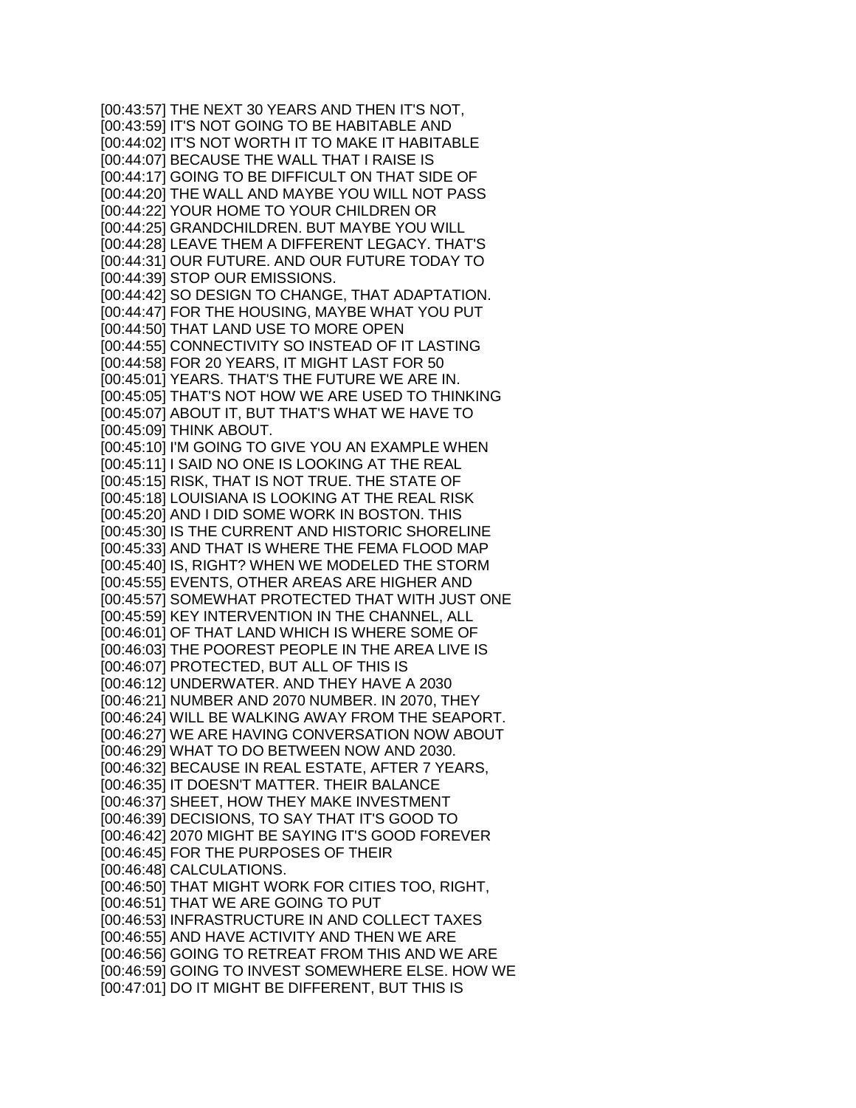[00:43:57] THE NEXT 30 YEARS AND THEN IT'S NOT, [00:43:59] IT'S NOT GOING TO BE HABITABLE AND [00:44:02] IT'S NOT WORTH IT TO MAKE IT HABITABLE [00:44:07] BECAUSE THE WALL THAT I RAISE IS [00:44:17] GOING TO BE DIFFICULT ON THAT SIDE OF [00:44:20] THE WALL AND MAYBE YOU WILL NOT PASS [00:44:22] YOUR HOME TO YOUR CHILDREN OR [00:44:25] GRANDCHILDREN. BUT MAYBE YOU WILL [00:44:28] LEAVE THEM A DIFFERENT LEGACY. THAT'S [00:44:31] OUR FUTURE. AND OUR FUTURE TODAY TO [00:44:39] STOP OUR EMISSIONS. [00:44:42] SO DESIGN TO CHANGE, THAT ADAPTATION. [00:44:47] FOR THE HOUSING, MAYBE WHAT YOU PUT [00:44:50] THAT LAND USE TO MORE OPEN [00:44:55] CONNECTIVITY SO INSTEAD OF IT LASTING [00:44:58] FOR 20 YEARS, IT MIGHT LAST FOR 50 [00:45:01] YEARS. THAT'S THE FUTURE WE ARE IN. [00:45:05] THAT'S NOT HOW WE ARE USED TO THINKING [00:45:07] ABOUT IT, BUT THAT'S WHAT WE HAVE TO [00:45:09] THINK ABOUT. [00:45:10] I'M GOING TO GIVE YOU AN EXAMPLE WHEN [00:45:11] I SAID NO ONE IS LOOKING AT THE REAL [00:45:15] RISK, THAT IS NOT TRUE. THE STATE OF [00:45:18] LOUISIANA IS LOOKING AT THE REAL RISK [00:45:20] AND I DID SOME WORK IN BOSTON. THIS [00:45:30] IS THE CURRENT AND HISTORIC SHORELINE [00:45:33] AND THAT IS WHERE THE FEMA FLOOD MAP [00:45:40] IS, RIGHT? WHEN WE MODELED THE STORM [00:45:55] EVENTS, OTHER AREAS ARE HIGHER AND [00:45:57] SOMEWHAT PROTECTED THAT WITH JUST ONE [00:45:59] KEY INTERVENTION IN THE CHANNEL, ALL [00:46:01] OF THAT LAND WHICH IS WHERE SOME OF [00:46:03] THE POOREST PEOPLE IN THE AREA LIVE IS [00:46:07] PROTECTED, BUT ALL OF THIS IS [00:46:12] UNDERWATER. AND THEY HAVE A 2030 [00:46:21] NUMBER AND 2070 NUMBER. IN 2070, THEY [00:46:24] WILL BE WALKING AWAY FROM THE SEAPORT. [00:46:27] WE ARE HAVING CONVERSATION NOW ABOUT [00:46:29] WHAT TO DO BETWEEN NOW AND 2030. [00:46:32] BECAUSE IN REAL ESTATE, AFTER 7 YEARS, [00:46:35] IT DOESN'T MATTER. THEIR BALANCE [00:46:37] SHEET, HOW THEY MAKE INVESTMENT [00:46:39] DECISIONS, TO SAY THAT IT'S GOOD TO [00:46:42] 2070 MIGHT BE SAYING IT'S GOOD FOREVER [00:46:45] FOR THE PURPOSES OF THEIR [00:46:48] CALCULATIONS. [00:46:50] THAT MIGHT WORK FOR CITIES TOO, RIGHT, [00:46:51] THAT WE ARE GOING TO PUT [00:46:53] INFRASTRUCTURE IN AND COLLECT TAXES [00:46:55] AND HAVE ACTIVITY AND THEN WE ARE [00:46:56] GOING TO RETREAT FROM THIS AND WE ARE [00:46:59] GOING TO INVEST SOMEWHERE ELSE. HOW WE [00:47:01] DO IT MIGHT BE DIFFERENT, BUT THIS IS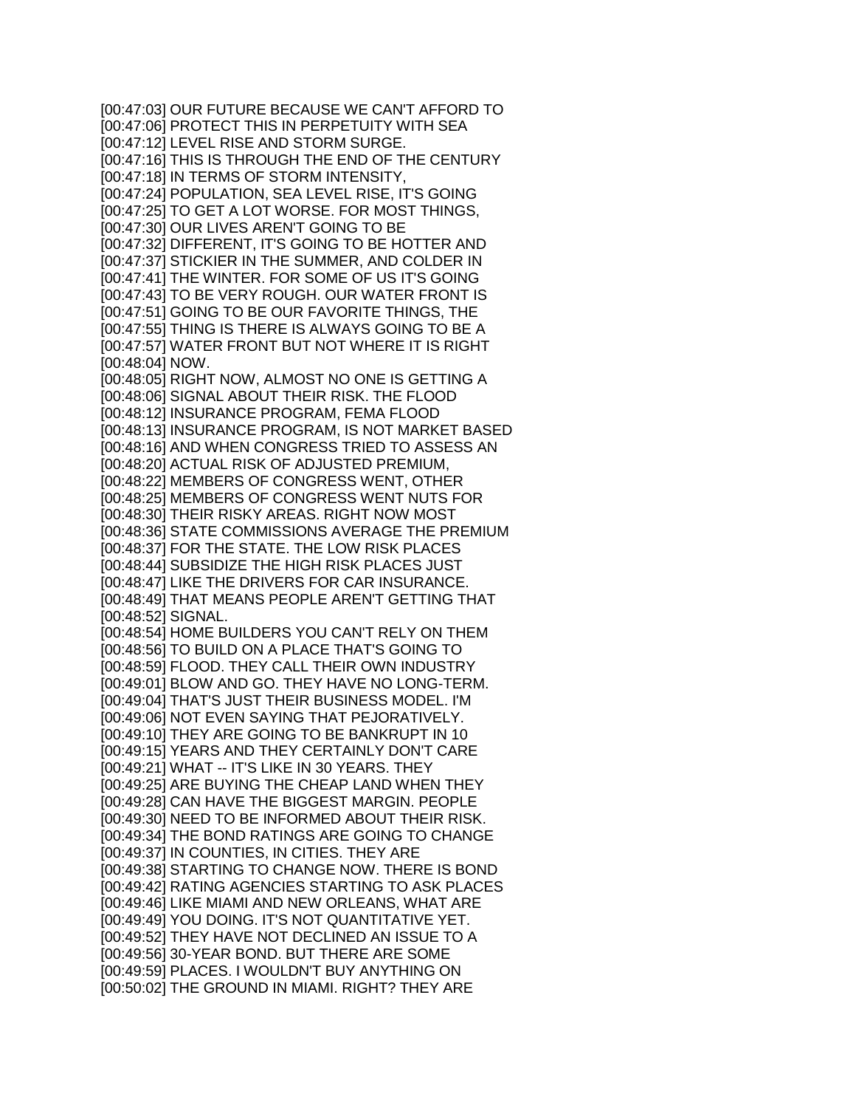[00:47:03] OUR FUTURE BECAUSE WE CAN'T AFFORD TO [00:47:06] PROTECT THIS IN PERPETUITY WITH SEA [00:47:12] LEVEL RISE AND STORM SURGE. [00:47:16] THIS IS THROUGH THE END OF THE CENTURY [00:47:18] IN TERMS OF STORM INTENSITY, [00:47:24] POPULATION, SEA LEVEL RISE, IT'S GOING [00:47:25] TO GET A LOT WORSE. FOR MOST THINGS, [00:47:30] OUR LIVES AREN'T GOING TO BE [00:47:32] DIFFERENT, IT'S GOING TO BE HOTTER AND [00:47:37] STICKIER IN THE SUMMER, AND COLDER IN [00:47:41] THE WINTER. FOR SOME OF US IT'S GOING [00:47:43] TO BE VERY ROUGH. OUR WATER FRONT IS [00:47:51] GOING TO BE OUR FAVORITE THINGS, THE [00:47:55] THING IS THERE IS ALWAYS GOING TO BE A [00:47:57] WATER FRONT BUT NOT WHERE IT IS RIGHT [00:48:04] NOW. [00:48:05] RIGHT NOW, ALMOST NO ONE IS GETTING A [00:48:06] SIGNAL ABOUT THEIR RISK. THE FLOOD [00:48:12] INSURANCE PROGRAM, FEMA FLOOD [00:48:13] INSURANCE PROGRAM, IS NOT MARKET BASED [00:48:16] AND WHEN CONGRESS TRIED TO ASSESS AN [00:48:20] ACTUAL RISK OF ADJUSTED PREMIUM, [00:48:22] MEMBERS OF CONGRESS WENT, OTHER [00:48:25] MEMBERS OF CONGRESS WENT NUTS FOR [00:48:30] THEIR RISKY AREAS. RIGHT NOW MOST [00:48:36] STATE COMMISSIONS AVERAGE THE PREMIUM [00:48:37] FOR THE STATE. THE LOW RISK PLACES [00:48:44] SUBSIDIZE THE HIGH RISK PLACES JUST [00:48:47] LIKE THE DRIVERS FOR CAR INSURANCE. [00:48:49] THAT MEANS PEOPLE AREN'T GETTING THAT [00:48:52] SIGNAL. [00:48:54] HOME BUILDERS YOU CAN'T RELY ON THEM [00:48:56] TO BUILD ON A PLACE THAT'S GOING TO [00:48:59] FLOOD. THEY CALL THEIR OWN INDUSTRY [00:49:01] BLOW AND GO. THEY HAVE NO LONG-TERM. [00:49:04] THAT'S JUST THEIR BUSINESS MODEL. I'M [00:49:06] NOT EVEN SAYING THAT PEJORATIVELY. [00:49:10] THEY ARE GOING TO BE BANKRUPT IN 10 [00:49:15] YEARS AND THEY CERTAINLY DON'T CARE [00:49:21] WHAT -- IT'S LIKE IN 30 YEARS. THEY [00:49:25] ARE BUYING THE CHEAP LAND WHEN THEY [00:49:28] CAN HAVE THE BIGGEST MARGIN. PEOPLE [00:49:30] NEED TO BE INFORMED ABOUT THEIR RISK. [00:49:34] THE BOND RATINGS ARE GOING TO CHANGE [00:49:37] IN COUNTIES, IN CITIES. THEY ARE [00:49:38] STARTING TO CHANGE NOW. THERE IS BOND [00:49:42] RATING AGENCIES STARTING TO ASK PLACES [00:49:46] LIKE MIAMI AND NEW ORLEANS, WHAT ARE [00:49:49] YOU DOING. IT'S NOT QUANTITATIVE YET. [00:49:52] THEY HAVE NOT DECLINED AN ISSUE TO A [00:49:56] 30-YEAR BOND. BUT THERE ARE SOME [00:49:59] PLACES. I WOULDN'T BUY ANYTHING ON [00:50:02] THE GROUND IN MIAMI. RIGHT? THEY ARE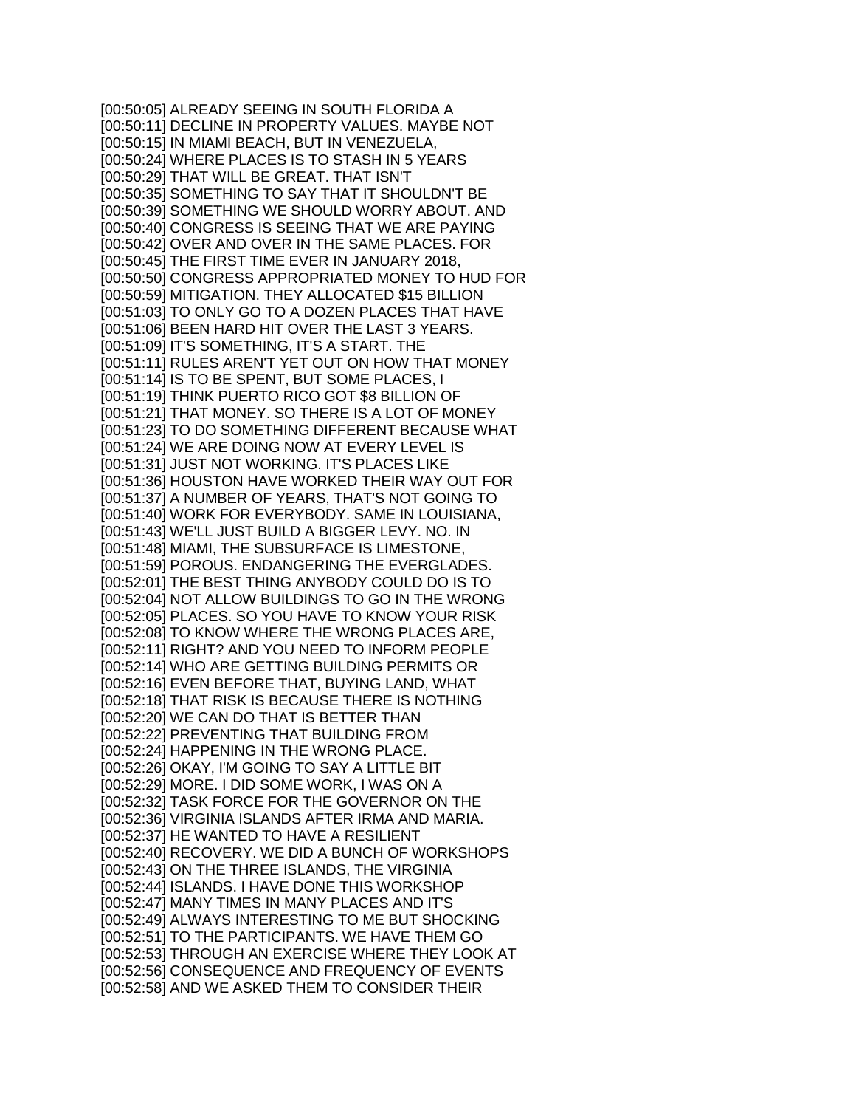[00:50:05] ALREADY SEEING IN SOUTH FLORIDA A [00:50:11] DECLINE IN PROPERTY VALUES. MAYBE NOT [00:50:15] IN MIAMI BEACH, BUT IN VENEZUELA, [00:50:24] WHERE PLACES IS TO STASH IN 5 YEARS [00:50:29] THAT WILL BE GREAT. THAT ISN'T [00:50:35] SOMETHING TO SAY THAT IT SHOULDN'T BE [00:50:39] SOMETHING WE SHOULD WORRY ABOUT. AND [00:50:40] CONGRESS IS SEEING THAT WE ARE PAYING [00:50:42] OVER AND OVER IN THE SAME PLACES. FOR [00:50:45] THE FIRST TIME EVER IN JANUARY 2018, [00:50:50] CONGRESS APPROPRIATED MONEY TO HUD FOR [00:50:59] MITIGATION. THEY ALLOCATED \$15 BILLION [00:51:03] TO ONLY GO TO A DOZEN PLACES THAT HAVE [00:51:06] BEEN HARD HIT OVER THE LAST 3 YEARS. [00:51:09] IT'S SOMETHING, IT'S A START. THE [00:51:11] RULES AREN'T YET OUT ON HOW THAT MONEY [00:51:14] IS TO BE SPENT, BUT SOME PLACES, I [00:51:19] THINK PUERTO RICO GOT \$8 BILLION OF [00:51:21] THAT MONEY. SO THERE IS A LOT OF MONEY [00:51:23] TO DO SOMETHING DIFFERENT BECAUSE WHAT [00:51:24] WE ARE DOING NOW AT EVERY LEVEL IS [00:51:31] JUST NOT WORKING. IT'S PLACES LIKE [00:51:36] HOUSTON HAVE WORKED THEIR WAY OUT FOR [00:51:37] A NUMBER OF YEARS, THAT'S NOT GOING TO [00:51:40] WORK FOR EVERYBODY. SAME IN LOUISIANA, [00:51:43] WE'LL JUST BUILD A BIGGER LEVY. NO. IN [00:51:48] MIAMI, THE SUBSURFACE IS LIMESTONE, [00:51:59] POROUS. ENDANGERING THE EVERGLADES. [00:52:01] THE BEST THING ANYBODY COULD DO IS TO [00:52:04] NOT ALLOW BUILDINGS TO GO IN THE WRONG [00:52:05] PLACES. SO YOU HAVE TO KNOW YOUR RISK [00:52:08] TO KNOW WHERE THE WRONG PLACES ARE, [00:52:11] RIGHT? AND YOU NEED TO INFORM PEOPLE [00:52:14] WHO ARE GETTING BUILDING PERMITS OR [00:52:16] EVEN BEFORE THAT, BUYING LAND, WHAT [00:52:18] THAT RISK IS BECAUSE THERE IS NOTHING [00:52:20] WE CAN DO THAT IS BETTER THAN [00:52:22] PREVENTING THAT BUILDING FROM [00:52:24] HAPPENING IN THE WRONG PLACE. [00:52:26] OKAY, I'M GOING TO SAY A LITTLE BIT [00:52:29] MORE. I DID SOME WORK, I WAS ON A [00:52:32] TASK FORCE FOR THE GOVERNOR ON THE [00:52:36] VIRGINIA ISLANDS AFTER IRMA AND MARIA. [00:52:37] HE WANTED TO HAVE A RESILIENT [00:52:40] RECOVERY. WE DID A BUNCH OF WORKSHOPS [00:52:43] ON THE THREE ISLANDS, THE VIRGINIA [00:52:44] ISLANDS. I HAVE DONE THIS WORKSHOP [00:52:47] MANY TIMES IN MANY PLACES AND IT'S [00:52:49] ALWAYS INTERESTING TO ME BUT SHOCKING [00:52:51] TO THE PARTICIPANTS. WE HAVE THEM GO [00:52:53] THROUGH AN EXERCISE WHERE THEY LOOK AT [00:52:56] CONSEQUENCE AND FREQUENCY OF EVENTS [00:52:58] AND WE ASKED THEM TO CONSIDER THEIR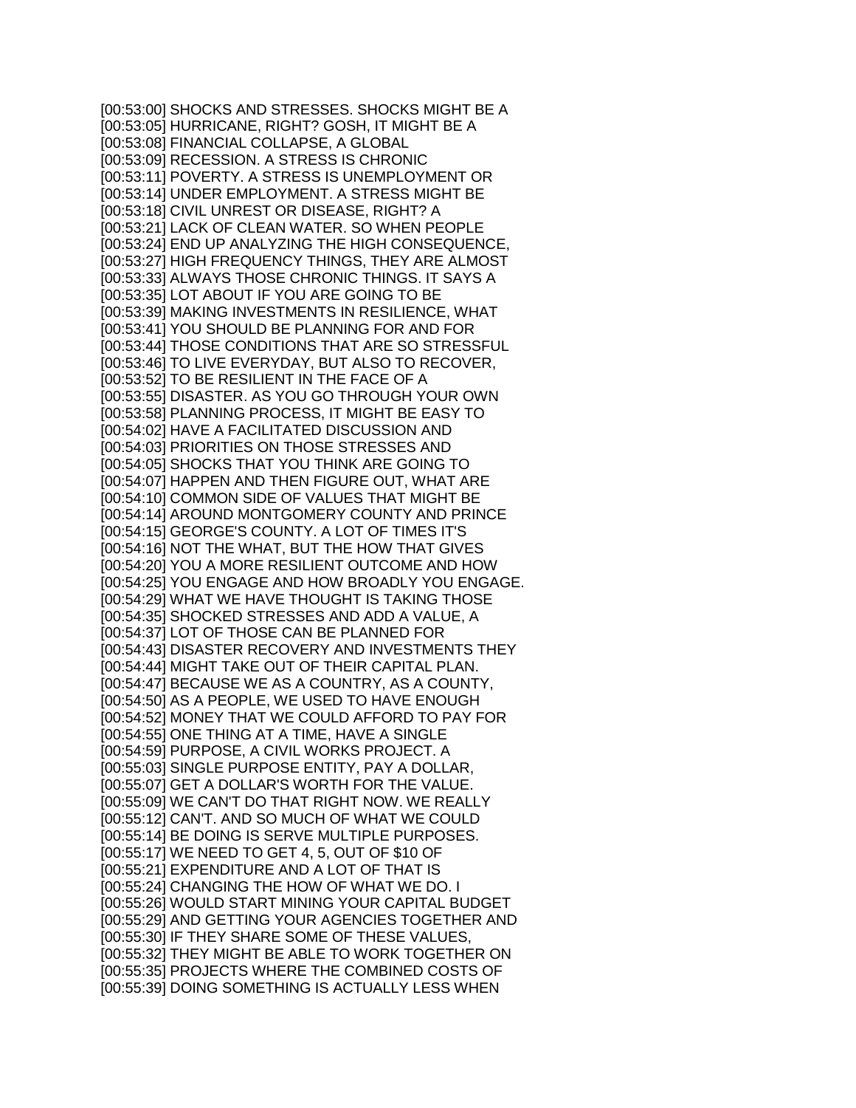[00:53:00] SHOCKS AND STRESSES. SHOCKS MIGHT BE A [00:53:05] HURRICANE, RIGHT? GOSH, IT MIGHT BE A [00:53:08] FINANCIAL COLLAPSE, A GLOBAL [00:53:09] RECESSION. A STRESS IS CHRONIC [00:53:11] POVERTY. A STRESS IS UNEMPLOYMENT OR [00:53:14] UNDER EMPLOYMENT. A STRESS MIGHT BE [00:53:18] CIVIL UNREST OR DISEASE, RIGHT? A [00:53:21] LACK OF CLEAN WATER. SO WHEN PEOPLE [00:53:24] END UP ANALYZING THE HIGH CONSEQUENCE, [00:53:27] HIGH FREQUENCY THINGS, THEY ARE ALMOST [00:53:33] ALWAYS THOSE CHRONIC THINGS. IT SAYS A [00:53:35] LOT ABOUT IF YOU ARE GOING TO BE [00:53:39] MAKING INVESTMENTS IN RESILIENCE, WHAT [00:53:41] YOU SHOULD BE PLANNING FOR AND FOR [00:53:44] THOSE CONDITIONS THAT ARE SO STRESSFUL [00:53:46] TO LIVE EVERYDAY, BUT ALSO TO RECOVER, [00:53:52] TO BE RESILIENT IN THE FACE OF A [00:53:55] DISASTER. AS YOU GO THROUGH YOUR OWN [00:53:58] PLANNING PROCESS, IT MIGHT BE EASY TO [00:54:02] HAVE A FACILITATED DISCUSSION AND [00:54:03] PRIORITIES ON THOSE STRESSES AND [00:54:05] SHOCKS THAT YOU THINK ARE GOING TO [00:54:07] HAPPEN AND THEN FIGURE OUT, WHAT ARE [00:54:10] COMMON SIDE OF VALUES THAT MIGHT BE [00:54:14] AROUND MONTGOMERY COUNTY AND PRINCE [00:54:15] GEORGE'S COUNTY. A LOT OF TIMES IT'S [00:54:16] NOT THE WHAT, BUT THE HOW THAT GIVES [00:54:20] YOU A MORE RESILIENT OUTCOME AND HOW [00:54:25] YOU ENGAGE AND HOW BROADLY YOU ENGAGE. [00:54:29] WHAT WE HAVE THOUGHT IS TAKING THOSE [00:54:35] SHOCKED STRESSES AND ADD A VALUE, A [00:54:37] LOT OF THOSE CAN BE PLANNED FOR [00:54:43] DISASTER RECOVERY AND INVESTMENTS THEY [00:54:44] MIGHT TAKE OUT OF THEIR CAPITAL PLAN. [00:54:47] BECAUSE WE AS A COUNTRY, AS A COUNTY, [00:54:50] AS A PEOPLE, WE USED TO HAVE ENOUGH [00:54:52] MONEY THAT WE COULD AFFORD TO PAY FOR [00:54:55] ONE THING AT A TIME, HAVE A SINGLE [00:54:59] PURPOSE, A CIVIL WORKS PROJECT. A [00:55:03] SINGLE PURPOSE ENTITY, PAY A DOLLAR, [00:55:07] GET A DOLLAR'S WORTH FOR THE VALUE. [00:55:09] WE CAN'T DO THAT RIGHT NOW. WE REALLY [00:55:12] CAN'T. AND SO MUCH OF WHAT WE COULD [00:55:14] BE DOING IS SERVE MULTIPLE PURPOSES. [00:55:17] WE NEED TO GET 4, 5, OUT OF \$10 OF [00:55:21] EXPENDITURE AND A LOT OF THAT IS [00:55:24] CHANGING THE HOW OF WHAT WE DO. I [00:55:26] WOULD START MINING YOUR CAPITAL BUDGET [00:55:29] AND GETTING YOUR AGENCIES TOGETHER AND [00:55:30] IF THEY SHARE SOME OF THESE VALUES, [00:55:32] THEY MIGHT BE ABLE TO WORK TOGETHER ON [00:55:35] PROJECTS WHERE THE COMBINED COSTS OF [00:55:39] DOING SOMETHING IS ACTUALLY LESS WHEN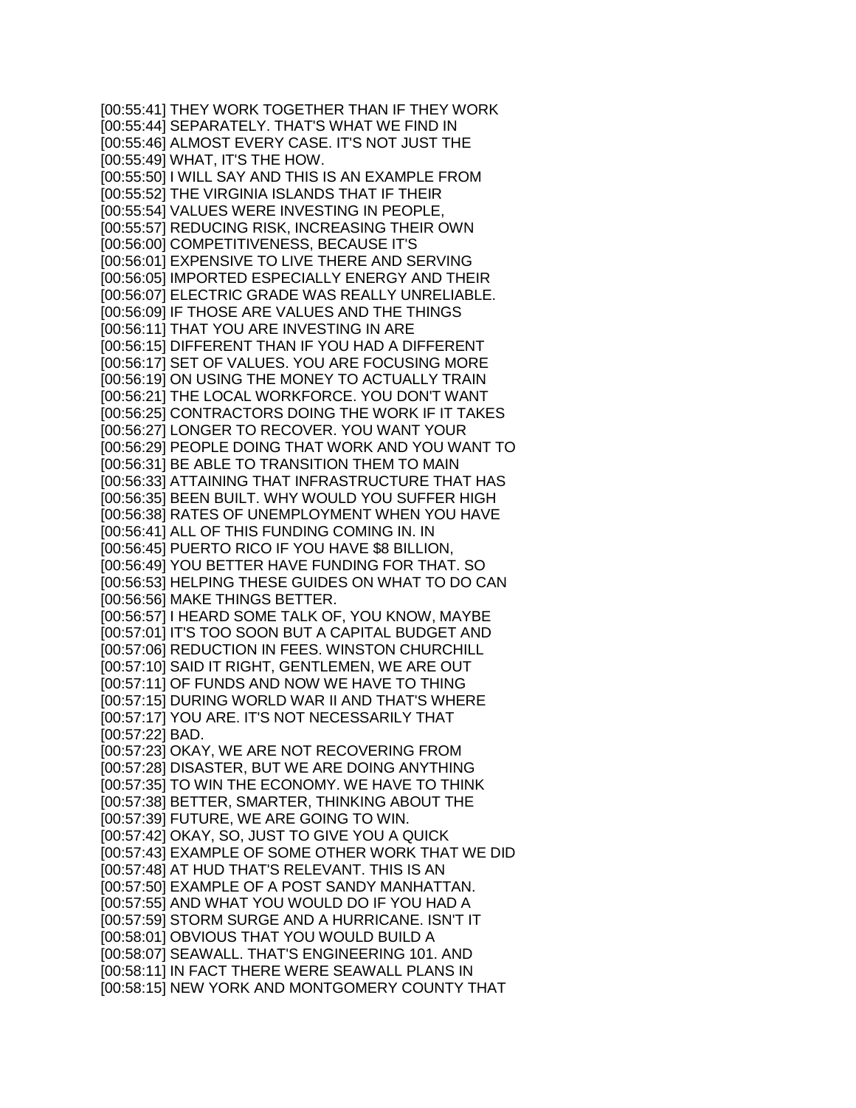[00:55:41] THEY WORK TOGETHER THAN IF THEY WORK [00:55:44] SEPARATELY. THAT'S WHAT WE FIND IN [00:55:46] ALMOST EVERY CASE. IT'S NOT JUST THE [00:55:49] WHAT, IT'S THE HOW. [00:55:50] I WILL SAY AND THIS IS AN EXAMPLE FROM [00:55:52] THE VIRGINIA ISLANDS THAT IF THEIR [00:55:54] VALUES WERE INVESTING IN PEOPLE, [00:55:57] REDUCING RISK, INCREASING THEIR OWN [00:56:00] COMPETITIVENESS, BECAUSE IT'S [00:56:01] EXPENSIVE TO LIVE THERE AND SERVING [00:56:05] IMPORTED ESPECIALLY ENERGY AND THEIR [00:56:07] ELECTRIC GRADE WAS REALLY UNRELIABLE. [00:56:09] IF THOSE ARE VALUES AND THE THINGS [00:56:11] THAT YOU ARE INVESTING IN ARE [00:56:15] DIFFERENT THAN IF YOU HAD A DIFFERENT [00:56:17] SET OF VALUES. YOU ARE FOCUSING MORE [00:56:19] ON USING THE MONEY TO ACTUALLY TRAIN [00:56:21] THE LOCAL WORKFORCE. YOU DON'T WANT [00:56:25] CONTRACTORS DOING THE WORK IF IT TAKES [00:56:27] LONGER TO RECOVER. YOU WANT YOUR [00:56:29] PEOPLE DOING THAT WORK AND YOU WANT TO [00:56:31] BE ABLE TO TRANSITION THEM TO MAIN [00:56:33] ATTAINING THAT INFRASTRUCTURE THAT HAS [00:56:35] BEEN BUILT. WHY WOULD YOU SUFFER HIGH [00:56:38] RATES OF UNEMPLOYMENT WHEN YOU HAVE [00:56:41] ALL OF THIS FUNDING COMING IN. IN [00:56:45] PUERTO RICO IF YOU HAVE \$8 BILLION, [00:56:49] YOU BETTER HAVE FUNDING FOR THAT. SO [00:56:53] HELPING THESE GUIDES ON WHAT TO DO CAN [00:56:56] MAKE THINGS BETTER. [00:56:57] I HEARD SOME TALK OF, YOU KNOW, MAYBE [00:57:01] IT'S TOO SOON BUT A CAPITAL BUDGET AND [00:57:06] REDUCTION IN FEES. WINSTON CHURCHILL [00:57:10] SAID IT RIGHT, GENTLEMEN, WE ARE OUT [00:57:11] OF FUNDS AND NOW WE HAVE TO THING [00:57:15] DURING WORLD WAR II AND THAT'S WHERE [00:57:17] YOU ARE. IT'S NOT NECESSARILY THAT [00:57:22] BAD. [00:57:23] OKAY, WE ARE NOT RECOVERING FROM [00:57:28] DISASTER, BUT WE ARE DOING ANYTHING [00:57:35] TO WIN THE ECONOMY. WE HAVE TO THINK [00:57:38] BETTER, SMARTER, THINKING ABOUT THE [00:57:39] FUTURE, WE ARE GOING TO WIN. [00:57:42] OKAY, SO, JUST TO GIVE YOU A QUICK [00:57:43] EXAMPLE OF SOME OTHER WORK THAT WE DID [00:57:48] AT HUD THAT'S RELEVANT. THIS IS AN [00:57:50] EXAMPLE OF A POST SANDY MANHATTAN. [00:57:55] AND WHAT YOU WOULD DO IF YOU HAD A [00:57:59] STORM SURGE AND A HURRICANE. ISN'T IT [00:58:01] OBVIOUS THAT YOU WOULD BUILD A [00:58:07] SEAWALL. THAT'S ENGINEERING 101. AND [00:58:11] IN FACT THERE WERE SEAWALL PLANS IN [00:58:15] NEW YORK AND MONTGOMERY COUNTY THAT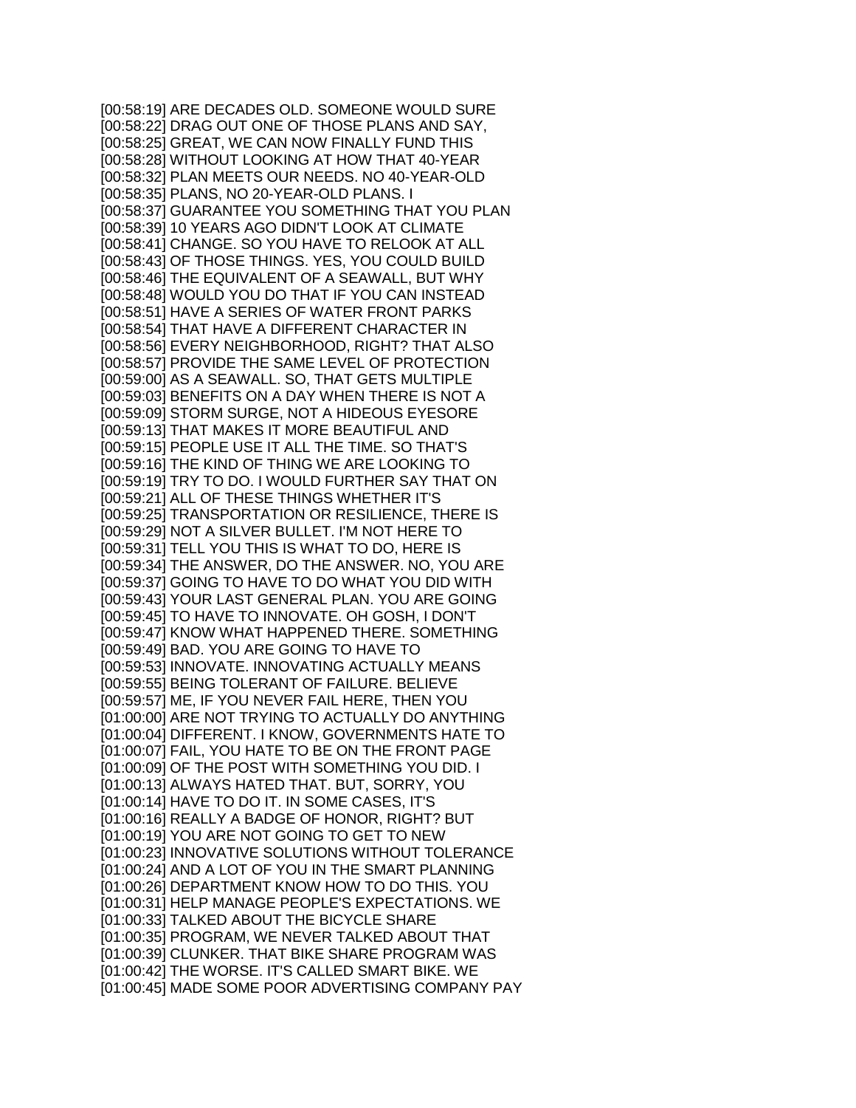[00:58:19] ARE DECADES OLD. SOMEONE WOULD SURE [00:58:22] DRAG OUT ONE OF THOSE PLANS AND SAY, [00:58:25] GREAT, WE CAN NOW FINALLY FUND THIS [00:58:28] WITHOUT LOOKING AT HOW THAT 40-YEAR [00:58:32] PLAN MEETS OUR NEEDS. NO 40-YEAR-OLD [00:58:35] PLANS, NO 20-YEAR-OLD PLANS. I [00:58:37] GUARANTEE YOU SOMETHING THAT YOU PLAN [00:58:39] 10 YEARS AGO DIDN'T LOOK AT CLIMATE [00:58:41] CHANGE. SO YOU HAVE TO RELOOK AT ALL [00:58:43] OF THOSE THINGS. YES, YOU COULD BUILD [00:58:46] THE EQUIVALENT OF A SEAWALL, BUT WHY [00:58:48] WOULD YOU DO THAT IF YOU CAN INSTEAD [00:58:51] HAVE A SERIES OF WATER FRONT PARKS [00:58:54] THAT HAVE A DIFFERENT CHARACTER IN [00:58:56] EVERY NEIGHBORHOOD, RIGHT? THAT ALSO [00:58:57] PROVIDE THE SAME LEVEL OF PROTECTION [00:59:00] AS A SEAWALL. SO, THAT GETS MULTIPLE [00:59:03] BENEFITS ON A DAY WHEN THERE IS NOT A [00:59:09] STORM SURGE, NOT A HIDEOUS EYESORE [00:59:13] THAT MAKES IT MORE BEAUTIFUL AND [00:59:15] PEOPLE USE IT ALL THE TIME. SO THAT'S [00:59:16] THE KIND OF THING WE ARE LOOKING TO [00:59:19] TRY TO DO. I WOULD FURTHER SAY THAT ON [00:59:21] ALL OF THESE THINGS WHETHER IT'S [00:59:25] TRANSPORTATION OR RESILIENCE, THERE IS [00:59:29] NOT A SILVER BULLET. I'M NOT HERE TO [00:59:31] TELL YOU THIS IS WHAT TO DO, HERE IS [00:59:34] THE ANSWER, DO THE ANSWER. NO, YOU ARE [00:59:37] GOING TO HAVE TO DO WHAT YOU DID WITH [00:59:43] YOUR LAST GENERAL PLAN. YOU ARE GOING [00:59:45] TO HAVE TO INNOVATE. OH GOSH, I DON'T [00:59:47] KNOW WHAT HAPPENED THERE. SOMETHING [00:59:49] BAD. YOU ARE GOING TO HAVE TO [00:59:53] INNOVATE. INNOVATING ACTUALLY MEANS [00:59:55] BEING TOLERANT OF FAILURE. BELIEVE [00:59:57] ME, IF YOU NEVER FAIL HERE, THEN YOU [01:00:00] ARE NOT TRYING TO ACTUALLY DO ANYTHING [01:00:04] DIFFERENT. I KNOW, GOVERNMENTS HATE TO [01:00:07] FAIL, YOU HATE TO BE ON THE FRONT PAGE [01:00:09] OF THE POST WITH SOMETHING YOU DID. I [01:00:13] ALWAYS HATED THAT. BUT, SORRY, YOU [01:00:14] HAVE TO DO IT. IN SOME CASES, IT'S [01:00:16] REALLY A BADGE OF HONOR, RIGHT? BUT [01:00:19] YOU ARE NOT GOING TO GET TO NEW [01:00:23] INNOVATIVE SOLUTIONS WITHOUT TOLERANCE [01:00:24] AND A LOT OF YOU IN THE SMART PLANNING [01:00:26] DEPARTMENT KNOW HOW TO DO THIS. YOU [01:00:31] HELP MANAGE PEOPLE'S EXPECTATIONS. WE [01:00:33] TALKED ABOUT THE BICYCLE SHARE [01:00:35] PROGRAM, WE NEVER TALKED ABOUT THAT [01:00:39] CLUNKER. THAT BIKE SHARE PROGRAM WAS [01:00:42] THE WORSE. IT'S CALLED SMART BIKE. WE [01:00:45] MADE SOME POOR ADVERTISING COMPANY PAY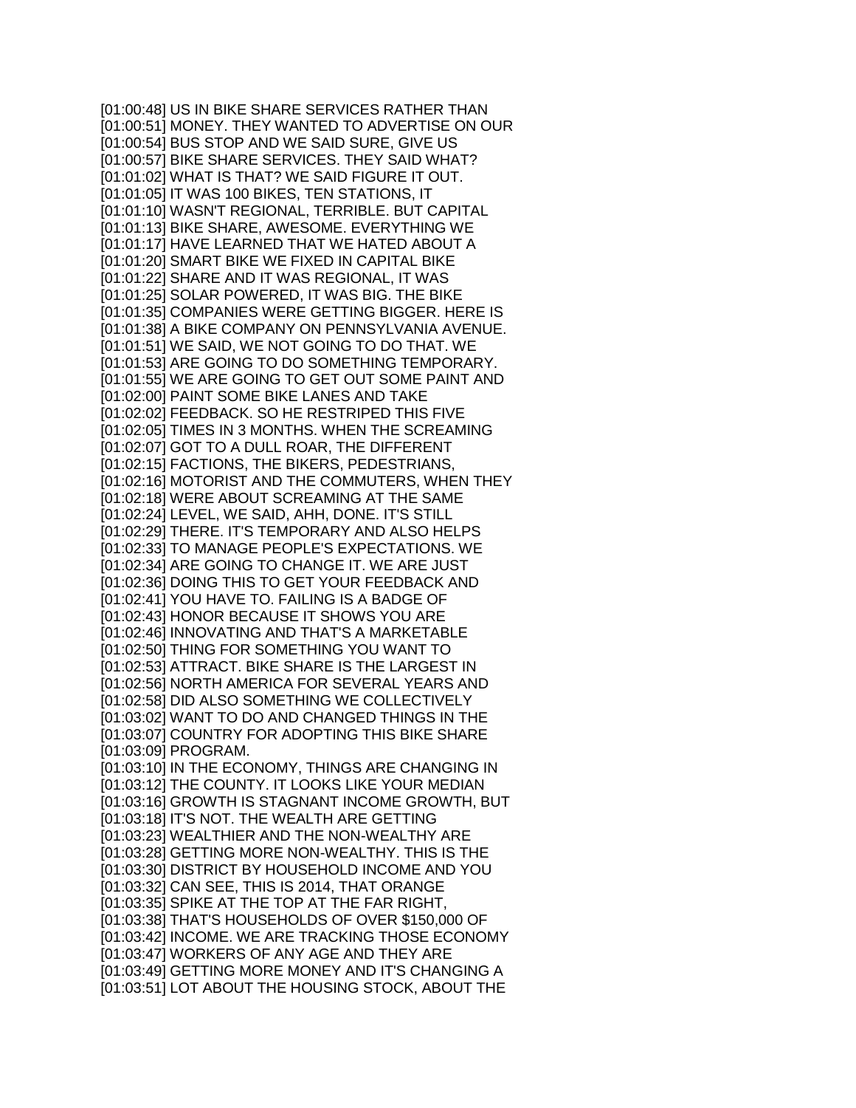[01:00:48] US IN BIKE SHARE SERVICES RATHER THAN [01:00:51] MONEY. THEY WANTED TO ADVERTISE ON OUR [01:00:54] BUS STOP AND WE SAID SURE, GIVE US [01:00:57] BIKE SHARE SERVICES. THEY SAID WHAT? [01:01:02] WHAT IS THAT? WE SAID FIGURE IT OUT. [01:01:05] IT WAS 100 BIKES, TEN STATIONS, IT [01:01:10] WASN'T REGIONAL, TERRIBLE. BUT CAPITAL [01:01:13] BIKE SHARE, AWESOME. EVERYTHING WE [01:01:17] HAVE LEARNED THAT WE HATED ABOUT A [01:01:20] SMART BIKE WE FIXED IN CAPITAL BIKE [01:01:22] SHARE AND IT WAS REGIONAL, IT WAS [01:01:25] SOLAR POWERED, IT WAS BIG. THE BIKE [01:01:35] COMPANIES WERE GETTING BIGGER. HERE IS [01:01:38] A BIKE COMPANY ON PENNSYLVANIA AVENUE. [01:01:51] WE SAID, WE NOT GOING TO DO THAT. WE [01:01:53] ARE GOING TO DO SOMETHING TEMPORARY. [01:01:55] WE ARE GOING TO GET OUT SOME PAINT AND [01:02:00] PAINT SOME BIKE LANES AND TAKE [01:02:02] FEEDBACK. SO HE RESTRIPED THIS FIVE [01:02:05] TIMES IN 3 MONTHS. WHEN THE SCREAMING [01:02:07] GOT TO A DULL ROAR, THE DIFFERENT [01:02:15] FACTIONS, THE BIKERS, PEDESTRIANS, [01:02:16] MOTORIST AND THE COMMUTERS, WHEN THEY [01:02:18] WERE ABOUT SCREAMING AT THE SAME [01:02:24] LEVEL, WE SAID, AHH, DONE. IT'S STILL [01:02:29] THERE. IT'S TEMPORARY AND ALSO HELPS [01:02:33] TO MANAGE PEOPLE'S EXPECTATIONS. WE [01:02:34] ARE GOING TO CHANGE IT. WE ARE JUST [01:02:36] DOING THIS TO GET YOUR FEEDBACK AND [01:02:41] YOU HAVE TO. FAILING IS A BADGE OF [01:02:43] HONOR BECAUSE IT SHOWS YOU ARE [01:02:46] INNOVATING AND THAT'S A MARKETABLE [01:02:50] THING FOR SOMETHING YOU WANT TO [01:02:53] ATTRACT. BIKE SHARE IS THE LARGEST IN [01:02:56] NORTH AMERICA FOR SEVERAL YEARS AND [01:02:58] DID ALSO SOMETHING WE COLLECTIVELY [01:03:02] WANT TO DO AND CHANGED THINGS IN THE [01:03:07] COUNTRY FOR ADOPTING THIS BIKE SHARE [01:03:09] PROGRAM. [01:03:10] IN THE ECONOMY, THINGS ARE CHANGING IN [01:03:12] THE COUNTY. IT LOOKS LIKE YOUR MEDIAN [01:03:16] GROWTH IS STAGNANT INCOME GROWTH, BUT [01:03:18] IT'S NOT. THE WEALTH ARE GETTING [01:03:23] WEALTHIER AND THE NON-WEALTHY ARE [01:03:28] GETTING MORE NON-WEALTHY. THIS IS THE [01:03:30] DISTRICT BY HOUSEHOLD INCOME AND YOU [01:03:32] CAN SEE, THIS IS 2014, THAT ORANGE [01:03:35] SPIKE AT THE TOP AT THE FAR RIGHT, [01:03:38] THAT'S HOUSEHOLDS OF OVER \$150,000 OF [01:03:42] INCOME. WE ARE TRACKING THOSE ECONOMY [01:03:47] WORKERS OF ANY AGE AND THEY ARE [01:03:49] GETTING MORE MONEY AND IT'S CHANGING A [01:03:51] LOT ABOUT THE HOUSING STOCK, ABOUT THE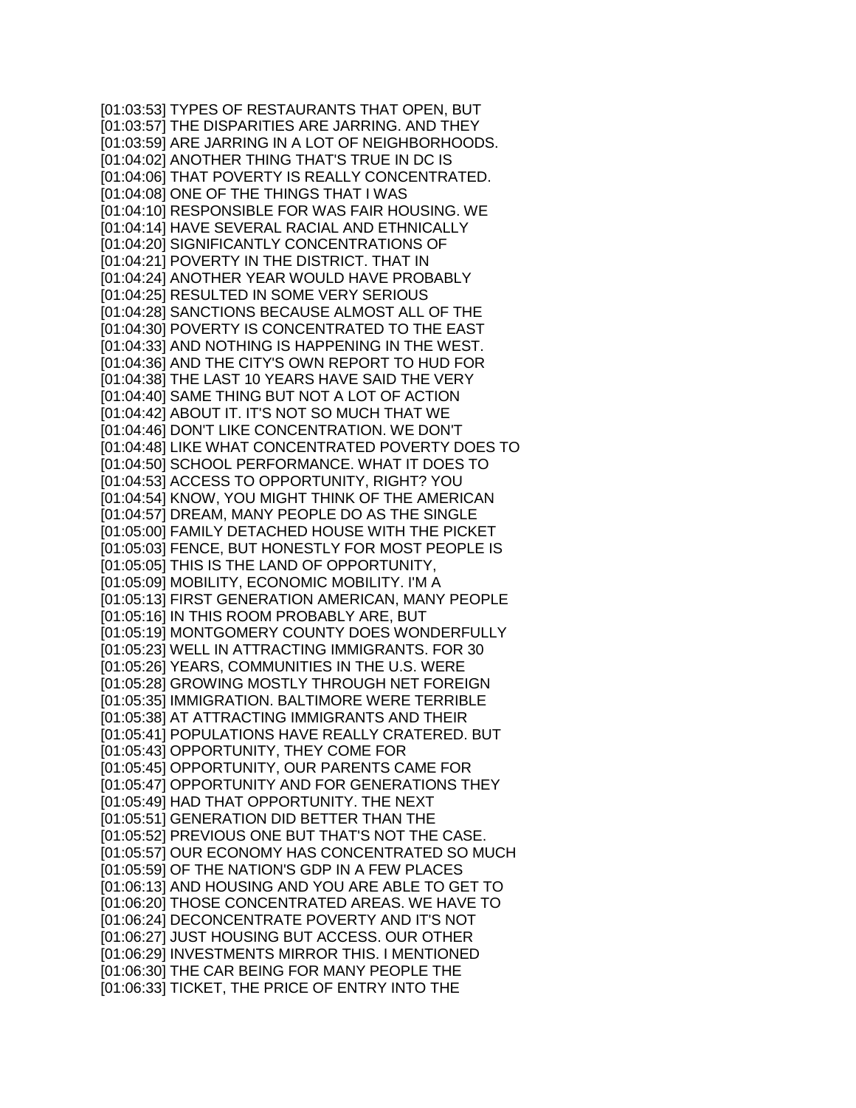[01:03:53] TYPES OF RESTAURANTS THAT OPEN, BUT [01:03:57] THE DISPARITIES ARE JARRING. AND THEY [01:03:59] ARE JARRING IN A LOT OF NEIGHBORHOODS. [01:04:02] ANOTHER THING THAT'S TRUE IN DC IS [01:04:06] THAT POVERTY IS REALLY CONCENTRATED. [01:04:08] ONE OF THE THINGS THAT I WAS [01:04:10] RESPONSIBLE FOR WAS FAIR HOUSING. WE [01:04:14] HAVE SEVERAL RACIAL AND ETHNICALLY [01:04:20] SIGNIFICANTLY CONCENTRATIONS OF [01:04:21] POVERTY IN THE DISTRICT. THAT IN [01:04:24] ANOTHER YEAR WOULD HAVE PROBABLY [01:04:25] RESULTED IN SOME VERY SERIOUS [01:04:28] SANCTIONS BECAUSE ALMOST ALL OF THE [01:04:30] POVERTY IS CONCENTRATED TO THE EAST [01:04:33] AND NOTHING IS HAPPENING IN THE WEST. [01:04:36] AND THE CITY'S OWN REPORT TO HUD FOR [01:04:38] THE LAST 10 YEARS HAVE SAID THE VERY [01:04:40] SAME THING BUT NOT A LOT OF ACTION [01:04:42] ABOUT IT. IT'S NOT SO MUCH THAT WE [01:04:46] DON'T LIKE CONCENTRATION. WE DON'T [01:04:48] LIKE WHAT CONCENTRATED POVERTY DOES TO [01:04:50] SCHOOL PERFORMANCE. WHAT IT DOES TO [01:04:53] ACCESS TO OPPORTUNITY, RIGHT? YOU [01:04:54] KNOW, YOU MIGHT THINK OF THE AMERICAN [01:04:57] DREAM, MANY PEOPLE DO AS THE SINGLE [01:05:00] FAMILY DETACHED HOUSE WITH THE PICKET [01:05:03] FENCE, BUT HONESTLY FOR MOST PEOPLE IS [01:05:05] THIS IS THE LAND OF OPPORTUNITY, [01:05:09] MOBILITY, ECONOMIC MOBILITY. I'M A [01:05:13] FIRST GENERATION AMERICAN, MANY PEOPLE [01:05:16] IN THIS ROOM PROBABLY ARE, BUT [01:05:19] MONTGOMERY COUNTY DOES WONDERFULLY [01:05:23] WELL IN ATTRACTING IMMIGRANTS. FOR 30 [01:05:26] YEARS, COMMUNITIES IN THE U.S. WERE [01:05:28] GROWING MOSTLY THROUGH NET FOREIGN [01:05:35] IMMIGRATION. BALTIMORE WERE TERRIBLE [01:05:38] AT ATTRACTING IMMIGRANTS AND THEIR [01:05:41] POPULATIONS HAVE REALLY CRATERED. BUT [01:05:43] OPPORTUNITY, THEY COME FOR [01:05:45] OPPORTUNITY, OUR PARENTS CAME FOR [01:05:47] OPPORTUNITY AND FOR GENERATIONS THEY [01:05:49] HAD THAT OPPORTUNITY. THE NEXT [01:05:51] GENERATION DID BETTER THAN THE [01:05:52] PREVIOUS ONE BUT THAT'S NOT THE CASE. [01:05:57] OUR ECONOMY HAS CONCENTRATED SO MUCH [01:05:59] OF THE NATION'S GDP IN A FEW PLACES [01:06:13] AND HOUSING AND YOU ARE ABLE TO GET TO [01:06:20] THOSE CONCENTRATED AREAS. WE HAVE TO [01:06:24] DECONCENTRATE POVERTY AND IT'S NOT [01:06:27] JUST HOUSING BUT ACCESS. OUR OTHER [01:06:29] INVESTMENTS MIRROR THIS. I MENTIONED [01:06:30] THE CAR BEING FOR MANY PEOPLE THE [01:06:33] TICKET, THE PRICE OF ENTRY INTO THE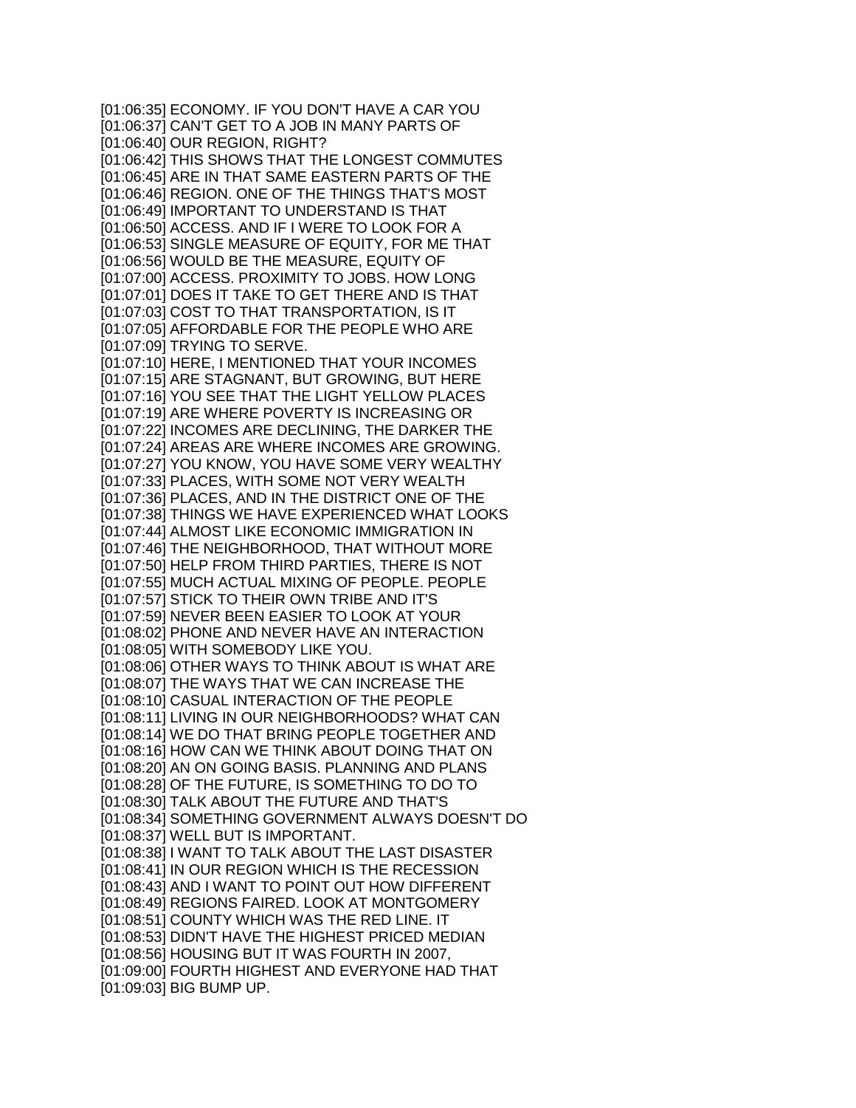[01:06:35] ECONOMY. IF YOU DON'T HAVE A CAR YOU [01:06:37] CAN'T GET TO A JOB IN MANY PARTS OF [01:06:40] OUR REGION, RIGHT? [01:06:42] THIS SHOWS THAT THE LONGEST COMMUTES [01:06:45] ARE IN THAT SAME EASTERN PARTS OF THE [01:06:46] REGION. ONE OF THE THINGS THAT'S MOST [01:06:49] IMPORTANT TO UNDERSTAND IS THAT [01:06:50] ACCESS. AND IF I WERE TO LOOK FOR A [01:06:53] SINGLE MEASURE OF EQUITY, FOR ME THAT [01:06:56] WOULD BE THE MEASURE, EQUITY OF [01:07:00] ACCESS. PROXIMITY TO JOBS. HOW LONG [01:07:01] DOES IT TAKE TO GET THERE AND IS THAT [01:07:03] COST TO THAT TRANSPORTATION, IS IT [01:07:05] AFFORDABLE FOR THE PEOPLE WHO ARE [01:07:09] TRYING TO SERVE. [01:07:10] HERE, I MENTIONED THAT YOUR INCOMES [01:07:15] ARE STAGNANT, BUT GROWING, BUT HERE [01:07:16] YOU SEE THAT THE LIGHT YELLOW PLACES [01:07:19] ARE WHERE POVERTY IS INCREASING OR [01:07:22] INCOMES ARE DECLINING, THE DARKER THE [01:07:24] AREAS ARE WHERE INCOMES ARE GROWING. [01:07:27] YOU KNOW, YOU HAVE SOME VERY WEALTHY [01:07:33] PLACES, WITH SOME NOT VERY WEALTH [01:07:36] PLACES, AND IN THE DISTRICT ONE OF THE [01:07:38] THINGS WE HAVE EXPERIENCED WHAT LOOKS [01:07:44] ALMOST LIKE ECONOMIC IMMIGRATION IN [01:07:46] THE NEIGHBORHOOD, THAT WITHOUT MORE [01:07:50] HELP FROM THIRD PARTIES, THERE IS NOT [01:07:55] MUCH ACTUAL MIXING OF PEOPLE. PEOPLE [01:07:57] STICK TO THEIR OWN TRIBE AND IT'S [01:07:59] NEVER BEEN EASIER TO LOOK AT YOUR [01:08:02] PHONE AND NEVER HAVE AN INTERACTION [01:08:05] WITH SOMEBODY LIKE YOU. [01:08:06] OTHER WAYS TO THINK ABOUT IS WHAT ARE [01:08:07] THE WAYS THAT WE CAN INCREASE THE [01:08:10] CASUAL INTERACTION OF THE PEOPLE [01:08:11] LIVING IN OUR NEIGHBORHOODS? WHAT CAN [01:08:14] WE DO THAT BRING PEOPLE TOGETHER AND [01:08:16] HOW CAN WE THINK ABOUT DOING THAT ON [01:08:20] AN ON GOING BASIS. PLANNING AND PLANS [01:08:28] OF THE FUTURE, IS SOMETHING TO DO TO [01:08:30] TALK ABOUT THE FUTURE AND THAT'S [01:08:34] SOMETHING GOVERNMENT ALWAYS DOESN'T DO [01:08:37] WELL BUT IS IMPORTANT. [01:08:38] I WANT TO TALK ABOUT THE LAST DISASTER [01:08:41] IN OUR REGION WHICH IS THE RECESSION [01:08:43] AND I WANT TO POINT OUT HOW DIFFERENT [01:08:49] REGIONS FAIRED. LOOK AT MONTGOMERY [01:08:51] COUNTY WHICH WAS THE RED LINE. IT [01:08:53] DIDN'T HAVE THE HIGHEST PRICED MEDIAN [01:08:56] HOUSING BUT IT WAS FOURTH IN 2007, [01:09:00] FOURTH HIGHEST AND EVERYONE HAD THAT [01:09:03] BIG BUMP UP.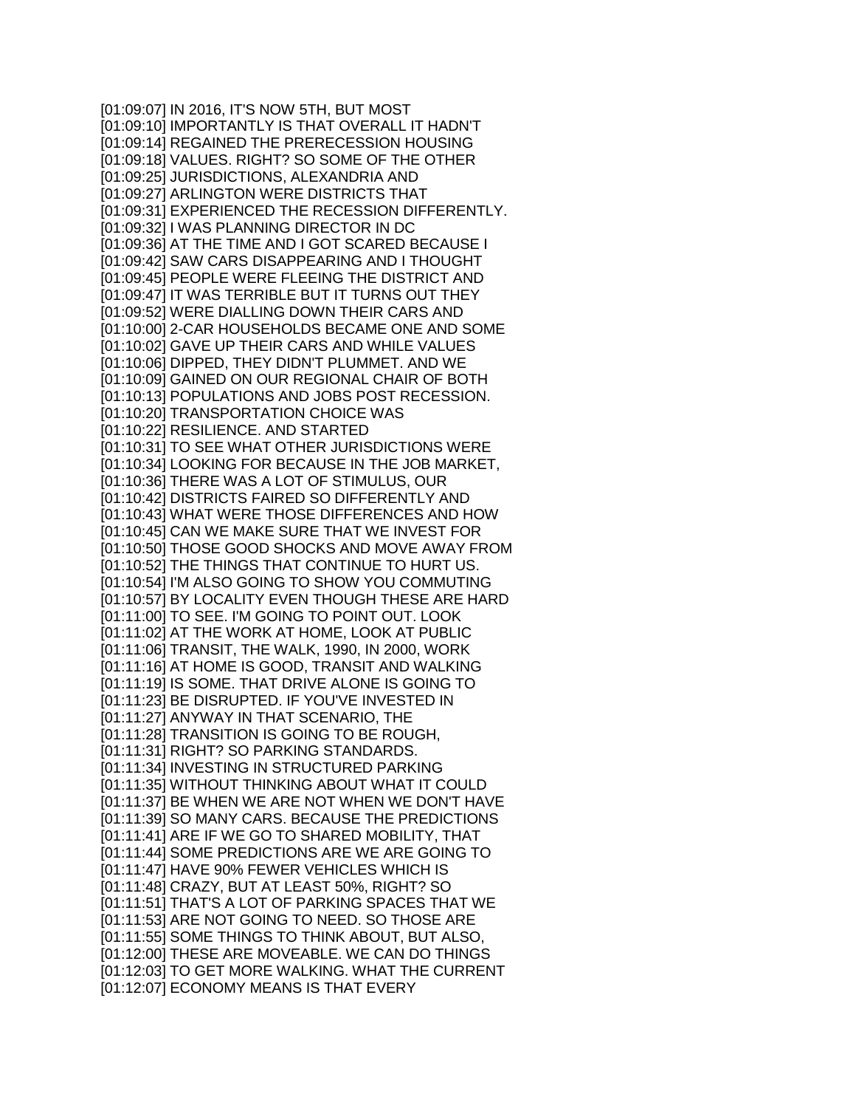[01:09:07] IN 2016, IT'S NOW 5TH, BUT MOST [01:09:10] IMPORTANTLY IS THAT OVERALL IT HADN'T [01:09:14] REGAINED THE PRERECESSION HOUSING [01:09:18] VALUES. RIGHT? SO SOME OF THE OTHER [01:09:25] JURISDICTIONS, ALEXANDRIA AND [01:09:27] ARLINGTON WERE DISTRICTS THAT [01:09:31] EXPERIENCED THE RECESSION DIFFERENTLY. [01:09:32] I WAS PLANNING DIRECTOR IN DC [01:09:36] AT THE TIME AND I GOT SCARED BECAUSE I [01:09:42] SAW CARS DISAPPEARING AND I THOUGHT [01:09:45] PEOPLE WERE FLEEING THE DISTRICT AND [01:09:47] IT WAS TERRIBLE BUT IT TURNS OUT THEY [01:09:52] WERE DIALLING DOWN THEIR CARS AND [01:10:00] 2-CAR HOUSEHOLDS BECAME ONE AND SOME [01:10:02] GAVE UP THEIR CARS AND WHILE VALUES [01:10:06] DIPPED, THEY DIDN'T PLUMMET. AND WE [01:10:09] GAINED ON OUR REGIONAL CHAIR OF BOTH [01:10:13] POPULATIONS AND JOBS POST RECESSION. [01:10:20] TRANSPORTATION CHOICE WAS [01:10:22] RESILIENCE. AND STARTED [01:10:31] TO SEE WHAT OTHER JURISDICTIONS WERE [01:10:34] LOOKING FOR BECAUSE IN THE JOB MARKET, [01:10:36] THERE WAS A LOT OF STIMULUS, OUR [01:10:42] DISTRICTS FAIRED SO DIFFERENTLY AND [01:10:43] WHAT WERE THOSE DIFFERENCES AND HOW [01:10:45] CAN WE MAKE SURE THAT WE INVEST FOR [01:10:50] THOSE GOOD SHOCKS AND MOVE AWAY FROM [01:10:52] THE THINGS THAT CONTINUE TO HURT US. [01:10:54] I'M ALSO GOING TO SHOW YOU COMMUTING [01:10:57] BY LOCALITY EVEN THOUGH THESE ARE HARD [01:11:00] TO SEE. I'M GOING TO POINT OUT. LOOK [01:11:02] AT THE WORK AT HOME, LOOK AT PUBLIC [01:11:06] TRANSIT, THE WALK, 1990, IN 2000, WORK [01:11:16] AT HOME IS GOOD, TRANSIT AND WALKING [01:11:19] IS SOME. THAT DRIVE ALONE IS GOING TO [01:11:23] BE DISRUPTED. IF YOU'VE INVESTED IN [01:11:27] ANYWAY IN THAT SCENARIO, THE [01:11:28] TRANSITION IS GOING TO BE ROUGH, [01:11:31] RIGHT? SO PARKING STANDARDS. [01:11:34] INVESTING IN STRUCTURED PARKING [01:11:35] WITHOUT THINKING ABOUT WHAT IT COULD [01:11:37] BE WHEN WE ARE NOT WHEN WE DON'T HAVE [01:11:39] SO MANY CARS. BECAUSE THE PREDICTIONS [01:11:41] ARE IF WE GO TO SHARED MOBILITY, THAT [01:11:44] SOME PREDICTIONS ARE WE ARE GOING TO [01:11:47] HAVE 90% FEWER VEHICLES WHICH IS [01:11:48] CRAZY, BUT AT LEAST 50%, RIGHT? SO [01:11:51] THAT'S A LOT OF PARKING SPACES THAT WE [01:11:53] ARE NOT GOING TO NEED. SO THOSE ARE [01:11:55] SOME THINGS TO THINK ABOUT, BUT ALSO, [01:12:00] THESE ARE MOVEABLE. WE CAN DO THINGS [01:12:03] TO GET MORE WALKING. WHAT THE CURRENT [01:12:07] ECONOMY MEANS IS THAT EVERY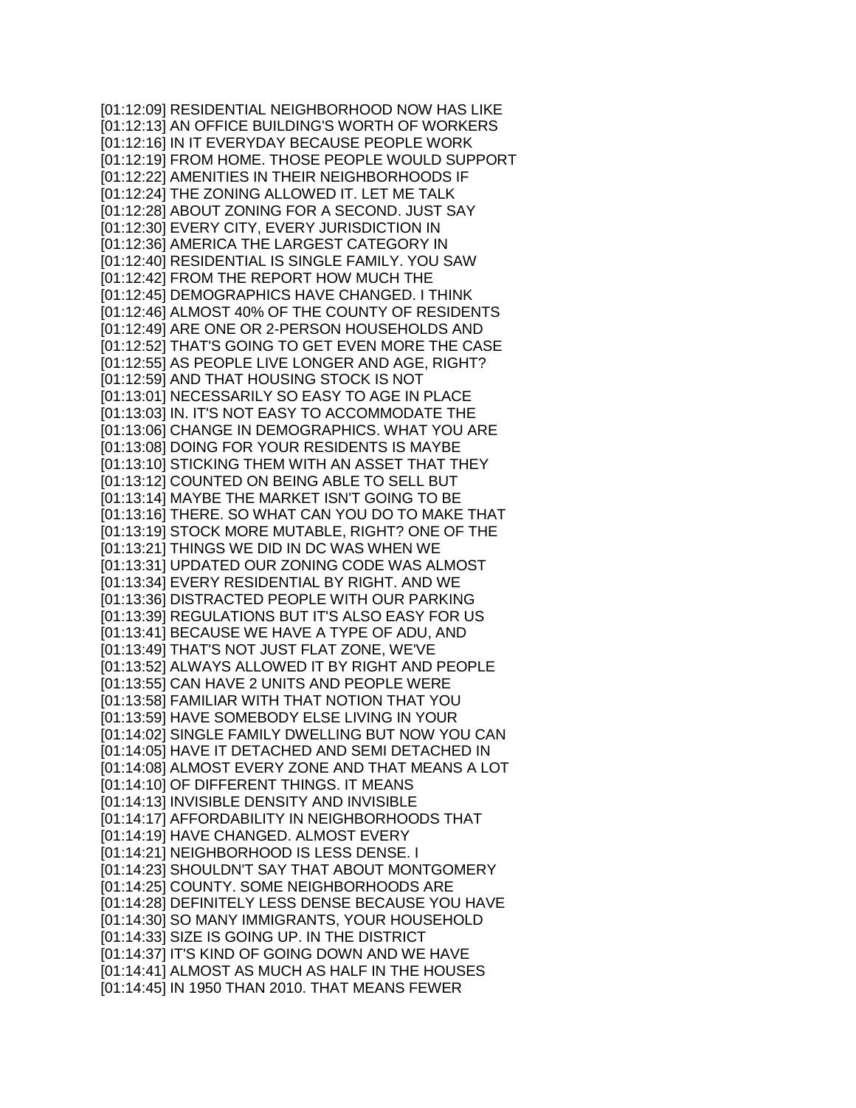[01:12:09] RESIDENTIAL NEIGHBORHOOD NOW HAS LIKE [01:12:13] AN OFFICE BUILDING'S WORTH OF WORKERS [01:12:16] IN IT EVERYDAY BECAUSE PEOPLE WORK [01:12:19] FROM HOME. THOSE PEOPLE WOULD SUPPORT [01:12:22] AMENITIES IN THEIR NEIGHBORHOODS IF [01:12:24] THE ZONING ALLOWED IT. LET ME TALK [01:12:28] ABOUT ZONING FOR A SECOND. JUST SAY [01:12:30] EVERY CITY, EVERY JURISDICTION IN [01:12:36] AMERICA THE LARGEST CATEGORY IN [01:12:40] RESIDENTIAL IS SINGLE FAMILY. YOU SAW [01:12:42] FROM THE REPORT HOW MUCH THE [01:12:45] DEMOGRAPHICS HAVE CHANGED. I THINK [01:12:46] ALMOST 40% OF THE COUNTY OF RESIDENTS [01:12:49] ARE ONE OR 2-PERSON HOUSEHOLDS AND [01:12:52] THAT'S GOING TO GET EVEN MORE THE CASE [01:12:55] AS PEOPLE LIVE LONGER AND AGE, RIGHT? [01:12:59] AND THAT HOUSING STOCK IS NOT [01:13:01] NECESSARILY SO EASY TO AGE IN PLACE [01:13:03] IN. IT'S NOT EASY TO ACCOMMODATE THE [01:13:06] CHANGE IN DEMOGRAPHICS. WHAT YOU ARE [01:13:08] DOING FOR YOUR RESIDENTS IS MAYBE [01:13:10] STICKING THEM WITH AN ASSET THAT THEY [01:13:12] COUNTED ON BEING ABLE TO SELL BUT [01:13:14] MAYBE THE MARKET ISN'T GOING TO BE [01:13:16] THERE. SO WHAT CAN YOU DO TO MAKE THAT [01:13:19] STOCK MORE MUTABLE, RIGHT? ONE OF THE [01:13:21] THINGS WE DID IN DC WAS WHEN WE [01:13:31] UPDATED OUR ZONING CODE WAS ALMOST [01:13:34] EVERY RESIDENTIAL BY RIGHT. AND WE [01:13:36] DISTRACTED PEOPLE WITH OUR PARKING [01:13:39] REGULATIONS BUT IT'S ALSO EASY FOR US [01:13:41] BECAUSE WE HAVE A TYPE OF ADU, AND [01:13:49] THAT'S NOT JUST FLAT ZONE, WE'VE [01:13:52] ALWAYS ALLOWED IT BY RIGHT AND PEOPLE [01:13:55] CAN HAVE 2 UNITS AND PEOPLE WERE [01:13:58] FAMILIAR WITH THAT NOTION THAT YOU [01:13:59] HAVE SOMEBODY ELSE LIVING IN YOUR [01:14:02] SINGLE FAMILY DWELLING BUT NOW YOU CAN [01:14:05] HAVE IT DETACHED AND SEMI DETACHED IN [01:14:08] ALMOST EVERY ZONE AND THAT MEANS A LOT [01:14:10] OF DIFFERENT THINGS. IT MEANS [01:14:13] INVISIBLE DENSITY AND INVISIBLE [01:14:17] AFFORDABILITY IN NEIGHBORHOODS THAT [01:14:19] HAVE CHANGED. ALMOST EVERY [01:14:21] NEIGHBORHOOD IS LESS DENSE. I [01:14:23] SHOULDN'T SAY THAT ABOUT MONTGOMERY [01:14:25] COUNTY. SOME NEIGHBORHOODS ARE [01:14:28] DEFINITELY LESS DENSE BECAUSE YOU HAVE [01:14:30] SO MANY IMMIGRANTS, YOUR HOUSEHOLD [01:14:33] SIZE IS GOING UP. IN THE DISTRICT [01:14:37] IT'S KIND OF GOING DOWN AND WE HAVE [01:14:41] ALMOST AS MUCH AS HALF IN THE HOUSES [01:14:45] IN 1950 THAN 2010. THAT MEANS FEWER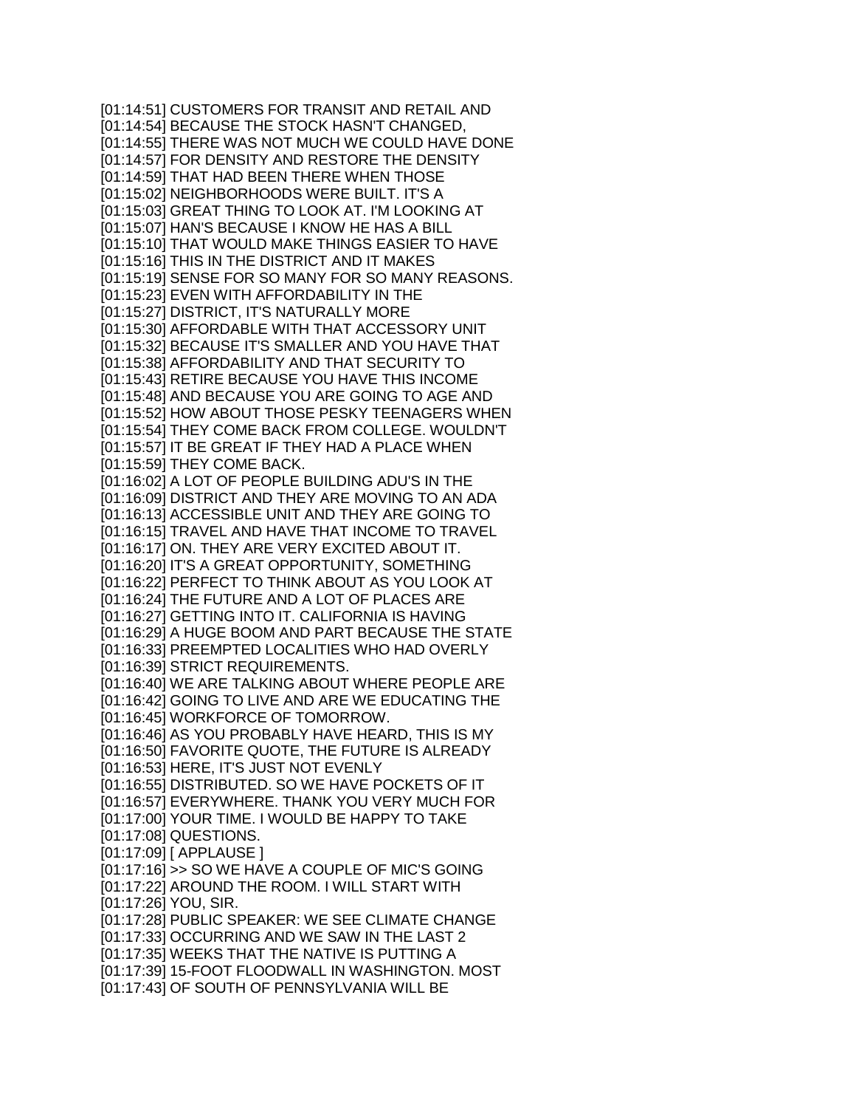[01:14:51] CUSTOMERS FOR TRANSIT AND RETAIL AND [01:14:54] BECAUSE THE STOCK HASN'T CHANGED, [01:14:55] THERE WAS NOT MUCH WE COULD HAVE DONE [01:14:57] FOR DENSITY AND RESTORE THE DENSITY [01:14:59] THAT HAD BEEN THERE WHEN THOSE [01:15:02] NEIGHBORHOODS WERE BUILT. IT'S A [01:15:03] GREAT THING TO LOOK AT. I'M LOOKING AT [01:15:07] HAN'S BECAUSE I KNOW HE HAS A BILL [01:15:10] THAT WOULD MAKE THINGS EASIER TO HAVE [01:15:16] THIS IN THE DISTRICT AND IT MAKES [01:15:19] SENSE FOR SO MANY FOR SO MANY REASONS. [01:15:23] EVEN WITH AFFORDABILITY IN THE [01:15:27] DISTRICT, IT'S NATURALLY MORE [01:15:30] AFFORDABLE WITH THAT ACCESSORY UNIT [01:15:32] BECAUSE IT'S SMALLER AND YOU HAVE THAT [01:15:38] AFFORDABILITY AND THAT SECURITY TO [01:15:43] RETIRE BECAUSE YOU HAVE THIS INCOME [01:15:48] AND BECAUSE YOU ARE GOING TO AGE AND [01:15:52] HOW ABOUT THOSE PESKY TEENAGERS WHEN [01:15:54] THEY COME BACK FROM COLLEGE. WOULDN'T [01:15:57] IT BE GREAT IF THEY HAD A PLACE WHEN [01:15:59] THEY COME BACK. [01:16:02] A LOT OF PEOPLE BUILDING ADU'S IN THE [01:16:09] DISTRICT AND THEY ARE MOVING TO AN ADA [01:16:13] ACCESSIBLE UNIT AND THEY ARE GOING TO [01:16:15] TRAVEL AND HAVE THAT INCOME TO TRAVEL [01:16:17] ON. THEY ARE VERY EXCITED ABOUT IT. [01:16:20] IT'S A GREAT OPPORTUNITY, SOMETHING [01:16:22] PERFECT TO THINK ABOUT AS YOU LOOK AT [01:16:24] THE FUTURE AND A LOT OF PLACES ARE [01:16:27] GETTING INTO IT. CALIFORNIA IS HAVING [01:16:29] A HUGE BOOM AND PART BECAUSE THE STATE [01:16:33] PREEMPTED LOCALITIES WHO HAD OVERLY [01:16:39] STRICT REQUIREMENTS. [01:16:40] WE ARE TALKING ABOUT WHERE PEOPLE ARE [01:16:42] GOING TO LIVE AND ARE WE EDUCATING THE [01:16:45] WORKFORCE OF TOMORROW. [01:16:46] AS YOU PROBABLY HAVE HEARD, THIS IS MY [01:16:50] FAVORITE QUOTE, THE FUTURE IS ALREADY [01:16:53] HERE, IT'S JUST NOT EVENLY [01:16:55] DISTRIBUTED. SO WE HAVE POCKETS OF IT [01:16:57] EVERYWHERE. THANK YOU VERY MUCH FOR [01:17:00] YOUR TIME. I WOULD BE HAPPY TO TAKE [01:17:08] QUESTIONS. [01:17:09] [ APPLAUSE ] [01:17:16] >> SO WE HAVE A COUPLE OF MIC'S GOING [01:17:22] AROUND THE ROOM. I WILL START WITH [01:17:26] YOU, SIR. [01:17:28] PUBLIC SPEAKER: WE SEE CLIMATE CHANGE [01:17:33] OCCURRING AND WE SAW IN THE LAST 2 [01:17:35] WEEKS THAT THE NATIVE IS PUTTING A [01:17:39] 15-FOOT FLOODWALL IN WASHINGTON. MOST [01:17:43] OF SOUTH OF PENNSYLVANIA WILL BE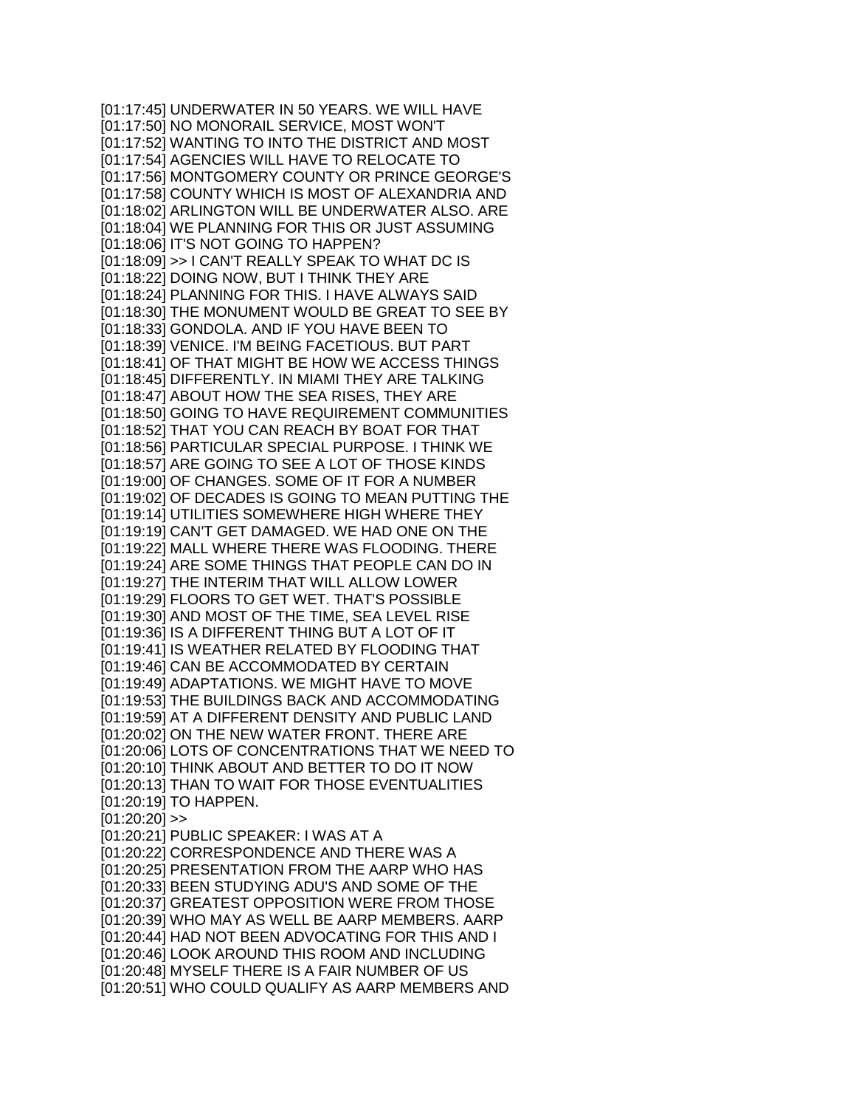[01:17:45] UNDERWATER IN 50 YEARS. WE WILL HAVE [01:17:50] NO MONORAIL SERVICE, MOST WON'T [01:17:52] WANTING TO INTO THE DISTRICT AND MOST [01:17:54] AGENCIES WILL HAVE TO RELOCATE TO [01:17:56] MONTGOMERY COUNTY OR PRINCE GEORGE'S [01:17:58] COUNTY WHICH IS MOST OF ALEXANDRIA AND [01:18:02] ARLINGTON WILL BE UNDERWATER ALSO. ARE [01:18:04] WE PLANNING FOR THIS OR JUST ASSUMING [01:18:06] IT'S NOT GOING TO HAPPEN? [01:18:09] >> I CAN'T REALLY SPEAK TO WHAT DC IS [01:18:22] DOING NOW, BUT I THINK THEY ARE [01:18:24] PLANNING FOR THIS. I HAVE ALWAYS SAID [01:18:30] THE MONUMENT WOULD BE GREAT TO SEE BY [01:18:33] GONDOLA. AND IF YOU HAVE BEEN TO [01:18:39] VENICE. I'M BEING FACETIOUS. BUT PART [01:18:41] OF THAT MIGHT BE HOW WE ACCESS THINGS [01:18:45] DIFFERENTLY. IN MIAMI THEY ARE TALKING [01:18:47] ABOUT HOW THE SEA RISES, THEY ARE [01:18:50] GOING TO HAVE REQUIREMENT COMMUNITIES [01:18:52] THAT YOU CAN REACH BY BOAT FOR THAT [01:18:56] PARTICULAR SPECIAL PURPOSE. I THINK WE [01:18:57] ARE GOING TO SEE A LOT OF THOSE KINDS [01:19:00] OF CHANGES. SOME OF IT FOR A NUMBER [01:19:02] OF DECADES IS GOING TO MEAN PUTTING THE [01:19:14] UTILITIES SOMEWHERE HIGH WHERE THEY [01:19:19] CAN'T GET DAMAGED. WE HAD ONE ON THE [01:19:22] MALL WHERE THERE WAS FLOODING. THERE [01:19:24] ARE SOME THINGS THAT PEOPLE CAN DO IN [01:19:27] THE INTERIM THAT WILL ALLOW LOWER [01:19:29] FLOORS TO GET WET. THAT'S POSSIBLE [01:19:30] AND MOST OF THE TIME, SEA LEVEL RISE [01:19:36] IS A DIFFERENT THING BUT A LOT OF IT [01:19:41] IS WEATHER RELATED BY FLOODING THAT [01:19:46] CAN BE ACCOMMODATED BY CERTAIN [01:19:49] ADAPTATIONS. WE MIGHT HAVE TO MOVE [01:19:53] THE BUILDINGS BACK AND ACCOMMODATING [01:19:59] AT A DIFFERENT DENSITY AND PUBLIC LAND [01:20:02] ON THE NEW WATER FRONT. THERE ARE [01:20:06] LOTS OF CONCENTRATIONS THAT WE NEED TO [01:20:10] THINK ABOUT AND BETTER TO DO IT NOW [01:20:13] THAN TO WAIT FOR THOSE EVENTUALITIES [01:20:19] TO HAPPEN.  $[01:20:20]$  >> [01:20:21] PUBLIC SPEAKER: I WAS AT A [01:20:22] CORRESPONDENCE AND THERE WAS A [01:20:25] PRESENTATION FROM THE AARP WHO HAS [01:20:33] BEEN STUDYING ADU'S AND SOME OF THE [01:20:37] GREATEST OPPOSITION WERE FROM THOSE [01:20:39] WHO MAY AS WELL BE AARP MEMBERS. AARP [01:20:44] HAD NOT BEEN ADVOCATING FOR THIS AND I [01:20:46] LOOK AROUND THIS ROOM AND INCLUDING [01:20:48] MYSELF THERE IS A FAIR NUMBER OF US [01:20:51] WHO COULD QUALIFY AS AARP MEMBERS AND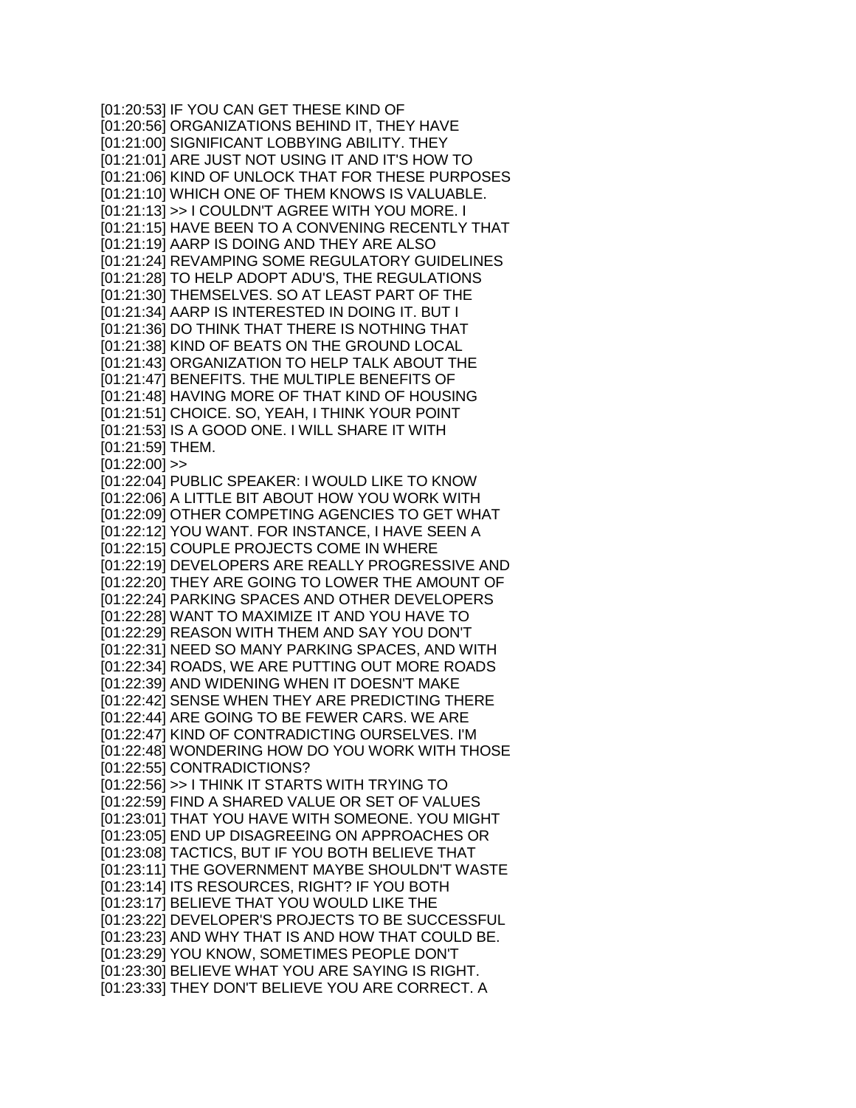[01:20:53] IF YOU CAN GET THESE KIND OF [01:20:56] ORGANIZATIONS BEHIND IT, THEY HAVE [01:21:00] SIGNIFICANT LOBBYING ABILITY. THEY [01:21:01] ARE JUST NOT USING IT AND IT'S HOW TO [01:21:06] KIND OF UNLOCK THAT FOR THESE PURPOSES [01:21:10] WHICH ONE OF THEM KNOWS IS VALUABLE. [01:21:13] >> I COULDN'T AGREE WITH YOU MORE. I [01:21:15] HAVE BEEN TO A CONVENING RECENTLY THAT [01:21:19] AARP IS DOING AND THEY ARE ALSO [01:21:24] REVAMPING SOME REGULATORY GUIDELINES [01:21:28] TO HELP ADOPT ADU'S, THE REGULATIONS [01:21:30] THEMSELVES. SO AT LEAST PART OF THE [01:21:34] AARP IS INTERESTED IN DOING IT. BUT I [01:21:36] DO THINK THAT THERE IS NOTHING THAT [01:21:38] KIND OF BEATS ON THE GROUND LOCAL [01:21:43] ORGANIZATION TO HELP TALK ABOUT THE [01:21:47] BENEFITS. THE MULTIPLE BENEFITS OF [01:21:48] HAVING MORE OF THAT KIND OF HOUSING [01:21:51] CHOICE. SO, YEAH, I THINK YOUR POINT [01:21:53] IS A GOOD ONE. I WILL SHARE IT WITH [01:21:59] THEM.  $[01:22:00]$  >> [01:22:04] PUBLIC SPEAKER: I WOULD LIKE TO KNOW [01:22:06] A LITTLE BIT ABOUT HOW YOU WORK WITH [01:22:09] OTHER COMPETING AGENCIES TO GET WHAT [01:22:12] YOU WANT. FOR INSTANCE, I HAVE SEEN A [01:22:15] COUPLE PROJECTS COME IN WHERE [01:22:19] DEVELOPERS ARE REALLY PROGRESSIVE AND [01:22:20] THEY ARE GOING TO LOWER THE AMOUNT OF [01:22:24] PARKING SPACES AND OTHER DEVELOPERS [01:22:28] WANT TO MAXIMIZE IT AND YOU HAVE TO [01:22:29] REASON WITH THEM AND SAY YOU DON'T [01:22:31] NEED SO MANY PARKING SPACES, AND WITH [01:22:34] ROADS, WE ARE PUTTING OUT MORE ROADS [01:22:39] AND WIDENING WHEN IT DOESN'T MAKE [01:22:42] SENSE WHEN THEY ARE PREDICTING THERE [01:22:44] ARE GOING TO BE FEWER CARS. WE ARE [01:22:47] KIND OF CONTRADICTING OURSELVES. I'M [01:22:48] WONDERING HOW DO YOU WORK WITH THOSE [01:22:55] CONTRADICTIONS? [01:22:56] >> I THINK IT STARTS WITH TRYING TO [01:22:59] FIND A SHARED VALUE OR SET OF VALUES [01:23:01] THAT YOU HAVE WITH SOMEONE. YOU MIGHT [01:23:05] END UP DISAGREEING ON APPROACHES OR [01:23:08] TACTICS, BUT IF YOU BOTH BELIEVE THAT [01:23:11] THE GOVERNMENT MAYBE SHOULDN'T WASTE [01:23:14] ITS RESOURCES, RIGHT? IF YOU BOTH [01:23:17] BELIEVE THAT YOU WOULD LIKE THE [01:23:22] DEVELOPER'S PROJECTS TO BE SUCCESSFUL [01:23:23] AND WHY THAT IS AND HOW THAT COULD BE. [01:23:29] YOU KNOW, SOMETIMES PEOPLE DON'T [01:23:30] BELIEVE WHAT YOU ARE SAYING IS RIGHT. [01:23:33] THEY DON'T BELIEVE YOU ARE CORRECT. A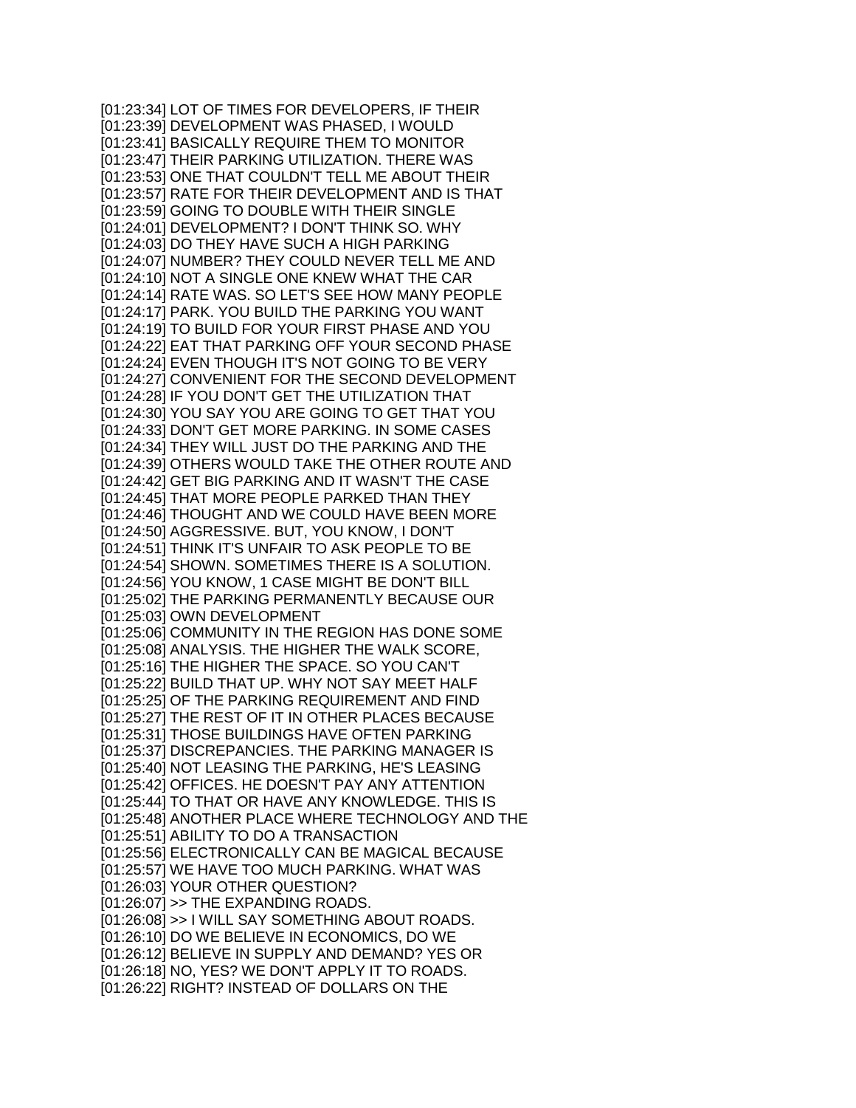[01:23:34] LOT OF TIMES FOR DEVELOPERS, IF THEIR [01:23:39] DEVELOPMENT WAS PHASED, I WOULD [01:23:41] BASICALLY REQUIRE THEM TO MONITOR [01:23:47] THEIR PARKING UTILIZATION. THERE WAS [01:23:53] ONE THAT COULDN'T TELL ME ABOUT THEIR [01:23:57] RATE FOR THEIR DEVELOPMENT AND IS THAT [01:23:59] GOING TO DOUBLE WITH THEIR SINGLE [01:24:01] DEVELOPMENT? I DON'T THINK SO. WHY [01:24:03] DO THEY HAVE SUCH A HIGH PARKING [01:24:07] NUMBER? THEY COULD NEVER TELL ME AND [01:24:10] NOT A SINGLE ONE KNEW WHAT THE CAR [01:24:14] RATE WAS. SO LET'S SEE HOW MANY PEOPLE [01:24:17] PARK. YOU BUILD THE PARKING YOU WANT [01:24:19] TO BUILD FOR YOUR FIRST PHASE AND YOU [01:24:22] EAT THAT PARKING OFF YOUR SECOND PHASE [01:24:24] EVEN THOUGH IT'S NOT GOING TO BE VERY [01:24:27] CONVENIENT FOR THE SECOND DEVELOPMENT [01:24:28] IF YOU DON'T GET THE UTILIZATION THAT [01:24:30] YOU SAY YOU ARE GOING TO GET THAT YOU [01:24:33] DON'T GET MORE PARKING. IN SOME CASES [01:24:34] THEY WILL JUST DO THE PARKING AND THE [01:24:39] OTHERS WOULD TAKE THE OTHER ROUTE AND [01:24:42] GET BIG PARKING AND IT WASN'T THE CASE [01:24:45] THAT MORE PEOPLE PARKED THAN THEY [01:24:46] THOUGHT AND WE COULD HAVE BEEN MORE [01:24:50] AGGRESSIVE. BUT, YOU KNOW, I DON'T [01:24:51] THINK IT'S UNFAIR TO ASK PEOPLE TO BE [01:24:54] SHOWN. SOMETIMES THERE IS A SOLUTION. [01:24:56] YOU KNOW, 1 CASE MIGHT BE DON'T BILL [01:25:02] THE PARKING PERMANENTLY BECAUSE OUR [01:25:03] OWN DEVELOPMENT [01:25:06] COMMUNITY IN THE REGION HAS DONE SOME [01:25:08] ANALYSIS. THE HIGHER THE WALK SCORE, [01:25:16] THE HIGHER THE SPACE. SO YOU CAN'T [01:25:22] BUILD THAT UP. WHY NOT SAY MEET HALF [01:25:25] OF THE PARKING REQUIREMENT AND FIND [01:25:27] THE REST OF IT IN OTHER PLACES BECAUSE [01:25:31] THOSE BUILDINGS HAVE OFTEN PARKING [01:25:37] DISCREPANCIES. THE PARKING MANAGER IS [01:25:40] NOT LEASING THE PARKING, HE'S LEASING [01:25:42] OFFICES. HE DOESN'T PAY ANY ATTENTION [01:25:44] TO THAT OR HAVE ANY KNOWLEDGE. THIS IS [01:25:48] ANOTHER PLACE WHERE TECHNOLOGY AND THE [01:25:51] ABILITY TO DO A TRANSACTION [01:25:56] ELECTRONICALLY CAN BE MAGICAL BECAUSE [01:25:57] WE HAVE TOO MUCH PARKING. WHAT WAS [01:26:03] YOUR OTHER QUESTION? [01:26:07] >> THE EXPANDING ROADS. [01:26:08] >> I WILL SAY SOMETHING ABOUT ROADS. [01:26:10] DO WE BELIEVE IN ECONOMICS, DO WE [01:26:12] BELIEVE IN SUPPLY AND DEMAND? YES OR [01:26:18] NO, YES? WE DON'T APPLY IT TO ROADS. [01:26:22] RIGHT? INSTEAD OF DOLLARS ON THE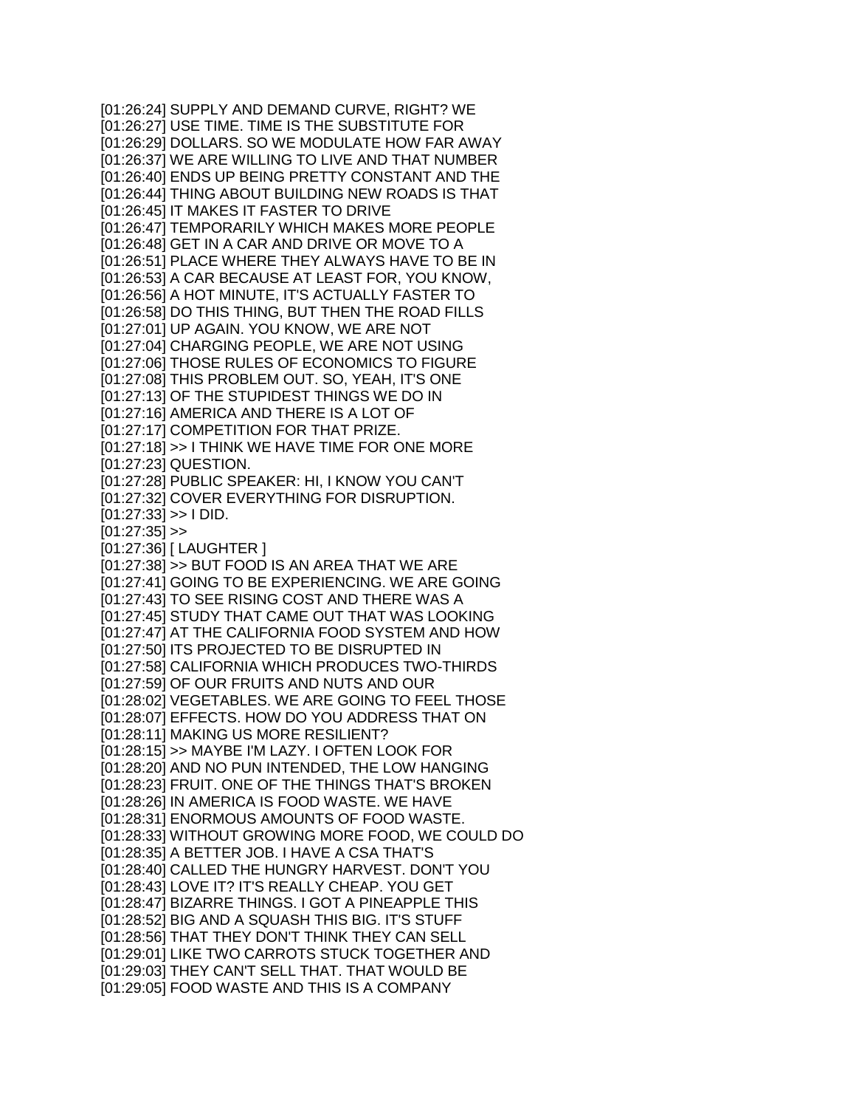[01:26:24] SUPPLY AND DEMAND CURVE, RIGHT? WE [01:26:27] USE TIME. TIME IS THE SUBSTITUTE FOR [01:26:29] DOLLARS. SO WE MODULATE HOW FAR AWAY [01:26:37] WE ARE WILLING TO LIVE AND THAT NUMBER [01:26:40] ENDS UP BEING PRETTY CONSTANT AND THE [01:26:44] THING ABOUT BUILDING NEW ROADS IS THAT [01:26:45] IT MAKES IT FASTER TO DRIVE [01:26:47] TEMPORARILY WHICH MAKES MORE PEOPLE [01:26:48] GET IN A CAR AND DRIVE OR MOVE TO A [01:26:51] PLACE WHERE THEY ALWAYS HAVE TO BE IN [01:26:53] A CAR BECAUSE AT LEAST FOR, YOU KNOW, [01:26:56] A HOT MINUTE, IT'S ACTUALLY FASTER TO [01:26:58] DO THIS THING, BUT THEN THE ROAD FILLS [01:27:01] UP AGAIN. YOU KNOW, WE ARE NOT [01:27:04] CHARGING PEOPLE, WE ARE NOT USING [01:27:06] THOSE RULES OF ECONOMICS TO FIGURE [01:27:08] THIS PROBLEM OUT. SO, YEAH, IT'S ONE [01:27:13] OF THE STUPIDEST THINGS WE DO IN [01:27:16] AMERICA AND THERE IS A LOT OF [01:27:17] COMPETITION FOR THAT PRIZE. [01:27:18] >> I THINK WE HAVE TIME FOR ONE MORE [01:27:23] QUESTION. [01:27:28] PUBLIC SPEAKER: HI, I KNOW YOU CAN'T [01:27:32] COVER EVERYTHING FOR DISRUPTION.  $[01:27:33] >> I DID.$  $[01:27:35]$  >> [01:27:36] [ LAUGHTER ] [01:27:38] >> BUT FOOD IS AN AREA THAT WE ARE [01:27:41] GOING TO BE EXPERIENCING. WE ARE GOING [01:27:43] TO SEE RISING COST AND THERE WAS A [01:27:45] STUDY THAT CAME OUT THAT WAS LOOKING [01:27:47] AT THE CALIFORNIA FOOD SYSTEM AND HOW [01:27:50] ITS PROJECTED TO BE DISRUPTED IN [01:27:58] CALIFORNIA WHICH PRODUCES TWO-THIRDS [01:27:59] OF OUR FRUITS AND NUTS AND OUR [01:28:02] VEGETABLES. WE ARE GOING TO FEEL THOSE [01:28:07] EFFECTS. HOW DO YOU ADDRESS THAT ON [01:28:11] MAKING US MORE RESILIENT? [01:28:15] >> MAYBE I'M LAZY. I OFTEN LOOK FOR [01:28:20] AND NO PUN INTENDED, THE LOW HANGING [01:28:23] FRUIT. ONE OF THE THINGS THAT'S BROKEN [01:28:26] IN AMERICA IS FOOD WASTE. WE HAVE [01:28:31] ENORMOUS AMOUNTS OF FOOD WASTE. [01:28:33] WITHOUT GROWING MORE FOOD, WE COULD DO [01:28:35] A BETTER JOB. I HAVE A CSA THAT'S [01:28:40] CALLED THE HUNGRY HARVEST. DON'T YOU [01:28:43] LOVE IT? IT'S REALLY CHEAP. YOU GET [01:28:47] BIZARRE THINGS. I GOT A PINEAPPLE THIS [01:28:52] BIG AND A SQUASH THIS BIG. IT'S STUFF [01:28:56] THAT THEY DON'T THINK THEY CAN SELL [01:29:01] LIKE TWO CARROTS STUCK TOGETHER AND [01:29:03] THEY CAN'T SELL THAT. THAT WOULD BE [01:29:05] FOOD WASTE AND THIS IS A COMPANY